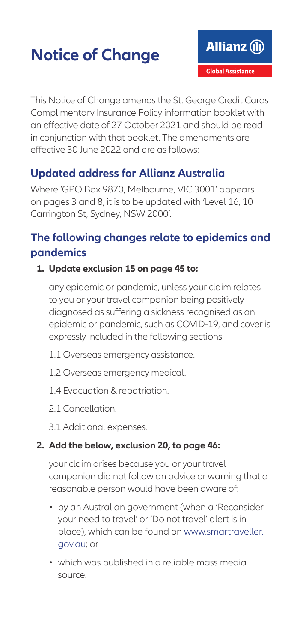### **Notice of Change**

This Notice of Change amends the St. George Credit Cards Complimentary Insurance Policy information booklet with an effective date of 27 October 2021 and should be read in conjunction with that booklet. The amendments are effective 30 June 2022 and are as follows:

### **Updated address for Allianz Australia**

Where 'GPO Box 9870, Melbourne, VIC 3001' appears on pages 3 and 8, it is to be updated with 'Level 16, 10 Carrington St, Sydney, NSW 2000'.

### **The following changes relate to epidemics and pandemics**

#### **1. Update exclusion 15 on page 45 to:**

any epidemic or pandemic, unless your claim relates to you or your travel companion being positively diagnosed as suffering a sickness recognised as an epidemic or pandemic, such as COVID-19, and cover is expressly included in the following sections:

- 1.1 Overseas emergency assistance.
- 1.2 Overseas emergency medical.
- 1.4 Evacuation & repatriation.
- 2.1 Cancellation
- 3.1 Additional expenses.

### **2. Add the below, exclusion 20, to page 46:**

your claim arises because you or your travel companion did not follow an advice or warning that a reasonable person would have been aware of:

- by an Australian government (when a 'Reconsider your need to travel' or 'Do not travel' alert is in place), which can be found on [www.smartraveller.](http://www.smartraveller.gov.au) [gov.au;](http://www.smartraveller.gov.au) or
- which was published in a reliable mass media source.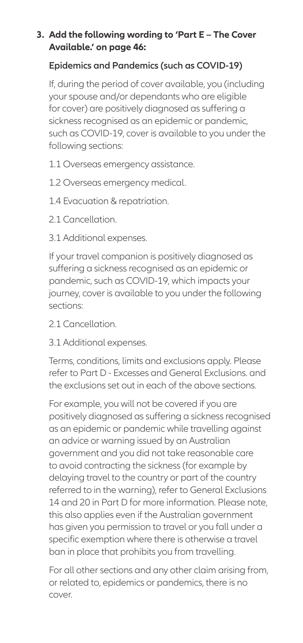#### **3. Add the following wording to 'Part E – The Cover Available.' on page 46:**

### **Epidemics and Pandemics (such as COVID-19)**

If, during the period of cover available, you (including your spouse and/or dependants who are eligible for cover) are positively diagnosed as suffering a sickness recognised as an epidemic or pandemic, such as COVID-19, cover is available to you under the following sections:

- 1.1 Overseas emergency assistance.
- 1.2 Overseas emergency medical.
- 1.4 Evacuation & repatriation.
- 2.1 Cancellation
- 3.1 Additional expenses.

If your travel companion is positively diagnosed as suffering a sickness recognised as an epidemic or pandemic, such as COVID-19, which impacts your journey, cover is available to you under the following sections:

- 2.1 Cancellation
- 3.1 Additional expenses.

Terms, conditions, limits and exclusions apply. Please refer to Part D - Excesses and General Exclusions. and the exclusions set out in each of the above sections.

For example, you will not be covered if you are positively diagnosed as suffering a sickness recognised as an epidemic or pandemic while travelling against an advice or warning issued by an Australian government and you did not take reasonable care to avoid contracting the sickness (for example by delaying travel to the country or part of the country referred to in the warning), refer to General Exclusions 14 and 20 in Part D for more information. Please note, this also applies even if the Australian government has given you permission to travel or you fall under a specific exemption where there is otherwise a travel ban in place that prohibits you from travelling.

For all other sections and any other claim arising from, or related to, epidemics or pandemics, there is no cover.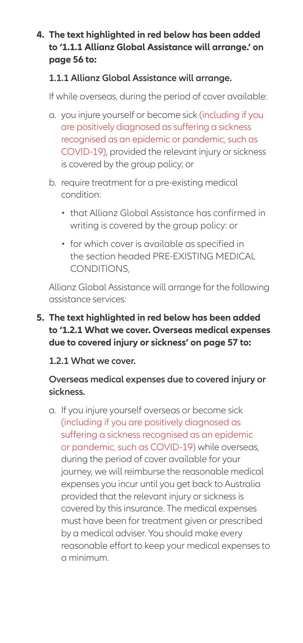#### **4. The text highlighted in red below has been added to '1.1.1 Allianz Global Assistance will arrange.' on page 56 to:**

#### **1.1.1 Allianz Global Assistance will arrange.**

If while overseas, during the period of cover available:

- a. you injure yourself or become sick (including if you are positively diagnosed as suffering a sickness recognised as an epidemic or pandemic, such as COVID-19), provided the relevant injury or sickness is covered by the group policy; or
- b. require treatment for a pre-existing medical condition:
	- that Allianz Global Assistance has confirmed in writing is covered by the group policy: or
	- for which cover is available as specified in the section headed PRE-EXISTING MEDICAL CONDITIONS,

Allianz Global Assistance will arrange for the following assistance services:

#### **5. The text highlighted in red below has been added to '1.2.1 What we cover. Overseas medical expenses due to covered injury or sickness' on page 57 to:**

#### **1.2.1 What we cover.**

#### **Overseas medical expenses due to covered injury or sickness.**

a. If you injure yourself overseas or become sick (including if you are positively diagnosed as suffering a sickness recognised as an epidemic or pandemic, such as COVID-19) while overseas, during the period of cover available for your journey, we will reimburse the reasonable medical expenses you incur until you get back to Australia provided that the relevant injury or sickness is covered by this insurance. The medical expenses must have been for treatment given or prescribed by a medical adviser. You should make every reasonable effort to keep your medical expenses to a minimum.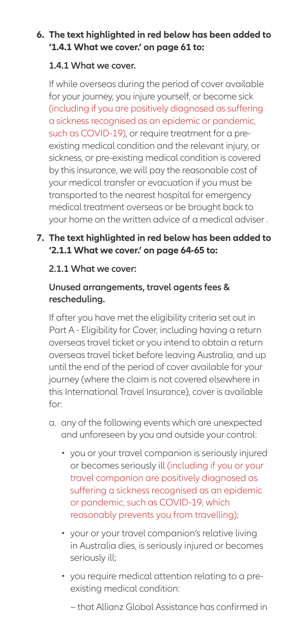#### **6. The text highlighted in red below has been added to '1.4.1 What we cover.' on page 61 to:**

#### **1.4.1 What we cover.**

If while overseas during the period of cover available for your journey, you injure yourself, or become sick (including if you are positively diagnosed as suffering a sickness recognised as an epidemic or pandemic, such as COVID-19), or require treatment for a preexisting medical condition and the relevant injury, or sickness, or pre-existing medical condition is covered by this insurance, we will pay the reasonable cost of your medical transfer or evacuation if you must be transported to the nearest hospital for emergency medical treatment overseas or be brought back to your home on the written advice of a medical adviser .

### **7. The text highlighted in red below has been added to '2.1.1 What we cover.' on page 64-65 to:**

#### **2.1.1 What we cover:**

#### **Unused arrangements, travel agents fees & rescheduling.**

If after you have met the eligibility criteria set out in Part A - Eligibility for Cover, including having a return overseas travel ticket or you intend to obtain a return overseas travel ticket before leaving Australia, and up until the end of the period of cover available for your journey (where the claim is not covered elsewhere in this International Travel Insurance), cover is available for:

- a. any of the following events which are unexpected and unforeseen by you and outside your control:
	- you or your travel companion is seriously injured or becomes seriously ill (including if you or your travel companion are positively diagnosed as suffering a sickness recognised as an epidemic or pandemic, such as COVID-19, which reasonably prevents you from travelling);
	- your or your travel companion's relative living in Australia dies, is seriously injured or becomes seriously ill;
	- you require medical attention relating to a preexisting medical condition:
		- − that Allianz Global Assistance has confirmed in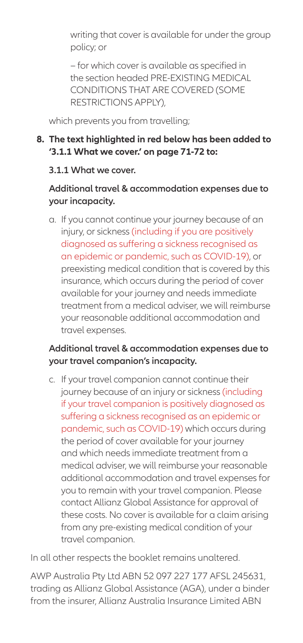writing that cover is available for under the group policy; or

− for which cover is available as specified in the section headed PRE-EXISTING MEDICAL CONDITIONS THAT ARE COVERED (SOME RESTRICTIONS APPLY),

which prevents you from travelling;

#### **8. The text highlighted in red below has been added to '3.1.1 What we cover.' on page 71-72 to:**

#### **3.1.1 What we cover.**

#### **Additional travel & accommodation expenses due to your incapacity.**

a. If you cannot continue your journey because of an injury, or sickness (including if you are positively diagnosed as suffering a sickness recognised as an epidemic or pandemic, such as COVID-19), or preexisting medical condition that is covered by this insurance, which occurs during the period of cover available for your journey and needs immediate treatment from a medical adviser, we will reimburse your reasonable additional accommodation and travel expenses.

### **Additional travel & accommodation expenses due to your travel companion's incapacity.**

c. If your travel companion cannot continue their journey because of an injury or sickness (including if your travel companion is positively diagnosed as suffering a sickness recognised as an epidemic or pandemic, such as COVID-19) which occurs during the period of cover available for your journey and which needs immediate treatment from a medical adviser, we will reimburse your reasonable additional accommodation and travel expenses for you to remain with your travel companion. Please contact Allianz Global Assistance for approval of these costs. No cover is available for a claim arising from any pre-existing medical condition of your travel companion.

In all other respects the booklet remains unaltered.

AWP Australia Pty Ltd ABN 52 097 227 177 AFSL 245631, trading as Allianz Global Assistance (AGA), under a binder from the insurer, Allianz Australia Insurance Limited ABN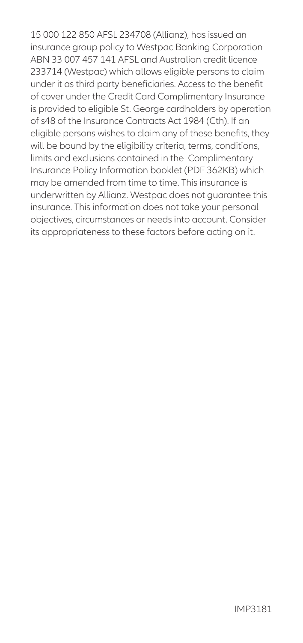15 000 122 850 AFSL 234708 (Allianz), has issued an insurance group policy to Westpac Banking Corporation ABN 33 007 457 141 AFSL and Australian credit licence 233714 (Westpac) which allows eligible persons to claim under it as third party beneficiaries. Access to the benefit of cover under the Credit Card Complimentary Insurance is provided to eligible St. George cardholders by operation of s48 of the Insurance Contracts Act 1984 (Cth). If an eligible persons wishes to claim any of these benefits, they will be bound by the eligibility criteria, terms, conditions, limits and exclusions contained in the Complimentary Insurance Policy Information booklet (PDF 362KB) which may be amended from time to time. This insurance is underwritten by Allianz. Westpac does not guarantee this insurance. This information does not take your personal objectives, circumstances or needs into account. Consider its appropriateness to these factors before acting on it.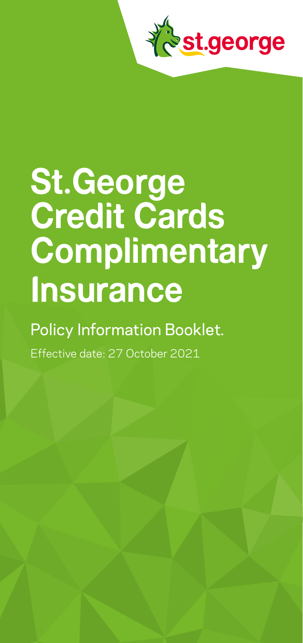

# **St.George Credit Cards Complimentary Insurance**

### Policy Information Booklet.

Effective date: 27 October 2021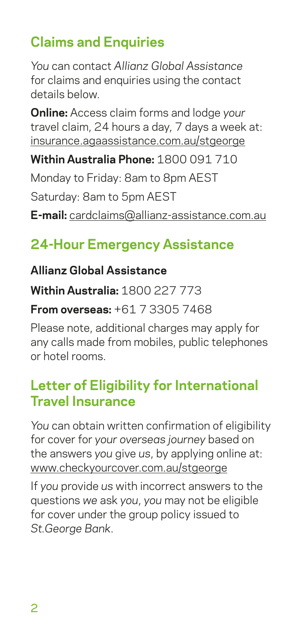### **Claims and Enquiries**

*You* can contact *Allianz Global Assistance* for claims and enquiries using the contact details below.

**Online:** Access claim forms and lodge *your* travel claim, 24 hours a day, 7 days a week at: [insurance.agaassistance.com.au/stgeorge](http://insurance.agaassistance.com.au/stgeorge)

**Within Australia Phone:** 1800 091 710

Monday to Friday: 8am to 8pm AEST

Saturday: 8am to 5pm AEST

**E-mail:** [cardclaims@allianz-assistance.com.au](mailto:cardclaims%40allianz-assistance.com.au?subject=)

### **24-Hour Emergency Assistance**

### **Allianz Global Assistance**

**Within Australia:** 1800 227 773

### **From overseas:** +61 7 3305 7468

Please note, additional charges may apply for any calls made from mobiles, public telephones or hotel rooms.

### **Letter of Eligibility for International Travel Insurance**

*You* can obtain written confirmation of eligibility for cover for *your overseas journey* based on the answers *you* give *us*, by applying online at: [www.checkyourcover.com.au/stgeorge](http://www.checkyourcover.com.au/stgeorge)

If *you* provide *us* with incorrect answers to the questions *we* ask *you*, *you* may not be eligible for cover under the group policy issued to *St.George Bank*.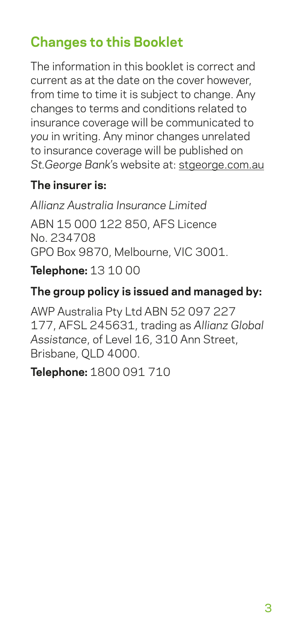### **Changes to this Booklet**

The information in this booklet is correct and current as at the date on the cover however, from time to time it is subject to change. Any changes to terms and conditions related to insurance coverage will be communicated to *you* in writing. Any minor changes unrelated to insurance coverage will be published on *St.George Bank*'s website at: [stgeorge.com.au](http://stgeorge.com.au)

### **The insurer is:**

*Allianz Australia Insurance Limited*  ABN 15 000 122 850, AFS Licence No. 234708 GPO Box 9870, Melbourne, VIC 3001.

**Telephone:** 13 10 00

### **The group policy is issued and managed by:**

AWP Australia Pty Ltd ABN 52 097 227 177, AFSL 245631, trading as *Allianz Global Assistance*, of Level 16, 310 Ann Street, Brisbane, QLD 4000.

**Telephone:** 1800 091 710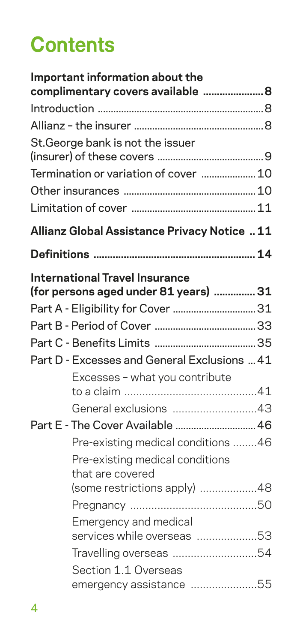# **Contents**

| Important information about the<br>complimentary covers available  8 |  |
|----------------------------------------------------------------------|--|
|                                                                      |  |
|                                                                      |  |
| St. George bank is not the issuer                                    |  |
| Termination or variation of cover  10                                |  |
|                                                                      |  |
|                                                                      |  |
| Allianz Global Assistance Privacy Notice  11                         |  |
|                                                                      |  |
| <b>International Travel Insurance</b>                                |  |
| (for persons aged under 81 years)  31                                |  |
| Part A - Eligibility for Cover  31                                   |  |
|                                                                      |  |
|                                                                      |  |
| Part D - Excesses and General Exclusions  41                         |  |
| Excesses - what you contribute                                       |  |
| General exclusions 43                                                |  |
| Part E - The Cover Available  46                                     |  |
| Pre-existing medical conditions 46                                   |  |
| Pre-existing medical conditions<br>that are covered                  |  |
| (some restrictions apply) 48                                         |  |
|                                                                      |  |
| Emergency and medical                                                |  |
| services while overseas 53                                           |  |
| Travelling overseas 54                                               |  |
| Section 1.1 Overseas                                                 |  |
| emergency assistance 55                                              |  |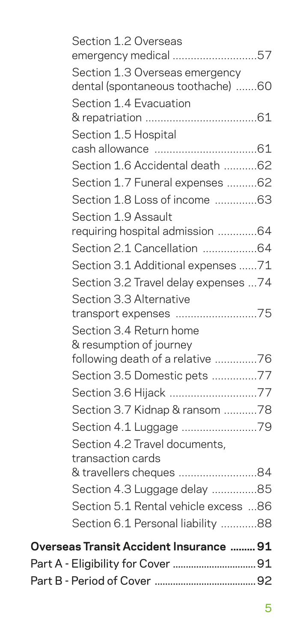| Section 1.2 Overseas<br>emergency medical 57                        |  |
|---------------------------------------------------------------------|--|
|                                                                     |  |
| Section 1.3 Overseas emergency<br>dental (spontaneous toothache) 60 |  |
| Section 1.4 Evacuation                                              |  |
| Section 1.5 Hospital                                                |  |
|                                                                     |  |
| Section 1.6 Accidental death 62                                     |  |
| Section 1.7 Funeral expenses 62                                     |  |
| Section 1.8 Loss of income 63                                       |  |
| Section 1.9 Assault                                                 |  |
| requiring hospital admission 64                                     |  |
| Section 2.1 Cancellation 64                                         |  |
| Section 3.1 Additional expenses 71                                  |  |
| Section 3.2 Travel delay expenses 74                                |  |
| Section 3.3 Alternative                                             |  |
| transport expenses 75                                               |  |
| Section 3.4 Return home                                             |  |
| & resumption of journey                                             |  |
| following death of a relative 76                                    |  |
| Section 3.5 Domestic pets 77                                        |  |
| Section 3.6 Hijack 77                                               |  |
| Section 3.7 Kidnap & ransom 78                                      |  |
|                                                                     |  |
| Section 4.2 Travel documents,                                       |  |
| transaction cards                                                   |  |
| & travellers cheques 84                                             |  |
| Section 4.3 Luggage delay 85                                        |  |
| Section 5.1 Rental vehicle excess 86                                |  |
| Section 6.1 Personal liability 88                                   |  |
| Overseas Transit Accident Insurance  91                             |  |
|                                                                     |  |
|                                                                     |  |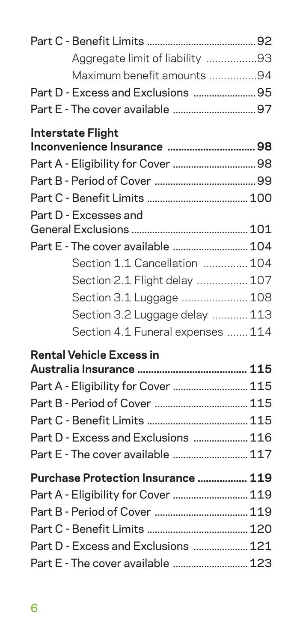| Aggregate limit of liability 93     |  |
|-------------------------------------|--|
| Maximum benefit amounts 94          |  |
| Part D - Excess and Exclusions  95  |  |
|                                     |  |
| <b>Interstate Flight</b>            |  |
|                                     |  |
|                                     |  |
|                                     |  |
|                                     |  |
| Part D - Excesses and               |  |
|                                     |  |
| Part E - The cover available  104   |  |
| Section 1.1 Cancellation  104       |  |
| Section 2.1 Flight delay  107       |  |
| Section 3.1 Luggage  108            |  |
| Section 3.2 Luggage delay  113      |  |
| Section 4.1 Funeral expenses  114   |  |
| <b>Rental Vehicle Excess in</b>     |  |
|                                     |  |
| Part A - Eligibility for Cover  115 |  |
|                                     |  |
|                                     |  |
| Part D - Excess and Exclusions  116 |  |
| Part E - The cover available  117   |  |
| Purchase Protection Insurance  119  |  |
| Part A - Eligibility for Cover  119 |  |
|                                     |  |
|                                     |  |
| Part D - Excess and Exclusions  121 |  |
| Part E - The cover available  123   |  |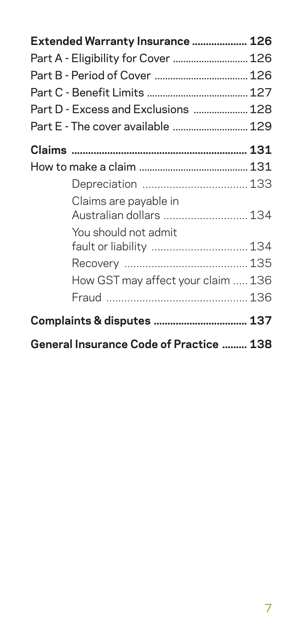| Extended Warranty Insurance  126                 |  |
|--------------------------------------------------|--|
| Part A - Eligibility for Cover  126              |  |
|                                                  |  |
|                                                  |  |
| Part D - Excess and Exclusions  128              |  |
| Part E - The cover available  129                |  |
|                                                  |  |
|                                                  |  |
| Depreciation  133                                |  |
| Claims are payable in<br>Australian dollars  134 |  |
| You should not admit                             |  |
| fault or liability  134                          |  |
|                                                  |  |
| How GST may affect your claim  136               |  |
|                                                  |  |
| Complaints & disputes  137                       |  |
| <b>General Insurance Code of Practice  138</b>   |  |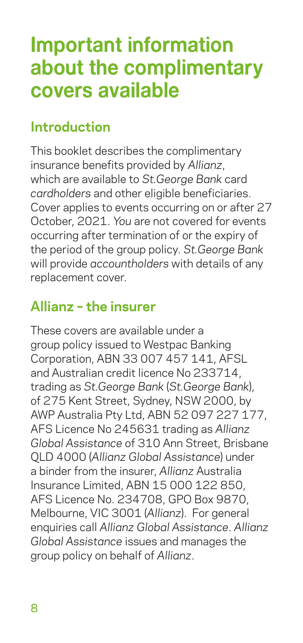## <span id="page-13-0"></span>**Important information about the complimentary covers available**

### **Introduction**

This booklet describes the complimentary insurance benefits provided by *Allianz*, which are available to *St.George Bank* card *cardholders* and other eligible beneficiaries. Cover applies to events occurring on or after 27 October, 2021. *You* are not covered for events occurring after termination of or the expiry of the period of the group policy. *St.George Bank* will provide *accountholders* with details of any replacement cover.

### **Allianz – the insurer**

These covers are available under a group policy issued to Westpac Banking Corporation, ABN 33 007 457 141, AFSL and Australian credit licence No 233714, trading as *St.George Bank* (*St.George Bank*), of 275 Kent Street, Sydney, NSW 2000, by AWP Australia Pty Ltd, ABN 52 097 227 177, AFS Licence No 245631 trading as *Allianz Global Assistance* of 310 Ann Street, Brisbane QLD 4000 (*Allianz Global Assistance*) under a binder from the insurer, *Allianz* Australia Insurance Limited, ABN 15 000 122 850, AFS Licence No. 234708, GPO Box 9870, Melbourne, VIC 3001 (*Allianz*). For general enquiries call *Allianz Global Assistance*. *Allianz Global Assistance* issues and manages the group policy on behalf of *Allianz*.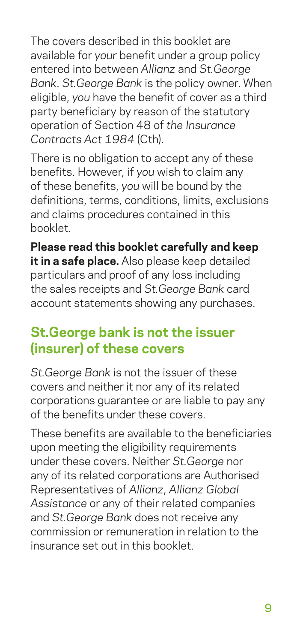<span id="page-14-0"></span>The covers described in this booklet are available for *your* benefit under a group policy entered into between *Allianz* and *St.George Bank*. *St.George Bank* is the policy owner. When eligible, *you* have the benefit of cover as a third party beneficiary by reason of the statutory operation of Section 48 of *the Insurance Contracts Act 1984* (Cth).

There is no obligation to accept any of these benefits. However, if *you* wish to claim any of these benefits, *you* will be bound by the definitions, terms, conditions, limits, exclusions and claims procedures contained in this booklet.

**Please read this booklet carefully and keep it in a safe place.** Also please keep detailed particulars and proof of any loss including the sales receipts and *St.George Bank* card account statements showing any purchases.

### **St.George bank is not the issuer (insurer) of these covers**

*St.George Bank* is not the issuer of these covers and neither it nor any of its related corporations guarantee or are liable to pay any of the benefits under these covers.

These benefits are available to the beneficiaries upon meeting the eligibility requirements under these covers. Neither *St.George* nor any of its related corporations are Authorised Representatives of *Allianz*, *Allianz Global Assistance* or any of their related companies and *St.George Bank* does not receive any commission or remuneration in relation to the insurance set out in this booklet.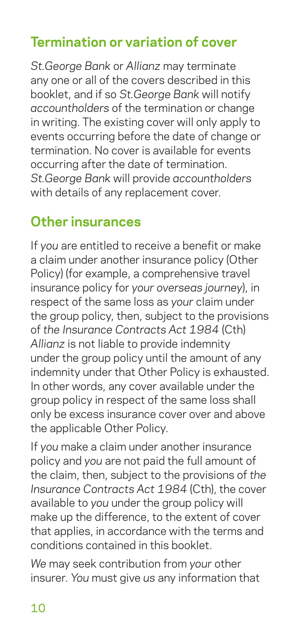### <span id="page-15-0"></span>**Termination or variation of cover**

*St.George Bank* or *Allianz* may terminate any one or all of the covers described in this booklet, and if so *St.George Bank* will notify *accountholders* of the termination or change in writing. The existing cover will only apply to events occurring before the date of change or termination. No cover is available for events occurring after the date of termination. *St.George Bank* will provide *accountholders* with details of any replacement cover.

### **Other insurances**

If *you* are entitled to receive a benefit or make a claim under another insurance policy (Other Policy) (for example, a comprehensive travel insurance policy for *your overseas journey*), in respect of the same loss as *your* claim under the group policy, then, subject to the provisions of *the Insurance Contracts Act 1984* (Cth) *Allianz* is not liable to provide indemnity under the group policy until the amount of any indemnity under that Other Policy is exhausted. In other words, any cover available under the group policy in respect of the same loss shall only be excess insurance cover over and above the applicable Other Policy.

If *you* make a claim under another insurance policy and *you* are not paid the full amount of the claim, then, subject to the provisions of *the Insurance Contracts Act 1984* (Cth), the cover available to *you* under the group policy will make up the difference, to the extent of cover that applies, in accordance with the terms and conditions contained in this booklet.

*We* may seek contribution from *your* other insurer. *You* must give *us* any information that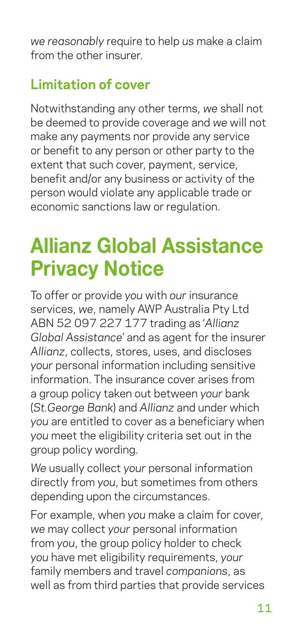<span id="page-16-0"></span>*we reasonably* require to help *us* make a claim from the other insurer.

### **Limitation of cover**

Notwithstanding any other terms, *we* shall not be deemed to provide coverage and *we* will not make any payments nor provide any service or benefit to any person or other party to the extent that such cover, payment, service, benefit and/or any business or activity of the person would violate any applicable trade or economic sanctions law or regulation.

# **Allianz Global Assistance Privacy Notice**

To offer or provide *you* with *our* insurance services, *we*, namely AWP Australia Pty Ltd ABN 52 097 227 177 trading as '*Allianz Global Assistance*' and as agent for the insurer *Allianz*, collects, stores, uses, and discloses *your* personal information including sensitive information. The insurance cover arises from a group policy taken out between *your* bank (*St.George Bank*) and *Allianz* and under which *you* are entitled to cover as a beneficiary when *you* meet the eligibility criteria set out in the group policy wording.

*We* usually collect *your* personal information directly from *you*, but sometimes from others depending upon the circumstances.

For example, when *you* make a claim for cover, *we* may collect *your* personal information from *you*, the group policy holder to check *you* have met eligibility requirements, *your* family members and travel *companions*, as well as from third parties that provide services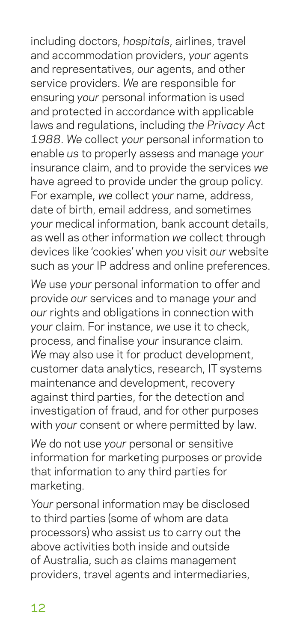including doctors, *hospitals*, airlines, travel and accommodation providers, *your* agents and representatives, *our* agents, and other service providers. *We* are responsible for ensuring *your* personal information is used and protected in accordance with applicable laws and regulations, including *the Privacy Act 1988*. *We* collect *your* personal information to enable *us* to properly assess and manage *your* insurance claim, and to provide the services *we* have agreed to provide under the group policy. For example, *we* collect *your* name, address, date of birth, email address, and sometimes *your* medical information, bank account details, as well as other information *we* collect through devices like 'cookies' when *you* visit *our* website such as *your* IP address and online preferences.

*We* use *your* personal information to offer and provide *our* services and to manage *your* and *our* rights and obligations in connection with *your* claim. For instance, *we* use it to check, process, and finalise *your* insurance claim. *We* may also use it for product development, customer data analytics, research, IT systems maintenance and development, recovery against third parties, for the detection and investigation of fraud, and for other purposes with *your* consent or where permitted by law.

*We* do not use *your* personal or sensitive information for marketing purposes or provide that information to any third parties for marketing.

*Your* personal information may be disclosed to third parties (some of whom are data processors) who assist *us* to carry out the above activities both inside and outside of Australia, such as claims management providers, travel agents and intermediaries,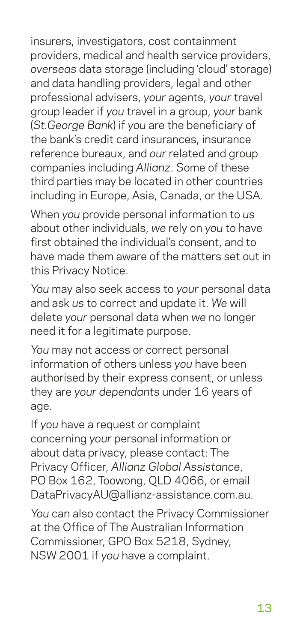insurers, investigators, cost containment providers, medical and health service providers, *overseas* data storage (including 'cloud' storage) and data handling providers, legal and other professional advisers, *your* agents, *your* travel group leader if *you* travel in a group, *your* bank (*St.George Bank*) if *you* are the beneficiary of the bank's credit card insurances, insurance reference bureaux, and *our* related and group companies including *Allianz*. Some of these third parties may be located in other countries including in Europe, Asia, Canada, or the USA.

When *you* provide personal information to *us* about other individuals, *we* rely on *you* to have first obtained the individual's consent, and to have made them aware of the matters set out in this Privacy Notice.

*You* may also seek access to *your* personal data and ask *us* to correct and update it. *We* will delete *your* personal data when *we* no longer need it for a legitimate purpose.

*You* may not access or correct personal information of others unless *you* have been authorised by their express consent, or unless they are *your dependants* under 16 years of age.

If *you* have a request or complaint concerning *your* personal information or about data privacy, please contact: The Privacy Officer, *Allianz Global Assistance*, PO Box 162, Toowong, QLD 4066, or email DataPrivacyAU@allianz-assistance.com.au.

*You* can also contact the Privacy Commissioner at the Office of The Australian Information Commissioner, GPO Box 5218, Sydney, NSW 2001 if *you* have a complaint.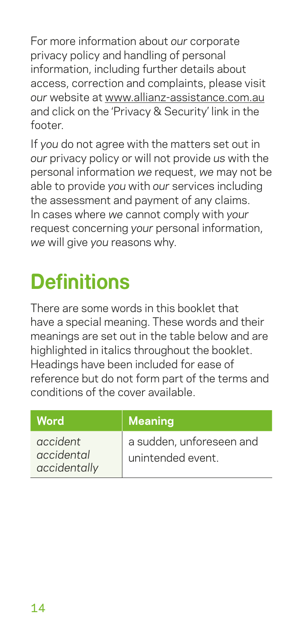<span id="page-19-0"></span>For more information about *our* corporate privacy policy and handling of personal information, including further details about access, correction and complaints, please visit *our* website at www.allianz-assistance.com.au and click on the 'Privacy & Security' link in the footer.

If *you* do not agree with the matters set out in *our* privacy policy or will not provide *us* with the personal information *we* request, *we* may not be able to provide *you* with *our* services including the assessment and payment of any claims. In cases where *we* cannot comply with *your* request concerning *your* personal information, *we* will give *you* reasons why.

# **Definitions**

There are some words in this booklet that have a special meaning. These words and their meanings are set out in the table below and are highlighted in italics throughout the booklet. Headings have been included for ease of reference but do not form part of the terms and conditions of the cover available.

| Word                                   | <b>Meaning</b>                                |
|----------------------------------------|-----------------------------------------------|
| accident<br>accidental<br>accidentally | a sudden, unforeseen and<br>unintended event. |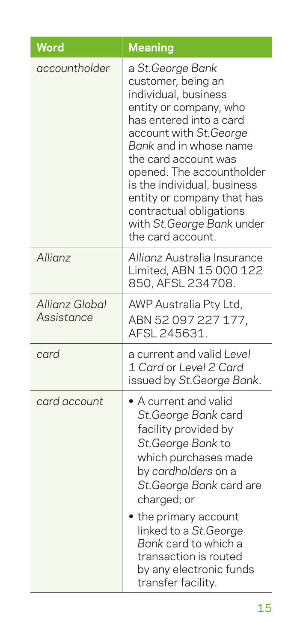| Word                                | <b>Meaning</b>                                                                                                                                                                                                                                                                                                                                                         |
|-------------------------------------|------------------------------------------------------------------------------------------------------------------------------------------------------------------------------------------------------------------------------------------------------------------------------------------------------------------------------------------------------------------------|
| accountholder                       | a St.George Bank<br>customer, being an<br>individual, business<br>entity or company, who<br>has entered into a card<br>account with St.George<br>Bank and in whose name<br>the card account was<br>opened. The accountholder<br>is the individual, business<br>entity or company that has<br>contractual obligations<br>with St.George Bank under<br>the card account. |
| Allianz                             | Allianz Australia Insurance<br>Limited, ABN 15 000 122<br>850, AFSL 234708.                                                                                                                                                                                                                                                                                            |
| <b>Allianz Global</b><br>Assistance | AWP Australia Pty Ltd,<br>ABN 52 097 227 177,<br>AFSL 245631.                                                                                                                                                                                                                                                                                                          |
| card                                | a current and valid Level<br>1 Card or Level 2 Card<br>issued by St. George Bank.                                                                                                                                                                                                                                                                                      |
| card account                        | • A current and valid<br>St.George Bank card<br>facility provided by<br>St. George Bank to<br>which purchases made<br>by cardholders on a<br>St. George Bank card are<br>charged; or<br>the primary account<br>linked to a St. George<br>Bank card to which a<br>transaction is routed<br>by any electronic funds<br>transfer facility.                                |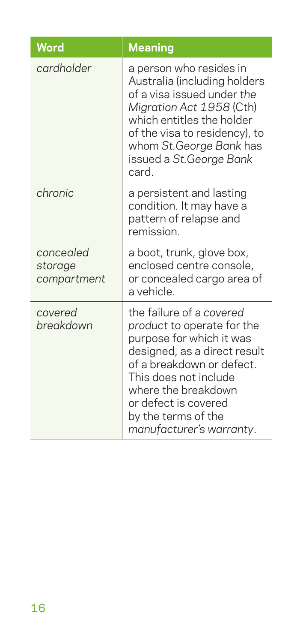| Word                                | <b>Meaning</b>                                                                                                                                                                                                                                                             |
|-------------------------------------|----------------------------------------------------------------------------------------------------------------------------------------------------------------------------------------------------------------------------------------------------------------------------|
| cardholder                          | a person who resides in<br>Australia (including holders<br>of a visa issued under the<br>Migration Act 1958 (Cth)<br>which entitles the holder<br>of the visa to residency), to<br>whom St.George Bank has<br>issued a St.George Bank<br>card.                             |
| chronic                             | a persistent and lasting<br>condition. It may have a<br>pattern of relapse and<br>remission.                                                                                                                                                                               |
| concealed<br>storage<br>compartment | a boot, trunk, glove box,<br>enclosed centre console,<br>or concealed cargo area of<br>a vehicle.                                                                                                                                                                          |
| covered<br>breakdown                | the failure of a covered<br>product to operate for the<br>purpose for which it was<br>designed, as a direct result<br>of a breakdown or defect.<br>This does not include<br>where the breakdown<br>or defect is covered<br>by the terms of the<br>manufacturer's warranty. |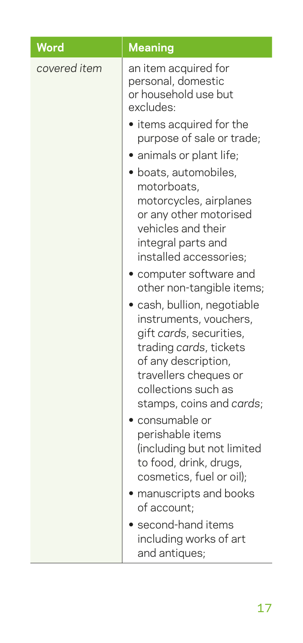| <b>Word</b>  | <b>Meaning</b>                                                                                                                                                                                                                                                                                                                                                                                                                                                                 |
|--------------|--------------------------------------------------------------------------------------------------------------------------------------------------------------------------------------------------------------------------------------------------------------------------------------------------------------------------------------------------------------------------------------------------------------------------------------------------------------------------------|
| covered item | an item acquired for<br>personal, domestic<br>or household use but<br>excludes:<br>• items acquired for the<br>purpose of sale or trade;<br>animals or plant life;<br>· boats, automobiles,<br>motorboats,<br>motorcycles, airplanes<br>or any other motorised<br>vehicles and their<br>integral parts and<br>installed accessories;<br>computer software and<br>other non-tangible items;<br>· cash, bullion, negotiable<br>instruments, vouchers,<br>gift cards, securities, |
|              | trading cards, tickets<br>of any description,<br>travellers cheques or<br>collections such as<br>stamps, coins and cards;<br>consumable or<br>perishable items<br>(including but not limited<br>to food, drink, drugs,<br>cosmetics, fuel or oil);<br>manuscripts and books<br>of account;<br>second-hand items<br>including works of art<br>and antiques;                                                                                                                     |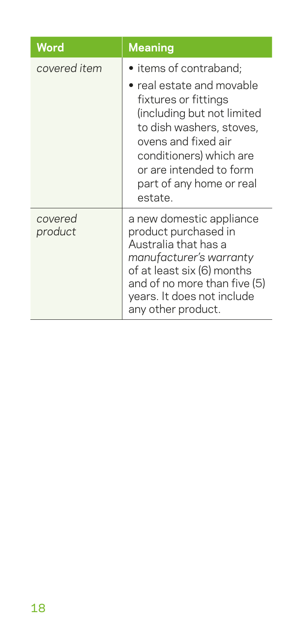| Word               | <b>Meaning</b>                                                                                                                                                                                                                                            |
|--------------------|-----------------------------------------------------------------------------------------------------------------------------------------------------------------------------------------------------------------------------------------------------------|
| covered item       | • items of contraband;<br>• real estate and movable<br>fixtures or fittings<br>(including but not limited<br>to dish washers, stoves,<br>ovens and fixed air<br>conditioners) which are<br>or are intended to form<br>part of any home or real<br>estate. |
| covered<br>product | a new domestic appliance<br>product purchased in<br>Australia that has a<br>manufacturer's warranty<br>of at least six (6) months<br>and of no more than five (5)<br>years. It does not include<br>any other product.                                     |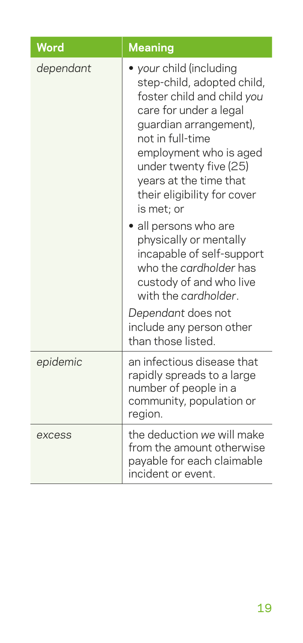| Word      | <b>Meaning</b>                                                                                                                                                                                                                                                                       |
|-----------|--------------------------------------------------------------------------------------------------------------------------------------------------------------------------------------------------------------------------------------------------------------------------------------|
| dependant | your child (including<br>step-child, adopted child,<br>foster child and child you<br>care for under a legal<br>guardian arrangement),<br>not in full-time<br>employment who is aged<br>under twenty five (25)<br>years at the time that<br>their eligibility for cover<br>is met; or |
|           | • all persons who are<br>physically or mentally<br>incapable of self-support<br>who the cardholder has<br>custody of and who live<br>with the cardholder.<br>Dependant does not<br>include any person other<br>than those listed.                                                    |
| epidemic  | an infectious disease that<br>rapidly spreads to a large<br>number of people in a<br>community, population or<br>region.                                                                                                                                                             |
| excess    | the deduction we will make<br>from the amount otherwise<br>payable for each claimable<br>incident or event.                                                                                                                                                                          |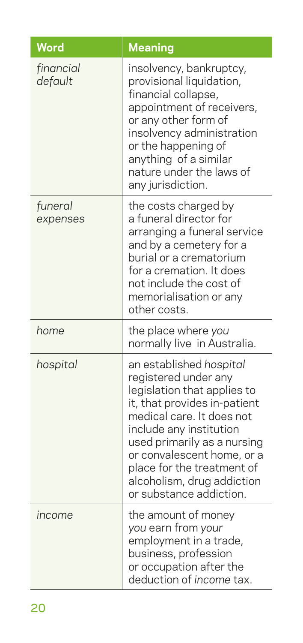| Word                 | <b>Meaning</b>                                                                                                                                                                                                                                                                                                             |
|----------------------|----------------------------------------------------------------------------------------------------------------------------------------------------------------------------------------------------------------------------------------------------------------------------------------------------------------------------|
| financial<br>default | insolvency, bankruptcy,<br>provisional liquidation,<br>financial collapse,<br>appointment of receivers,<br>or any other form of<br>insolvency administration<br>or the happening of<br>anything of a similar<br>nature under the laws of<br>any jurisdiction.                                                              |
| funeral<br>expenses  | the costs charged by<br>a funeral director for<br>arranging a funeral service<br>and by a cemetery for a<br>burial or a crematorium<br>for a cremation. It does<br>not include the cost of<br>memorialisation or any<br>other costs.                                                                                       |
| home                 | the place where you<br>normally live in Australia.                                                                                                                                                                                                                                                                         |
| hospital             | an established hospital<br>registered under any<br>legislation that applies to<br>it, that provides in-patient<br>medical care. It does not<br>include any institution<br>used primarily as a nursing<br>or convalescent home, or a<br>place for the treatment of<br>alcoholism, drug addiction<br>or substance addiction. |
| income               | the amount of money<br>you earn from your<br>employment in a trade,<br>business, profession<br>or occupation after the<br>deduction of income tax.                                                                                                                                                                         |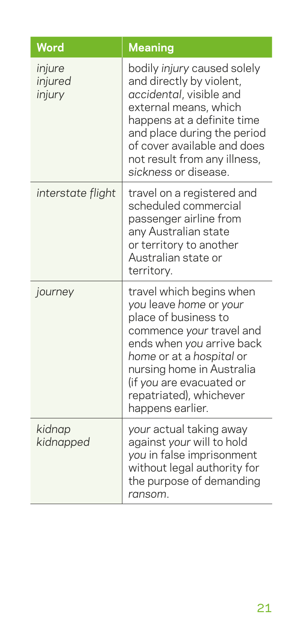| <b>Word</b>                 | <b>Meaning</b>                                                                                                                                                                                                                                                          |
|-----------------------------|-------------------------------------------------------------------------------------------------------------------------------------------------------------------------------------------------------------------------------------------------------------------------|
| injure<br>injured<br>injury | bodily injury caused solely<br>and directly by violent,<br>accidental, visible and<br>external means, which<br>happens at a definite time<br>and place during the period<br>of cover available and does<br>not result from any illness,<br>sickness or disease.         |
| interstate flight           | travel on a registered and<br>scheduled commercial<br>passenger airline from<br>any Australian state<br>or territory to another<br>Australian state or<br>territory.                                                                                                    |
| journey                     | travel which begins when<br>you leave home or your<br>place of business to<br>commence your travel and<br>ends when you arrive back<br>home or at a hospital or<br>nursing home in Australia<br>(if you are evacuated or<br>repatriated), whichever<br>happens earlier. |
| kidnap<br>kidnapped         | your actual taking away<br>against your will to hold<br>you in false imprisonment<br>without legal authority for<br>the purpose of demanding<br>ransom.                                                                                                                 |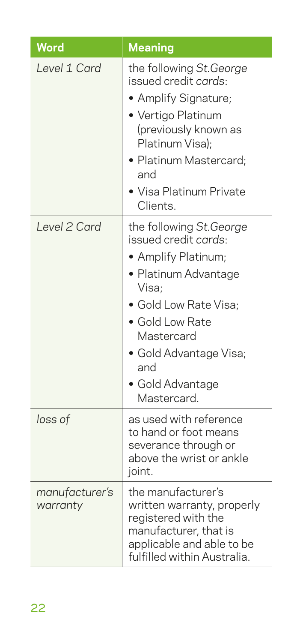| <b>Word</b>                | <b>Meaning</b>                                                                                                                                                                                                                        |
|----------------------------|---------------------------------------------------------------------------------------------------------------------------------------------------------------------------------------------------------------------------------------|
| Level 1 Card               | the following St.George<br>issued credit cards:<br>• Amplify Signature;<br>· Vertigo Platinum<br>(previously known as<br>Platinum Visa);<br>· Platinum Mastercard;<br>and<br>• Visa Platinum Private<br>Clients.                      |
| Level 2 Card               | the following St.George<br>issued credit cards:<br>• Amplify Platinum;<br>• Platinum Advantage<br>Visa;<br>· Gold Low Rate Visa;<br>• Gold Low Rate<br>Mastercard<br>· Gold Advantage Visa;<br>and<br>• Gold Advantage<br>Mastercard. |
| loss of                    | as used with reference<br>to hand or foot means<br>severance through or<br>above the wrist or ankle<br>joint.                                                                                                                         |
| manufacturer's<br>warranty | the manufacturer's<br>written warranty, properly<br>registered with the<br>manufacturer, that is<br>applicable and able to be<br>fulfilled within Australia.                                                                          |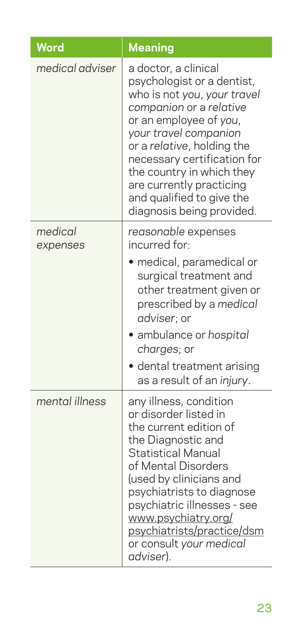| Word                | <b>Meaning</b>                                                                                                                                                                                                                                                                                                                                  |
|---------------------|-------------------------------------------------------------------------------------------------------------------------------------------------------------------------------------------------------------------------------------------------------------------------------------------------------------------------------------------------|
| medical adviser     | a doctor, a clinical<br>psychologist or a dentist,<br>who is not you, your travel<br>companion or a relative<br>or an employee of you,<br>your travel companion<br>or a relative, holding the<br>necessary certification for<br>the country in which they<br>are currently practicing<br>and qualified to give the<br>diagnosis being provided. |
| medical<br>expenses | reasonable expenses<br>incurred for:<br>· medical, paramedical or<br>surgical treatment and<br>other treatment given or<br>prescribed by a medical<br>adviser; or<br>· ambulance or hospital<br>charges; or<br>dental treatment arising<br>as a result of an injury.                                                                            |
| mental illness      | any illness, condition<br>or disorder listed in<br>the current edition of<br>the Diagnostic and<br><b>Statistical Manual</b><br>of Mental Disorders<br>(used by clinicians and<br>psychiatrists to diagnose<br>psychiatric illnesses - see<br>www.psychiatry.org/<br>psychiatrists/practice/dsm<br>or consult your medical<br>adviser).         |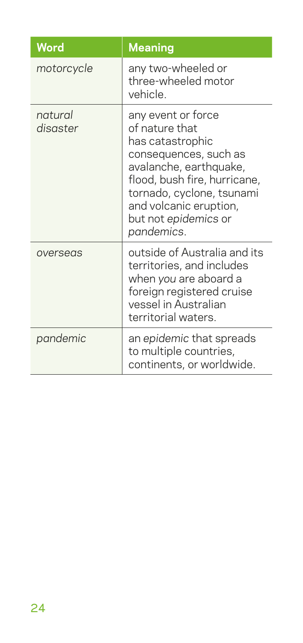| Word                | <b>Meaning</b>                                                                                                                                                                                                                           |
|---------------------|------------------------------------------------------------------------------------------------------------------------------------------------------------------------------------------------------------------------------------------|
| motorcycle          | any two-wheeled or<br>three-wheeled motor<br>vehicle.                                                                                                                                                                                    |
| natural<br>disaster | any event or force<br>of nature that<br>has catastrophic<br>consequences, such as<br>avalanche, earthquake,<br>flood, bush fire, hurricane,<br>tornado, cyclone, tsunami<br>and volcanic eruption,<br>but not epidemics or<br>pandemics. |
| overseas            | outside of Australia and its<br>territories, and includes<br>when you are aboard a<br>foreign registered cruise<br>vessel in Australian<br>territorial waters.                                                                           |
| pandemic            | an epidemic that spreads<br>to multiple countries,<br>continents, or worldwide.                                                                                                                                                          |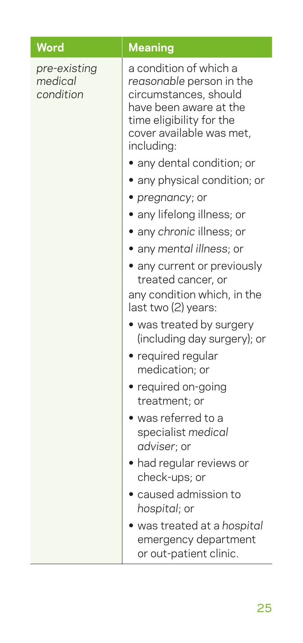| Word                                 | <b>Meaning</b>                                                                                                                                                                                            |
|--------------------------------------|-----------------------------------------------------------------------------------------------------------------------------------------------------------------------------------------------------------|
| pre-existing<br>medical<br>condition | a condition of which a<br>reasonable person in the<br>circumstances, should<br>have been aware at the<br>time eligibility for the<br>cover available was met,<br>including:<br>· any dental condition; or |
|                                      | • any physical condition; or                                                                                                                                                                              |
|                                      | • pregnancy; or                                                                                                                                                                                           |
|                                      | • any lifelong illness; or                                                                                                                                                                                |
|                                      | · any chronic illness; or                                                                                                                                                                                 |
|                                      | • any mental illness; or                                                                                                                                                                                  |
|                                      | • any current or previously<br>treated cancer, or                                                                                                                                                         |
|                                      | any condition which, in the<br>last two (2) years:                                                                                                                                                        |
|                                      | • was treated by surgery<br>(including day surgery); or                                                                                                                                                   |
|                                      | · required regular<br>medication; or                                                                                                                                                                      |
|                                      | • required on-going<br>treatment; or                                                                                                                                                                      |
|                                      | · was referred to a<br>specialist medical<br>adviser; or                                                                                                                                                  |
|                                      | · had regular reviews or<br>check-ups; or                                                                                                                                                                 |
|                                      | · caused admission to<br>hospital; or                                                                                                                                                                     |
|                                      | · was treated at a hospital<br>emergency department<br>or out-patient clinic.                                                                                                                             |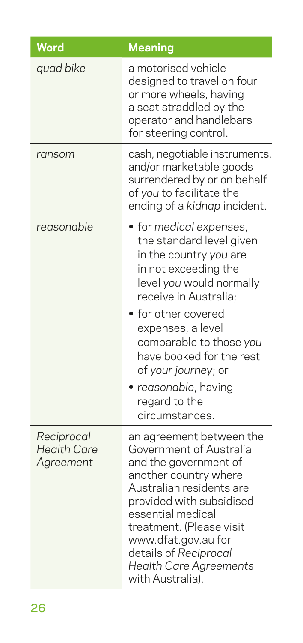| Word                                          | <b>Meaning</b>                                                                                                                                                                                                                                                                                                                              |
|-----------------------------------------------|---------------------------------------------------------------------------------------------------------------------------------------------------------------------------------------------------------------------------------------------------------------------------------------------------------------------------------------------|
| quad bike                                     | a motorised vehicle<br>designed to travel on four<br>or more wheels, having<br>a seat straddled by the<br>operator and handlebars<br>for steering control.                                                                                                                                                                                  |
| ransom                                        | cash, negotiable instruments,<br>and/or marketable goods<br>surrendered by or on behalf<br>of you to facilitate the<br>ending of a kidnap incident.                                                                                                                                                                                         |
| reasonable                                    | • for medical expenses,<br>the standard level given<br>in the country you are<br>in not exceeding the<br>level you would normally<br>receive in Australia;<br>for other covered<br>expenses, a level<br>comparable to those you<br>have booked for the rest<br>of your journey; or<br>reasonable, having<br>regard to the<br>circumstances. |
| Reciprocal<br><b>Health Care</b><br>Agreement | an agreement between the<br>Government of Australia<br>and the government of<br>another country where<br>Australian residents are<br>provided with subsidised<br>essential medical<br>treatment. (Please visit<br>www.dfat.gov.au for<br>details of Reciprocal<br><b>Health Care Agreements</b><br>with Australia).                         |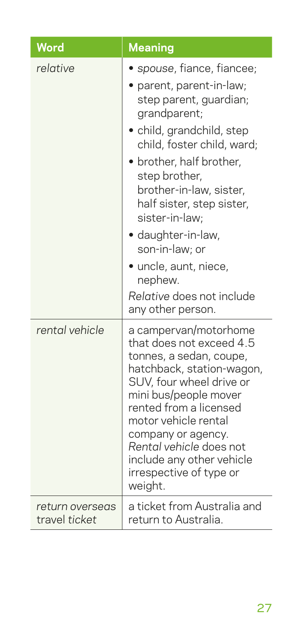| <b>Word</b>                      | <b>Meaning</b>                                                                                                                                                                                                                                                                                                                                                                                               |
|----------------------------------|--------------------------------------------------------------------------------------------------------------------------------------------------------------------------------------------------------------------------------------------------------------------------------------------------------------------------------------------------------------------------------------------------------------|
| relative                         | spouse, fiance, fiancee;<br>parent, parent-in-law;<br>step parent, guardian;<br>grandparent;<br>• child, grandchild, step<br>child, foster child, ward;<br>• brother, half brother,<br>step brother,<br>brother-in-law, sister,<br>half sister, step sister,<br>sister-in-law:<br>· daughter-in-law,<br>son-in-law; or<br>· uncle, aunt, niece,<br>nephew.<br>Relative does not include<br>any other person. |
| rental vehicle                   | a campervan/motorhome<br>that does not exceed 4.5<br>tonnes, a sedan, coupe,<br>hatchback, station-wagon,<br>SUV, four wheel drive or<br>mini bus/people mover<br>rented from a licensed<br>motor vehicle rental<br>company or agency.<br>Rental vehicle does not<br>include any other vehicle<br>irrespective of type or<br>weight.                                                                         |
| return overseas<br>travel ticket | a ticket from Australia and<br>return to Australia.                                                                                                                                                                                                                                                                                                                                                          |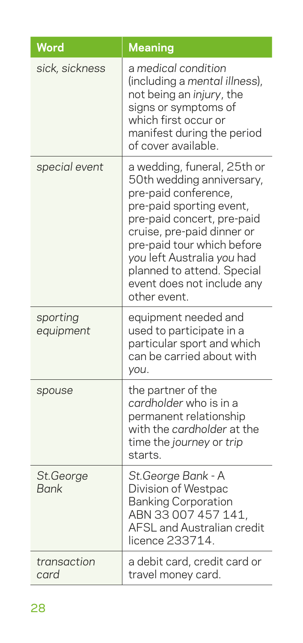| Word                     | <b>Meaning</b>                                                                                                                                                                                                                                                                                                   |
|--------------------------|------------------------------------------------------------------------------------------------------------------------------------------------------------------------------------------------------------------------------------------------------------------------------------------------------------------|
| sick, sickness           | a medical condition<br>(including a mental illness),<br>not being an injury, the<br>signs or symptoms of<br>which first occur or<br>manifest during the period<br>of cover available.                                                                                                                            |
| special event            | a wedding, funeral, 25th or<br>50th wedding anniversary,<br>pre-paid conference,<br>pre-paid sporting event,<br>pre-paid concert, pre-paid<br>cruise, pre-paid dinner or<br>pre-paid tour which before<br>you left Australia you had<br>planned to attend. Special<br>event does not include any<br>other event. |
| sporting<br>equipment    | equipment needed and<br>used to participate in a<br>particular sport and which<br>can be carried about with<br>you.                                                                                                                                                                                              |
| spouse                   | the partner of the<br>cardholder who is in a<br>permanent relationship<br>with the cardholder at the<br>time the journey or trip<br>starts.                                                                                                                                                                      |
| St.George<br><b>Bank</b> | St.George Bank - A<br>Division of Westpac<br><b>Banking Corporation</b><br>ABN 33 007 457 141,<br><b>AFSL and Australian credit</b><br>licence 233714.                                                                                                                                                           |
| transaction<br>card      | a debit card, credit card or<br>travel money card.                                                                                                                                                                                                                                                               |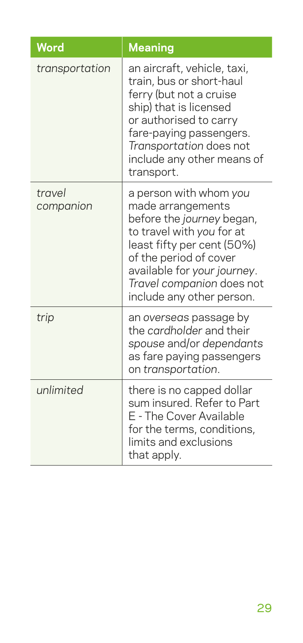| Word                | <b>Meaning</b>                                                                                                                                                                                                                                         |
|---------------------|--------------------------------------------------------------------------------------------------------------------------------------------------------------------------------------------------------------------------------------------------------|
| transportation      | an aircraft, vehicle, taxi,<br>train, bus or short-haul<br>ferry (but not a cruise<br>ship) that is licensed<br>or authorised to carry<br>fare-paying passengers.<br>Transportation does not<br>include any other means of<br>transport.               |
| travel<br>companion | a person with whom you<br>made arrangements<br>before the journey began,<br>to travel with you for at<br>least fifty per cent (50%)<br>of the period of cover<br>available for your journey.<br>Travel companion does not<br>include any other person. |
| trip                | an overseas passage by<br>the cardholder and their<br>spouse and/or dependants<br>as fare paying passengers<br>on transportation.                                                                                                                      |
| unlimited           | there is no capped dollar<br>sum insured. Refer to Part<br>E - The Cover Available<br>for the terms, conditions,<br>limits and exclusions<br>that apply.                                                                                               |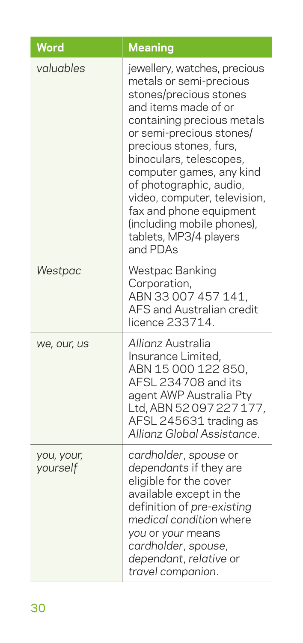| Word                   | <b>Meaning</b>                                                                                                                                                                                                                                                                                                                                                                                                 |
|------------------------|----------------------------------------------------------------------------------------------------------------------------------------------------------------------------------------------------------------------------------------------------------------------------------------------------------------------------------------------------------------------------------------------------------------|
| valuables              | jewellery, watches, precious<br>metals or semi-precious<br>stones/precious stones<br>and items made of or<br>containing precious metals<br>or semi-precious stones/<br>precious stones, furs,<br>binoculars, telescopes,<br>computer games, any kind<br>of photographic, audio,<br>video, computer, television,<br>fax and phone equipment<br>(including mobile phones),<br>tablets, MP3/4 players<br>and PDAs |
| Westpac                | Westpac Banking<br>Corporation,<br>ABN 33 007 457 141,<br><b>AFS and Australian credit</b><br>licence 233714.                                                                                                                                                                                                                                                                                                  |
| we, our, us            | Allianz Australia<br>Insurance Limited,<br>ABN 15 000 122 850,<br>AFSL 234708 and its<br>agent AWP Australia Pty<br>Ltd, ABN 52097227177,<br>AFSL 245631 trading as<br>Allianz Global Assistance.                                                                                                                                                                                                              |
| you, your,<br>yourself | cardholder, spouse or<br>dependants if they are<br>eligible for the cover<br>available except in the<br>definition of pre-existing<br>medical condition where<br>you or your means<br>cardholder, spouse,<br>dependant, relative or<br>travel companion.                                                                                                                                                       |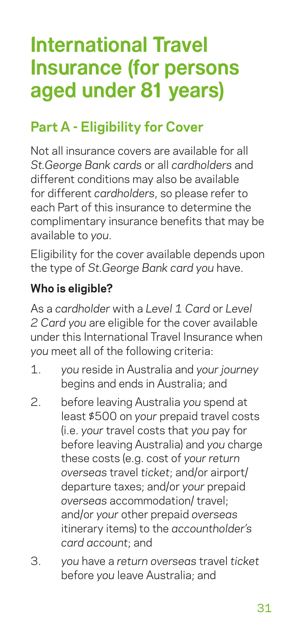# **International Travel Insurance (for persons aged under 81 years)**

## **Part A - Eligibility for Cover**

Not all insurance covers are available for all *St.George Bank cards* or all *cardholders* and different conditions may also be available for different *cardholders*, so please refer to each Part of this insurance to determine the complimentary insurance benefits that may be available to *you*.

Eligibility for the cover available depends upon the type of *St.George Bank card you* have.

#### **Who is eligible?**

As a *cardholder* with a *Level 1 Card* or *Level 2 Card you* are eligible for the cover available under this International Travel Insurance when *you* meet all of the following criteria:

- 1. *you* reside in Australia and *your journey* begins and ends in Australia; and
- 2. before leaving Australia *you* spend at least \$500 on *your* prepaid travel costs (i.e. *your* travel costs that *you* pay for before leaving Australia) and *you* charge these costs (e.g. cost of *your return overseas* travel *ticket*; and/or airport/ departure taxes; and/or *your* prepaid *overseas* accommodation/ travel; and/or *your* other prepaid *overseas* itinerary items) to the *accountholder's card account*; and
- 3. *you* have a *return overseas* travel *ticket* before *you* leave Australia; and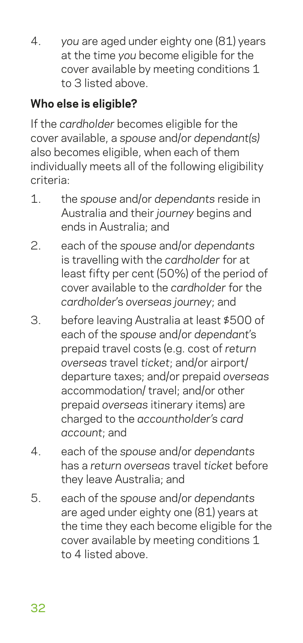4. *you* are aged under eighty one (81) years at the time *you* become eligible for the cover available by meeting conditions 1 to 3 listed above.

## **Who else is eligible?**

If the *cardholder* becomes eligible for the cover available, a *spouse* and/or *dependant(s)* also becomes eligible, when each of them individually meets all of the following eligibility criteria:

- 1. the *spouse* and/or *dependants* reside in Australia and their *journey* begins and ends in Australia; and
- 2. each of the *spouse* and/or *dependants* is travelling with the *cardholder* for at least fifty per cent (50%) of the period of cover available to the *cardholder* for the *cardholder*'s *overseas journey*; and
- 3. before leaving Australia at least \$500 of each of the *spouse* and/or *dependant*'s prepaid travel costs (e.g. cost of *return overseas* travel *ticket*; and/or airport/ departure taxes; and/or prepaid *overseas* accommodation/ travel; and/or other prepaid *overseas* itinerary items) are charged to the *accountholder's card account*; and
- 4. each of the *spouse* and/or *dependants* has a *return overseas* travel *ticket* before they leave Australia; and
- 5. each of the *spouse* and/or *dependants* are aged under eighty one (81) years at the time they each become eligible for the cover available by meeting conditions 1 to 4 listed above.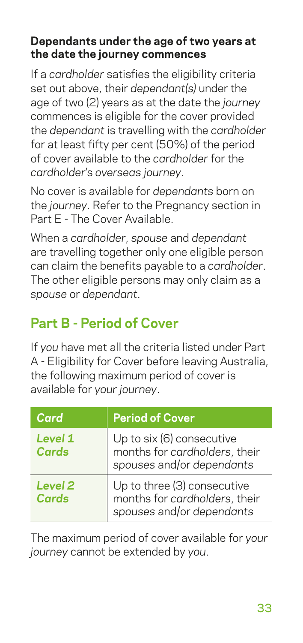#### **Dependants under the age of two years at the date the journey commences**

If a *cardholder* satisfies the eligibility criteria set out above, their *dependant(s)* under the age of two (2) years as at the date the *journey* commences is eligible for the cover provided the *dependant* is travelling with the *cardholder* for at least fifty per cent (50%) of the period of cover available to the *cardholder* for the *cardholder*'s *overseas journey*.

No cover is available for *dependants* born on the *journey*. Refer to the Pregnancy section in Part E - The Cover Available.

When a *cardholder*, *spouse* and *dependant* are travelling together only one eligible person can claim the benefits payable to a *cardholder*. The other eligible persons may only claim as a *spouse* or *dependant*.

## **Part B - Period of Cover**

If *you* have met all the criteria listed under Part A - Eligibility for Cover before leaving Australia, the following maximum period of cover is available for *your journey*.

| Card                        | <b>Period of Cover</b>                                                                    |
|-----------------------------|-------------------------------------------------------------------------------------------|
| Level 1<br>Cards            | Up to six (6) consecutive<br>months for cardholders, their<br>spouses and/or dependants   |
| Level <sub>2</sub><br>Cards | Up to three (3) consecutive<br>months for cardholders, their<br>spouses and/or dependants |

The maximum period of cover available for *your journey* cannot be extended by *you*.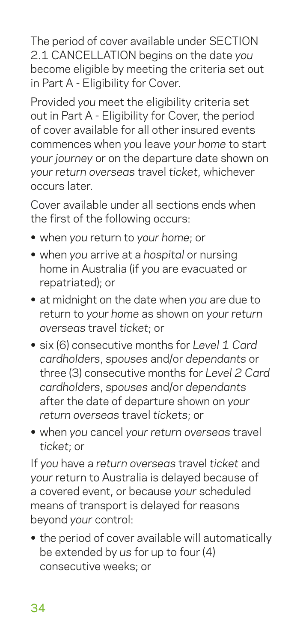The period of cover available under SECTION 2.1 CANCELLATION begins on the date *you* become eligible by meeting the criteria set out in Part A - Eligibility for Cover.

Provided *you* meet the eligibility criteria set out in Part A - Eligibility for Cover, the period of cover available for all other insured events commences when *you* leave *your home* to start *your journey* or on the departure date shown on *your return overseas* travel *ticket*, whichever occurs later.

Cover available under all sections ends when the first of the following occurs:

- **•** when *you* return to *your home*; or
- **•** when *you* arrive at a *hospital* or nursing home in Australia (if *you* are evacuated or repatriated); or
- **•** at midnight on the date when *you* are due to return to *your home* as shown on *your return overseas* travel *ticket*; or
- **•** six (6) consecutive months for *Level 1 Card cardholders*, *spouses* and/or *dependants* or three (3) consecutive months for *Level 2 Card cardholders*, *spouses* and/or *dependants* after the date of departure shown on *your return overseas* travel *tickets*; or
- **•** when *you* cancel *your return overseas* travel *ticket*; or

If *you* have a *return overseas* travel *ticket* and *your* return to Australia is delayed because of a covered event, or because *your* scheduled means of transport is delayed for reasons beyond *your* control:

**•** the period of cover available will automatically be extended by *us* for up to four (4) consecutive weeks; or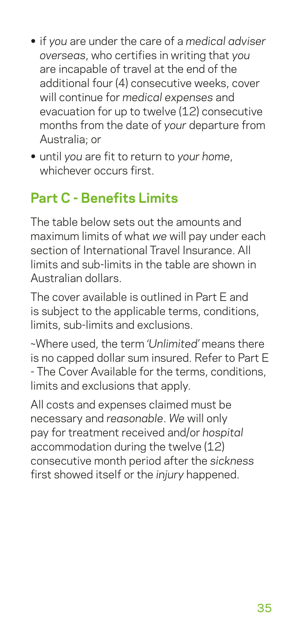- **•** if *you* are under the care of a *medical adviser overseas*, who certifies in writing that *you* are incapable of travel at the end of the additional four (4) consecutive weeks, cover will continue for *medical expenses* and evacuation for up to twelve (12) consecutive months from the date of *your* departure from Australia; or
- **•** until *you* are fit to return to *your home*, whichever occurs first.

## **Part C - Benefits Limits**

The table below sets out the amounts and maximum limits of what *we* will pay under each section of International Travel Insurance. All limits and sub-limits in the table are shown in Australian dollars.

The cover available is outlined in Part E and is subject to the applicable terms, conditions, limits, sub-limits and exclusions.

~Where used, the term *'Unlimited'* means there is no capped dollar sum insured. Refer to Part E - The Cover Available for the terms, conditions, limits and exclusions that apply.

All costs and expenses claimed must be necessary and *reasonable*. *We* will only pay for treatment received and/or *hospital* accommodation during the twelve (12) consecutive month period after the *sickness* first showed itself or the *injury* happened.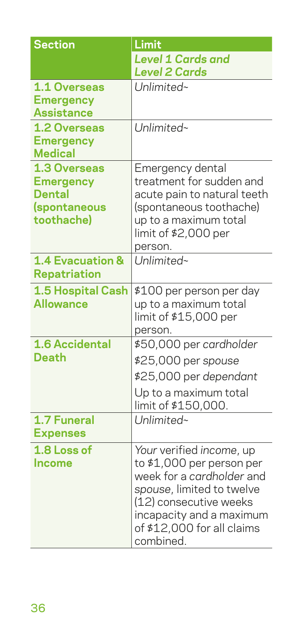| <b>Section</b>                   | Limit                                                 |
|----------------------------------|-------------------------------------------------------|
|                                  | <b>Level 1 Cards and</b>                              |
|                                  | <b>Level 2 Cards</b>                                  |
| 1.1 Overseas                     | Unlimited~                                            |
| <b>Emergency</b>                 |                                                       |
| <b>Assistance</b>                |                                                       |
| 1.2 Overseas<br><b>Emergency</b> | Unlimited~                                            |
| <b>Medical</b>                   |                                                       |
| 1.3 Overseas                     | Emergency dental                                      |
| <b>Emergency</b>                 | treatment for sudden and                              |
| Dental                           | acute pain to natural teeth                           |
| (spontaneous                     | (spontaneous toothache)                               |
| toothache)                       | up to a maximum total                                 |
|                                  | limit of \$2,000 per<br>person.                       |
| 1.4 Evacuation &                 | Unlimited~                                            |
| <b>Repatriation</b>              |                                                       |
| <b>1.5 Hospital Cash</b>         | \$100 per person per day                              |
| <b>Allowance</b>                 | up to a maximum total                                 |
|                                  | limit of \$15,000 per                                 |
|                                  | person.                                               |
| 1.6 Accidental                   | \$50,000 per cardholder                               |
| Death                            | \$25,000 per spouse                                   |
|                                  | \$25,000 per dependant                                |
|                                  | Up to a maximum total                                 |
|                                  | limit of \$150,000.                                   |
| 1.7 Funeral<br><b>Expenses</b>   | Unlimited~                                            |
|                                  |                                                       |
| 1.8 Loss of<br>Income            | Your verified income, up<br>to \$1,000 per person per |
|                                  | week for a cardholder and                             |
|                                  | spouse, limited to twelve                             |
|                                  | (12) consecutive weeks                                |
|                                  | incapacity and a maximum                              |
|                                  | of \$12,000 for all claims                            |
|                                  | combined.                                             |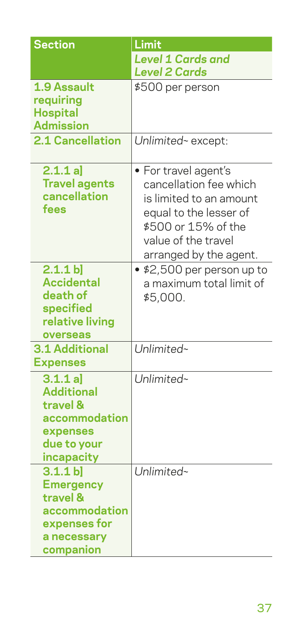| <b>Section</b>                                                                                       | Limit                                                                                                                                                                       |  |
|------------------------------------------------------------------------------------------------------|-----------------------------------------------------------------------------------------------------------------------------------------------------------------------------|--|
|                                                                                                      | <b>Level 1 Cards and</b>                                                                                                                                                    |  |
|                                                                                                      | <b>Level 2 Cards</b>                                                                                                                                                        |  |
| 1.9 Assault<br>requiring<br><b>Hospital</b><br><b>Admission</b>                                      | \$500 per person                                                                                                                                                            |  |
| 2.1 Cancellation                                                                                     | Unlimited~ except:                                                                                                                                                          |  |
| 2.1.1 a]<br><b>Travel agents</b><br>cancellation<br>fees                                             | · For travel agent's<br>cancellation fee which<br>is limited to an amount<br>equal to the lesser of<br>\$500 or 15% of the<br>value of the travel<br>arranged by the agent. |  |
| 2.1.1 b<br><b>Accidental</b><br>death of<br>specified<br>relative living<br>overseas                 | • \$2,500 per person up to<br>a maximum total limit of<br>\$5,000.                                                                                                          |  |
| <b>3.1 Additional</b><br><b>Expenses</b>                                                             | Unlimited~                                                                                                                                                                  |  |
| 3.1.1 a<br><b>Additional</b><br>travel &<br>accommodation<br>expenses<br>due to your<br>incapacity   | Unlimited~                                                                                                                                                                  |  |
| 3.1.1 b<br><b>Emergency</b><br>travel &<br>accommodation<br>expenses for<br>a necessary<br>companion | Unlimited~                                                                                                                                                                  |  |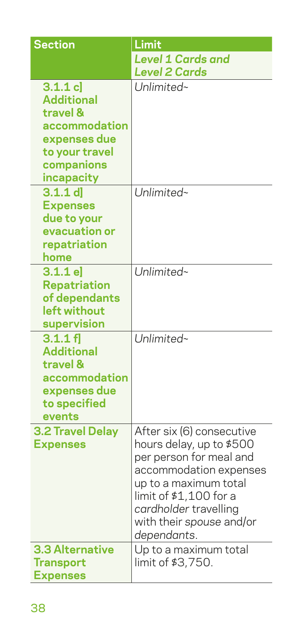| <b>Section</b>                                                                                                          | Limit                                                                                                                                                                                                                             |
|-------------------------------------------------------------------------------------------------------------------------|-----------------------------------------------------------------------------------------------------------------------------------------------------------------------------------------------------------------------------------|
|                                                                                                                         | <b>Level 1 Cards and</b>                                                                                                                                                                                                          |
|                                                                                                                         | <b>Level 2 Cards</b>                                                                                                                                                                                                              |
| 3.1.1 c<br><b>Additional</b><br>travel &<br>accommodation<br>expenses due<br>to your travel<br>companions<br>incapacity | Unlimited~                                                                                                                                                                                                                        |
| $3.1.1$ d<br><b>Expenses</b><br>due to your<br>evacuation or<br>repatriation<br>home                                    | Unlimited~                                                                                                                                                                                                                        |
| 3.1.1 e<br><b>Repatriation</b><br>of dependants<br>left without<br>supervision                                          | Unlimited~                                                                                                                                                                                                                        |
| 3.1.1 f<br><b>Additional</b><br>travel &<br>accommodation<br>expenses due<br>to specified<br>events                     | Unlimited~                                                                                                                                                                                                                        |
| <b>3.2 Travel Delay</b><br><b>Expenses</b>                                                                              | After six (6) consecutive<br>hours delay, up to \$500<br>per person for meal and<br>accommodation expenses<br>up to a maximum total<br>limit of \$1,100 for a<br>cardholder travelling<br>with their spouse and/or<br>dependants. |
| <b>3.3 Alternative</b><br><b>Transport</b><br><b>Expenses</b>                                                           | Up to a maximum total<br>limit of \$3,750.                                                                                                                                                                                        |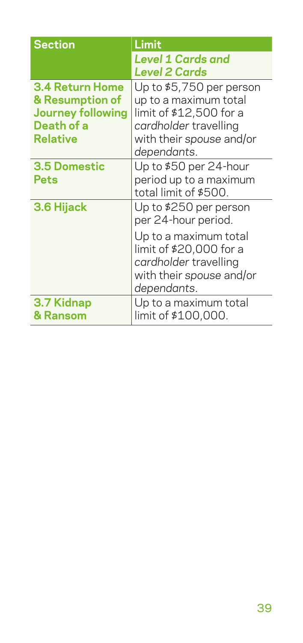| <b>Section</b>                                                                                  | Limit                                                                                                                             |
|-------------------------------------------------------------------------------------------------|-----------------------------------------------------------------------------------------------------------------------------------|
|                                                                                                 | <b>Level 1 Cards and</b>                                                                                                          |
|                                                                                                 | Level 2 Cards                                                                                                                     |
| <b>3.4 Return Home</b><br>& Resumption of<br><b>Journey following</b><br>Death of a<br>Relative | Up to \$5,750 per person<br>up to a maximum total<br>limit of \$12,500 for a<br>cardholder travelling<br>with their spouse and/or |
|                                                                                                 | dependants.                                                                                                                       |
| 3.5 Domestic<br>Pets                                                                            | Up to \$50 per 24-hour<br>period up to a maximum<br>total limit of \$500.                                                         |
| 3.6 Hijack                                                                                      | Up to \$250 per person<br>per 24-hour period.                                                                                     |
|                                                                                                 | Up to a maximum total<br>limit of \$20,000 for a<br>cardholder travelling<br>with their spouse and/or<br>dependants.              |
| 3.7 Kidnap<br>& Ransom                                                                          | Up to a maximum total<br>limit of \$100,000.                                                                                      |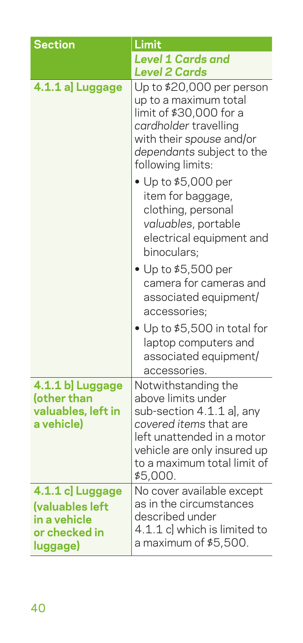| <b>Section</b>                                                                   | Limit                                                                                                                                                                                                                                                                                                                                                                                                                      |
|----------------------------------------------------------------------------------|----------------------------------------------------------------------------------------------------------------------------------------------------------------------------------------------------------------------------------------------------------------------------------------------------------------------------------------------------------------------------------------------------------------------------|
|                                                                                  | <b>Level 1 Cards and</b><br><b>Level 2 Cards</b>                                                                                                                                                                                                                                                                                                                                                                           |
| 4.1.1 al Luggage                                                                 | Up to \$20,000 per person<br>up to a maximum total<br>limit of \$30,000 for a<br>cardholder travelling<br>with their spouse and/or<br>dependants subject to the<br>following limits:<br>$\bullet$ Up to \$5,000 per<br>item for baggage,<br>clothing, personal<br>valuables, portable<br>electrical equipment and<br>binoculars;<br>• Up to \$5,500 per<br>camera for cameras and<br>associated equipment/<br>accessories; |
|                                                                                  | • Up to \$5,500 in total for<br>laptop computers and<br>associated equipment/<br>accessories.                                                                                                                                                                                                                                                                                                                              |
| 4.1.1 b] Luggage<br>(other than<br>valuables, left in<br>a vehicle)              | Notwithstanding the<br>above limits under<br>sub-section 4.1.1 a], any<br>covered items that are<br>left unattended in a motor<br>vehicle are only insured up<br>to a maximum total limit of<br>\$5,000.                                                                                                                                                                                                                   |
| 4.1.1 c] Luggage<br>(valuables left<br>in a vehicle<br>or checked in<br>luggage) | No cover available except<br>as in the circumstances<br>described under<br>4.1.1 c] which is limited to<br>a maximum of \$5,500.                                                                                                                                                                                                                                                                                           |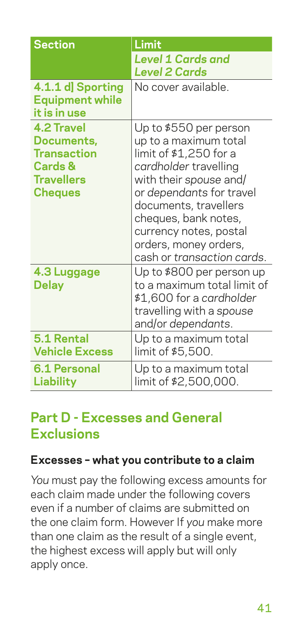| <b>Section</b>                                                                                       | Limit                                                                                                                                                                                                                                                                                      |
|------------------------------------------------------------------------------------------------------|--------------------------------------------------------------------------------------------------------------------------------------------------------------------------------------------------------------------------------------------------------------------------------------------|
|                                                                                                      | <b>Level 1 Cards and</b><br><b>Level 2 Cards</b>                                                                                                                                                                                                                                           |
| 4.1.1 d] Sporting<br><b>Equipment while</b><br>it is in use                                          | No cover available.                                                                                                                                                                                                                                                                        |
| <b>4.2 Travel</b><br>Documents,<br>Transaction<br><b>Cards &amp;</b><br><b>Travellers</b><br>Cheques | Up to \$550 per person<br>up to a maximum total<br>limit of \$1,250 for a<br>cardholder travelling<br>with their spouse and/<br>or dependants for travel<br>documents, travellers<br>cheques, bank notes,<br>currency notes, postal<br>orders, money orders,<br>cash or transaction cards. |
| 4.3 Luggage<br><b>Delay</b>                                                                          | Up to \$800 per person up<br>to a maximum total limit of<br>\$1,600 for a cardholder<br>travelling with a spouse<br>and/or dependants.                                                                                                                                                     |
| 5.1 Rental<br><b>Vehicle Excess</b>                                                                  | Up to a maximum total<br>limit of \$5,500.                                                                                                                                                                                                                                                 |
| 6.1 Personal<br><b>Liability</b>                                                                     | Up to a maximum total<br>limit of \$2,500,000.                                                                                                                                                                                                                                             |

## **Part D - Excesses and General Exclusions**

#### **Excesses – what you contribute to a claim**

*You* must pay the following excess amounts for each claim made under the following covers even if a number of claims are submitted on the one claim form. However If *you* make more than one claim as the result of a single event, the highest excess will apply but will only apply once.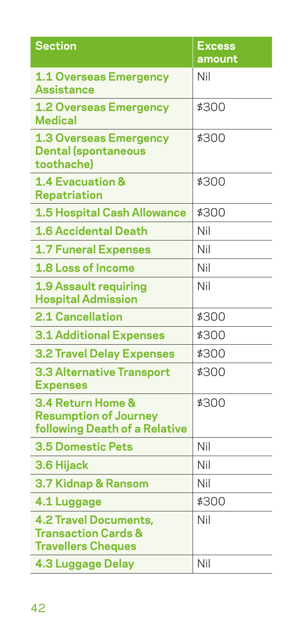| <b>Section</b>                                                                              | <b>Excess</b><br>amount |
|---------------------------------------------------------------------------------------------|-------------------------|
|                                                                                             | Nil                     |
| <b>1.1 Overseas Emergency</b><br><b>Assistance</b>                                          |                         |
| <b>1.2 Overseas Emergency</b><br><b>Medical</b>                                             | \$300                   |
| <b>1.3 Overseas Emergency</b><br><b>Dental (spontaneous</b><br>toothache)                   | \$300                   |
| <b>1.4 Evacuation &amp;</b><br><b>Repatriation</b>                                          | \$300                   |
| <b>1.5 Hospital Cash Allowance</b>                                                          | \$300                   |
| <b>1.6 Accidental Death</b>                                                                 | Nil                     |
| <b>1.7 Funeral Expenses</b>                                                                 | Nil                     |
| 1.8 Loss of Income                                                                          | Nil                     |
| <b>1.9 Assault requiring</b><br><b>Hospital Admission</b>                                   | Nil                     |
| <b>2.1 Cancellation</b>                                                                     | \$300                   |
| <b>3.1 Additional Expenses</b>                                                              | \$300                   |
| <b>3.2 Travel Delay Expenses</b>                                                            | \$300                   |
| <b>3.3 Alternative Transport</b><br><b>Expenses</b>                                         | \$300                   |
| 3.4 Return Home &<br><b>Resumption of Journey</b><br>following Death of a Relative          | \$300                   |
| <b>3.5 Domestic Pets</b>                                                                    | Nil                     |
| 3.6 Hijack                                                                                  | Nil                     |
| 3.7 Kidnap & Ransom                                                                         | Nil                     |
| 4.1 Luggage                                                                                 | \$300                   |
| <b>4.2 Travel Documents,</b><br><b>Transaction Cards &amp;</b><br><b>Travellers Cheques</b> | Nil                     |
| <b>4.3 Luggage Delay</b>                                                                    | Nil                     |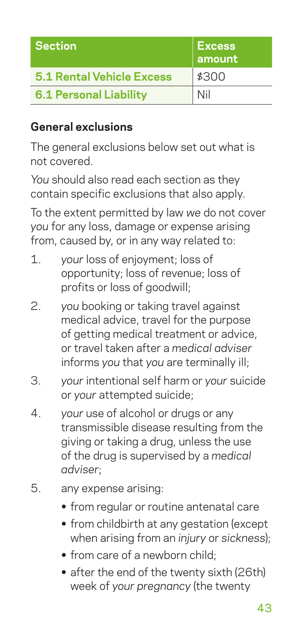| <b>Section</b>                   | <b>Excess</b><br>amount |
|----------------------------------|-------------------------|
| <b>5.1 Rental Vehicle Excess</b> | \$300                   |
| <b>6.1 Personal Liability</b>    | Nil                     |

#### **General exclusions**

The general exclusions below set out what is not covered.

*You* should also read each section as they contain specific exclusions that also apply.

To the extent permitted by law *we* do not cover *you* for any loss, damage or expense arising from, caused by, or in any way related to:

- 1. *your* loss of enjoyment; loss of opportunity; loss of revenue; loss of profits or loss of goodwill;
- 2. *you* booking or taking travel against medical advice, travel for the purpose of getting medical treatment or advice, or travel taken after a *medical adviser* informs *you* that *you* are terminally ill;
- 3. *your* intentional self harm or *your* suicide or *your* attempted suicide;
- 4. *your* use of alcohol or drugs or any transmissible disease resulting from the giving or taking a drug, unless the use of the drug is supervised by a *medical adviser*;
- 5. any expense arising:
	- **•** from regular or routine antenatal care
	- **•** from childbirth at any gestation (except when arising from an *injury* or *sickness*);
	- **•** from care of a newborn child;
	- **•** after the end of the twenty sixth (26th) week of *your pregnancy* (the twenty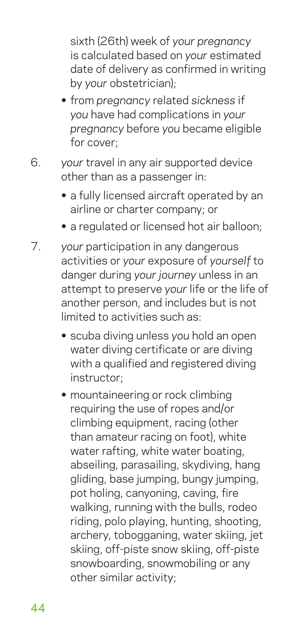sixth (26th) week of *your pregnancy* is calculated based on *your* estimated date of delivery as confirmed in writing by *your* obstetrician);

- **•** from *pregnancy* related *sickness* if *you* have had complications in *your pregnancy* before *you* became eligible for cover;
- 6. *your* travel in any air supported device other than as a passenger in:
	- **•** a fully licensed aircraft operated by an airline or charter company; or
	- **•** a regulated or licensed hot air balloon;
- 7. *your* participation in any dangerous activities or *your* exposure of *yourself* to danger during *your journey* unless in an attempt to preserve *your* life or the life of another person, and includes but is not limited to activities such as:
	- **•** scuba diving unless *you* hold an open water diving certificate or are diving with a qualified and registered diving instructor;
	- **•** mountaineering or rock climbing requiring the use of ropes and/or climbing equipment, racing (other than amateur racing on foot), white water rafting, white water boating, abseiling, parasailing, skydiving, hang gliding, base jumping, bungy jumping, pot holing, canyoning, caving, fire walking, running with the bulls, rodeo riding, polo playing, hunting, shooting, archery, tobogganing, water skiing, jet skiing, off-piste snow skiing, off-piste snowboarding, snowmobiling or any other similar activity;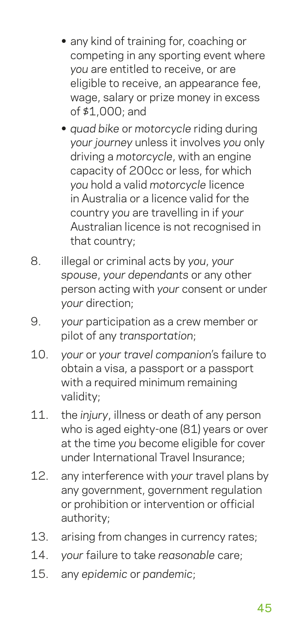- **•** any kind of training for, coaching or competing in any sporting event where *you* are entitled to receive, or are eligible to receive, an appearance fee, wage, salary or prize money in excess of \$1,000; and
- **•** *quad bike* or *motorcycle* riding during *your journey* unless it involves *you* only driving a *motorcycle*, with an engine capacity of 200cc or less, for which *you* hold a valid *motorcycle* licence in Australia or a licence valid for the country *you* are travelling in if *your* Australian licence is not recognised in that country;
- 8. illegal or criminal acts by *you*, *your spouse*, *your dependants* or any other person acting with *your* consent or under *your* direction;
- 9. *your* participation as a crew member or pilot of any *transportation*;
- 10. *your* or *your travel companion*'s failure to obtain a visa, a passport or a passport with a required minimum remaining validity;
- 11. the *injury*, illness or death of any person who is aged eighty-one (81) years or over at the time *you* become eligible for cover under International Travel Insurance;
- 12. any interference with *your* travel plans by any government, government regulation or prohibition or intervention or official authority;
- 13. arising from changes in currency rates;
- 14. *your* failure to take *reasonable* care;
- 15. any *epidemic* or *pandemic*;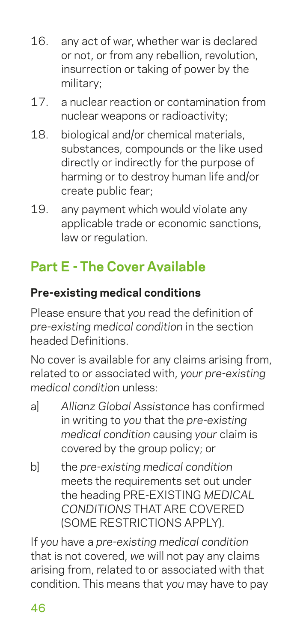- 16. any act of war, whether war is declared or not, or from any rebellion, revolution, insurrection or taking of power by the military;
- 17. a nuclear reaction or contamination from nuclear weapons or radioactivity;
- 18. biological and/or chemical materials, substances, compounds or the like used directly or indirectly for the purpose of harming or to destroy human life and/or create public fear;
- 19. any payment which would violate any applicable trade or economic sanctions, law or regulation.

## **Part E - The Cover Available**

#### **Pre-existing medical conditions**

Please ensure that *you* read the definition of *pre-existing medical condition* in the section headed Definitions.

No cover is available for any claims arising from, related to or associated with, *your pre-existing medical condition* unless:

- a] *Allianz Global Assistance* has confirmed in writing to *you* that the *pre-existing medical condition* causing *your* claim is covered by the group policy; or
- b] the *pre-existing medical condition* meets the requirements set out under the heading PRE-EXISTING *MEDICAL CONDITIONS* THAT ARE COVERED (SOME RESTRICTIONS APPLY).

If *you* have a *pre-existing medical condition* that is not covered, *we* will not pay any claims arising from, related to or associated with that condition. This means that *you* may have to pay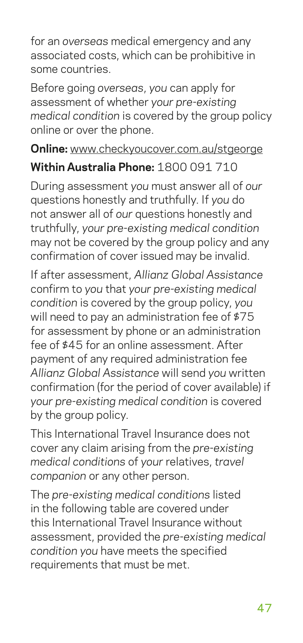for an *overseas* medical emergency and any associated costs, which can be prohibitive in some countries.

Before going *overseas*, *you* can apply for assessment of whether *your pre-existing medical condition* is covered by the group policy online or over the phone.

#### **Online:** www.checkyoucover.com.au/stgeorge

### **Within Australia Phone:** 1800 091 710

During assessment *you* must answer all of *our* questions honestly and truthfully. If *you* do not answer all of *our* questions honestly and truthfully, *your pre-existing medical condition* may not be covered by the group policy and any confirmation of cover issued may be invalid.

If after assessment, *Allianz Global Assistance* confirm to *you* that *your pre-existing medical condition* is covered by the group policy, *you* will need to pay an administration fee of \$75 for assessment by phone or an administration fee of \$45 for an online assessment. After payment of any required administration fee *Allianz Global Assistance* will send *you* written confirmation (for the period of cover available) if *your pre-existing medical condition* is covered by the group policy.

This International Travel Insurance does not cover any claim arising from the *pre-existing medical conditions* of *your* relatives, *travel companion* or any other person.

The *pre-existing medical conditions* listed in the following table are covered under this International Travel Insurance without assessment, provided the *pre-existing medical condition you* have meets the specified requirements that must be met.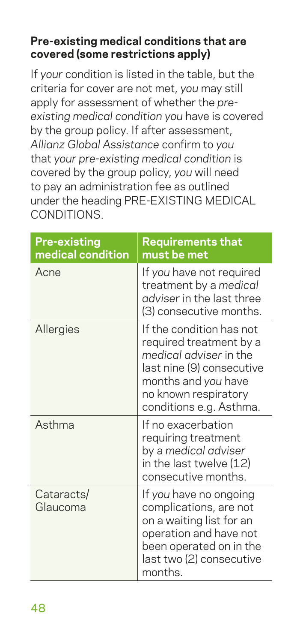#### **Pre-existing medical conditions that are covered (some restrictions apply)**

If *your* condition is listed in the table, but the criteria for cover are not met, *you* may still apply for assessment of whether the *preexisting medical condition you* have is covered by the group policy. If after assessment, *Allianz Global Assistance* confirm to *you* that *your pre-existing medical condition* is covered by the group policy, *you* will need to pay an administration fee as outlined under the heading PRE-EXISTING MEDICAL CONDITIONS.

| <b>Pre-existing</b><br>medical condition | <b>Requirements that</b><br>must be met                                                                                                                                              |
|------------------------------------------|--------------------------------------------------------------------------------------------------------------------------------------------------------------------------------------|
| Acne                                     | If you have not required<br>treatment by a medical<br>adviser in the last three<br>(3) consecutive months.                                                                           |
| Allergies                                | If the condition has not<br>required treatment by a<br>medical adviser in the<br>last nine (9) consecutive<br>months and you have<br>no known respiratory<br>conditions e.g. Asthma. |
| Asthma                                   | If no exacerbation<br>requiring treatment<br>by a medical adviser<br>in the last twelve (12)<br>consecutive months.                                                                  |
| Cataracts/<br>Glaucoma                   | If you have no ongoing<br>complications, are not<br>on a waiting list for an<br>operation and have not<br>been operated on in the<br>last two (2) consecutive<br>months.             |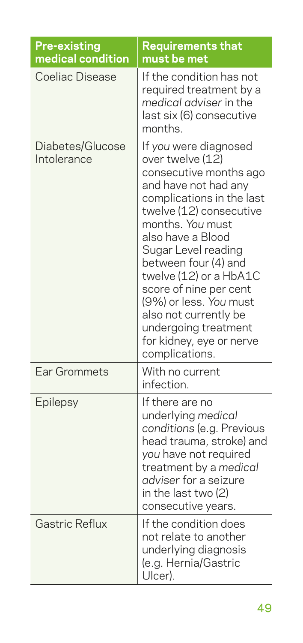| <b>Pre-existing</b><br>medical condition | <b>Requirements that</b><br>must be met                                                                                                                                                                                                                                                                                                                                                                                  |
|------------------------------------------|--------------------------------------------------------------------------------------------------------------------------------------------------------------------------------------------------------------------------------------------------------------------------------------------------------------------------------------------------------------------------------------------------------------------------|
| Coeliac Disease                          | If the condition has not<br>required treatment by a<br>medical adviser in the<br>last six (6) consecutive<br>months.                                                                                                                                                                                                                                                                                                     |
| Diabetes/Glucose<br>Intolerance          | If you were diagnosed<br>over twelve (12)<br>consecutive months ago<br>and have not had any<br>complications in the last<br>twelve (12) consecutive<br>months. You must<br>also have a Blood<br>Sugar Level reading<br>between four (4) and<br>twelve (12) or a HbA1C<br>score of nine per cent<br>(9%) or less. You must<br>also not currently be<br>undergoing treatment<br>for kidney, eye or nerve<br>complications. |
| Ear Grommets                             | With no current<br>infection.                                                                                                                                                                                                                                                                                                                                                                                            |
| Epilepsy                                 | If there are no<br>underlying medical<br>conditions (e.g. Previous<br>head trauma, stroke) and<br>you have not required<br>treatment by a medical<br>adviser for a seizure<br>in the last two (2)<br>consecutive years.                                                                                                                                                                                                  |
| Gastric Reflux                           | If the condition does<br>not relate to another<br>underlying diagnosis<br>(e.g. Hernia/Gastric<br>Ulcer).                                                                                                                                                                                                                                                                                                                |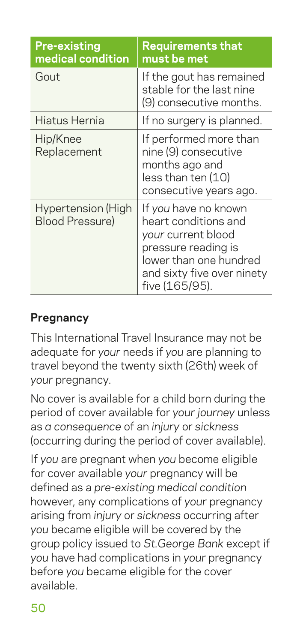| <b>Pre-existing</b><br>medical condition     | <b>Requirements that</b><br>must be met                                                                                                                             |
|----------------------------------------------|---------------------------------------------------------------------------------------------------------------------------------------------------------------------|
| Gout                                         | If the gout has remained<br>stable for the last nine<br>(9) consecutive months.                                                                                     |
| Hiatus Hernia                                | If no surgery is planned.                                                                                                                                           |
| Hip/Knee<br>Replacement                      | If performed more than<br>nine (9) consecutive<br>months ago and<br>less than ten (10)<br>consecutive years ago.                                                    |
| Hypertension (High<br><b>Blood Pressure)</b> | If you have no known<br>heart conditions and<br>your current blood<br>pressure reading is<br>lower than one hundred<br>and sixty five over ninety<br>five (165/95). |

### **Pregnancy**

This International Travel Insurance may not be adequate for *your* needs if *you* are planning to travel beyond the twenty sixth (26th) week of *your* pregnancy.

No cover is available for a child born during the period of cover available for *your journey* unless as *a consequence* of an *injury* or *sickness* (occurring during the period of cover available).

If *you* are pregnant when *you* become eligible for cover available *your* pregnancy will be defined as a *pre-existing medical condition* however, any complications of *your* pregnancy arising from *injury* or *sickness* occurring after *you* became eligible will be covered by the group policy issued to *St.George Bank* except if *you* have had complications in *your* pregnancy before *you* became eligible for the cover available.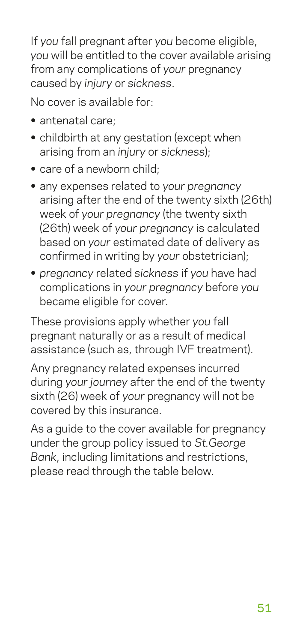If *you* fall pregnant after *you* become eligible, *you* will be entitled to the cover available arising from any complications of *your* pregnancy caused by *injury* or *sickness*.

No cover is available for:

- **•** antenatal care;
- **•** childbirth at any gestation (except when arising from an *injury* or *sickness*);
- **•** care of a newborn child;
- **•** any expenses related to *your pregnancy* arising after the end of the twenty sixth (26th) week of *your pregnancy* (the twenty sixth (26th) week of *your pregnancy* is calculated based on *your* estimated date of delivery as confirmed in writing by *your* obstetrician);
- **•** *pregnancy* related *sickness* if *you* have had complications in *your pregnancy* before *you* became eligible for cover.

These provisions apply whether *you* fall pregnant naturally or as a result of medical assistance (such as, through IVF treatment).

Any pregnancy related expenses incurred during *your journey* after the end of the twenty sixth (26) week of *your* pregnancy will not be covered by this insurance.

As a guide to the cover available for pregnancy under the group policy issued to *St.George Bank*, including limitations and restrictions, please read through the table below.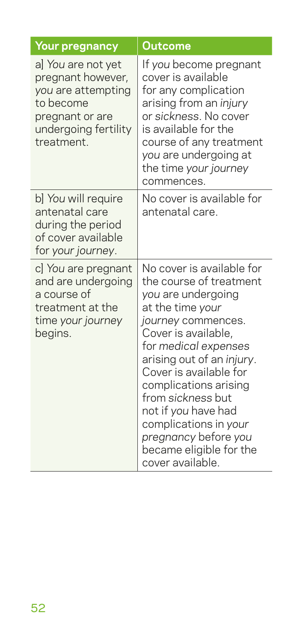| <b>Your pregnancy</b>                                                                                                               | Outcome                                                                                                                                                                                                                                                                                                                                                                                         |
|-------------------------------------------------------------------------------------------------------------------------------------|-------------------------------------------------------------------------------------------------------------------------------------------------------------------------------------------------------------------------------------------------------------------------------------------------------------------------------------------------------------------------------------------------|
| a] You are not yet<br>pregnant however,<br>you are attempting<br>to become<br>pregnant or are<br>undergoing fertility<br>treatment. | If you become pregnant<br>cover is available<br>for any complication<br>arising from an injury<br>or sickness. No cover<br>is available for the<br>course of any treatment<br>you are undergoing at<br>the time your journey<br>commences.                                                                                                                                                      |
| b] You will require<br>antenatal care<br>during the period<br>of cover available<br>for your journey.                               | No cover is available for<br>antenatal care.                                                                                                                                                                                                                                                                                                                                                    |
| c] You are pregnant<br>and are undergoing<br>a course of<br>treatment at the<br>time your journey<br>begins.                        | No cover is available for<br>the course of treatment<br>you are undergoing<br>at the time your<br>journey commences.<br>Cover is available,<br>for medical expenses<br>arising out of an injury.<br>Cover is available for<br>complications arising<br>from sickness but<br>not if you have had<br>complications in your<br>pregnancy before you<br>became eligible for the<br>cover available. |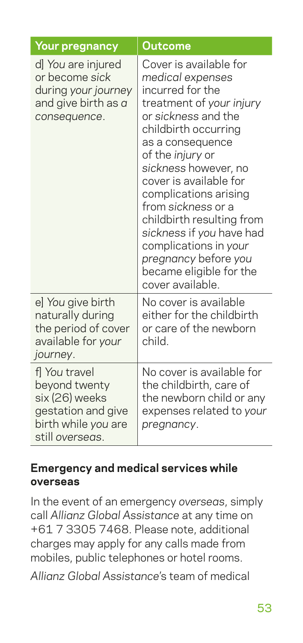| <b>Your pregnancy</b>                                                                                            | <b>Outcome</b>                                                                                                                                                                                                                                                                                                                                                                                                                              |
|------------------------------------------------------------------------------------------------------------------|---------------------------------------------------------------------------------------------------------------------------------------------------------------------------------------------------------------------------------------------------------------------------------------------------------------------------------------------------------------------------------------------------------------------------------------------|
| d] You are injured<br>or become sick<br>during your journey<br>and give birth as a<br>consequence.               | Cover is available for<br>medical expenses<br>incurred for the<br>treatment of your injury<br>or sickness and the<br>childbirth occurring<br>as a consequence<br>of the injury or<br>sickness however, no<br>cover is available for<br>complications arising<br>from sickness or a<br>childbirth resulting from<br>sickness if you have had<br>complications in your<br>pregnancy before you<br>became eligible for the<br>cover available. |
| e] You give birth<br>naturally during<br>the period of cover<br>available for your<br>journey.                   | No cover is available<br>either for the childbirth<br>or care of the newborn<br>child.                                                                                                                                                                                                                                                                                                                                                      |
| fl You travel<br>beyond twenty<br>six (26) weeks<br>gestation and give<br>birth while you are<br>still overseas. | No cover is available for<br>the childbirth, care of<br>the newborn child or any<br>expenses related to your<br>pregnancy.                                                                                                                                                                                                                                                                                                                  |

#### **Emergency and medical services while overseas**

In the event of an emergency *overseas*, simply call *Allianz Global Assistance* at any time on +61 7 3305 7468. Please note, additional charges may apply for any calls made from mobiles, public telephones or hotel rooms.

*Allianz Global Assistance*'s team of medical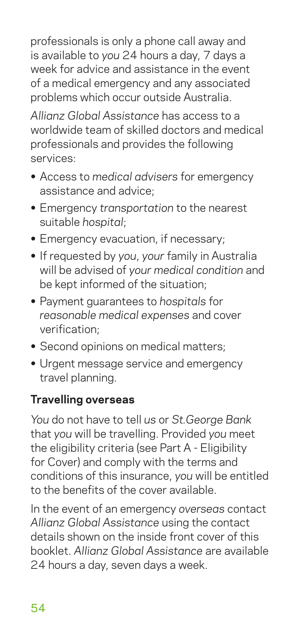professionals is only a phone call away and is available to *you* 24 hours a day, 7 days a week for advice and assistance in the event of a medical emergency and any associated problems which occur outside Australia.

*Allianz Global Assistance* has access to a worldwide team of skilled doctors and medical professionals and provides the following services:

- **•** Access to *medical advisers* for emergency assistance and advice;
- **•** Emergency *transportation* to the nearest suitable *hospital*;
- **•** Emergency evacuation, if necessary;
- **•** If requested by *you*, *your* family in Australia will be advised of *your medical condition* and be kept informed of the situation;
- **•** Payment guarantees to *hospitals* for *reasonable medical expenses* and cover verification;
- **•** Second opinions on medical matters;
- **•** Urgent message service and emergency travel planning.

## **Travelling overseas**

*You* do not have to tell *us* or *St.George Bank* that *you* will be travelling. Provided *you* meet the eligibility criteria (see Part A - Eligibility for Cover) and comply with the terms and conditions of this insurance, *you* will be entitled to the benefits of the cover available.

In the event of an emergency *overseas* contact *Allianz Global Assistance* using the contact details shown on the inside front cover of this booklet. *Allianz Global Assistance* are available 24 hours a day, seven days a week.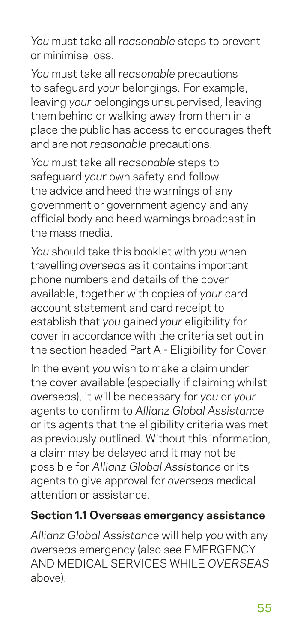*You* must take all *reasonable* steps to prevent or minimise loss.

*You* must take all *reasonable* precautions to safeguard *your* belongings. For example, leaving *your* belongings unsupervised, leaving them behind or walking away from them in a place the public has access to encourages theft and are not *reasonable* precautions.

*You* must take all *reasonable* steps to safeguard *your* own safety and follow the advice and heed the warnings of any government or government agency and any official body and heed warnings broadcast in the mass media.

*You* should take this booklet with *you* when travelling *overseas* as it contains important phone numbers and details of the cover available, together with copies of *your* card account statement and card receipt to establish that *you* gained *your* eligibility for cover in accordance with the criteria set out in the section headed Part A - Eligibility for Cover.

In the event *you* wish to make a claim under the cover available (especially if claiming whilst *overseas*), it will be necessary for *you* or *your* agents to confirm to *Allianz Global Assistance* or its agents that the eligibility criteria was met as previously outlined. Without this information, a claim may be delayed and it may not be possible for *Allianz Global Assistance* or its agents to give approval for *overseas* medical attention or assistance.

#### **Section 1.1 Overseas emergency assistance**

*Allianz Global Assistance* will help *you* with any *overseas* emergency (also see EMERGENCY AND MEDICAL SERVICES WHILE *OVERSEAS* above).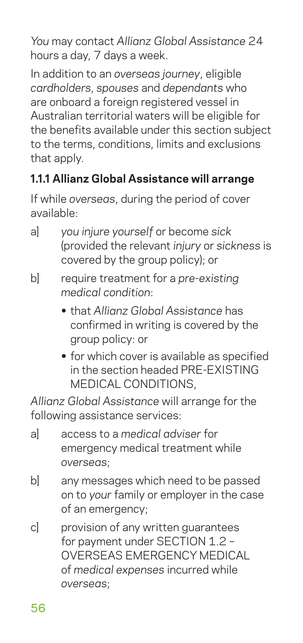*You* may contact *Allianz Global Assistance* 24 hours a day, 7 days a week.

In addition to an *overseas journey*, eligible *cardholders*, *spouses* and *dependants* who are onboard a foreign registered vessel in Australian territorial waters will be eligible for the benefits available under this section subject to the terms, conditions, limits and exclusions that apply.

## **1.1.1 Allianz Global Assistance will arrange**

If while *overseas*, during the period of cover available:

- a] *you injure yourself* or become *sick* (provided the relevant *injury* or *sickness* is covered by the group policy); or
- b] require treatment for a *pre-existing medical condition*:
	- **•** that *Allianz Global Assistance* has confirmed in writing is covered by the group policy: or
	- **•** for which cover is available as specified in the section headed PRE-EXISTING MEDICAL CONDITIONS,

*Allianz Global Assistance* will arrange for the following assistance services:

- a] access to a *medical adviser* for emergency medical treatment while *overseas*;
- b] any messages which need to be passed on to *your* family or employer in the case of an emergency;
- c] provision of any written guarantees for payment under SECTION 1.2 – OVERSEAS EMERGENCY MEDICAL of *medical expenses* incurred while *overseas*;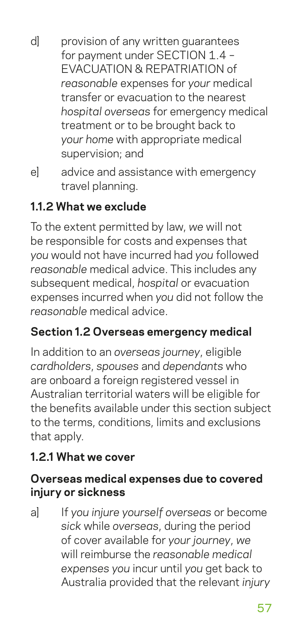- d] provision of any written guarantees for payment under SECTION 1.4 – EVACUATION & REPATRIATION of *reasonable* expenses for *your* medical transfer or evacuation to the nearest *hospital overseas* for emergency medical treatment or to be brought back to *your home* with appropriate medical supervision; and
- e] advice and assistance with emergency travel planning.

## **1.1.2 What we exclude**

To the extent permitted by law, *we* will not be responsible for costs and expenses that *you* would not have incurred had *you* followed *reasonable* medical advice. This includes any subsequent medical, *hospital* or evacuation expenses incurred when *you* did not follow the *reasonable* medical advice.

## **Section 1.2 Overseas emergency medical**

In addition to an *overseas journey*, eligible *cardholders*, *spouses* and *dependants* who are onboard a foreign registered vessel in Australian territorial waters will be eligible for the benefits available under this section subject to the terms, conditions, limits and exclusions that apply.

#### **1.2.1 What we cover**

#### **Overseas medical expenses due to covered injury or sickness**

a] If *you injure yourself overseas* or become *sick* while *overseas*, during the period of cover available for *your journey*, *we* will reimburse the *reasonable medical expenses you* incur until *you* get back to Australia provided that the relevant *injury*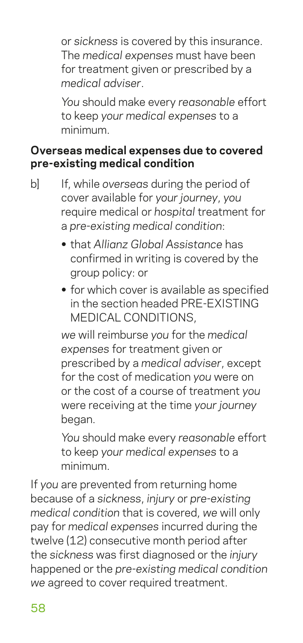or *sickness* is covered by this insurance. The *medical expenses* must have been for treatment given or prescribed by a *medical adviser*.

 *You* should make every *reasonable* effort to keep *your medical expenses* to a minimum.

#### **Overseas medical expenses due to covered pre-existing medical condition**

- b] If, while *overseas* during the period of cover available for *your journey*, *you* require medical or *hospital* treatment for a *pre-existing medical condition*:
	- **•** that *Allianz Global Assistance* has confirmed in writing is covered by the group policy: or
	- **•** for which cover is available as specified in the section headed PRE-EXISTING MEDICAL CONDITIONS,

*we* will reimburse *you* for the *medical expenses* for treatment given or prescribed by a *medical adviser*, except for the cost of medication *you* were on or the cost of a course of treatment *you* were receiving at the time *your journey* began.

*You* should make every *reasonable* effort to keep *your medical expenses* to a minimum.

If *you* are prevented from returning home because of a *sickness*, *injury* or *pre-existing medical condition* that is covered, *we* will only pay for *medical expenses* incurred during the twelve (12) consecutive month period after the *sickness* was first diagnosed or the *injury* happened or the *pre-existing medical condition we* agreed to cover required treatment.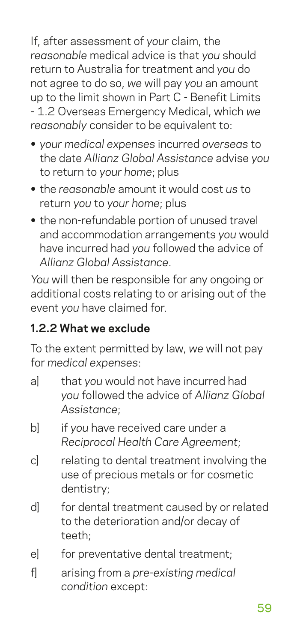If, after assessment of *your* claim, the *reasonable* medical advice is that *you* should return to Australia for treatment and *you* do not agree to do so, *we* will pay *you* an amount up to the limit shown in Part C - Benefit Limits - 1.2 Overseas Emergency Medical, which *we reasonably* consider to be equivalent to:

- **•** *your medical expenses* incurred *overseas* to the date *Allianz Global Assistance* advise *you* to return to *your home*; plus
- **•** the *reasonable* amount it would cost *us* to return *you* to *your home*; plus
- **•** the non-refundable portion of unused travel and accommodation arrangements *you* would have incurred had *you* followed the advice of *Allianz Global Assistance*.

*You* will then be responsible for any ongoing or additional costs relating to or arising out of the event *you* have claimed for.

#### **1.2.2 What we exclude**

To the extent permitted by law, *we* will not pay for *medical expenses*:

- a] that *you* would not have incurred had *you* followed the advice of *Allianz Global Assistance*;
- b] if *you* have received care under a *Reciprocal Health Care Agreement*;
- c] relating to dental treatment involving the use of precious metals or for cosmetic dentistry;
- d] for dental treatment caused by or related to the deterioration and/or decay of teeth;
- e] for preventative dental treatment;
- f] arising from a *pre-existing medical condition* except: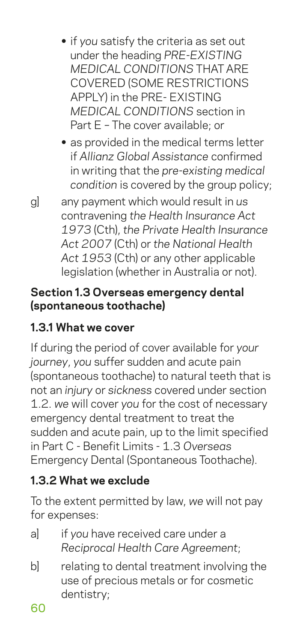- **•** if *you* satisfy the criteria as set out under the heading *PRE-EXISTING MEDICAL CONDITIONS* THAT ARE COVERED (SOME RESTRICTIONS APPLY) in the PRE- EXISTING *MEDICAL CONDITIONS* section in Part E – The cover available; or
- **•** as provided in the medical terms letter if *Allianz Global Assistance* confirmed in writing that the *pre-existing medical condition* is covered by the group policy;
- g] any payment which would result in *us* contravening *the Health Insurance Act 1973* (Cth), *the Private Health Insurance Act 2007* (Cth) or *the National Health Act 1953* (Cth) or any other applicable legislation (whether in Australia or not).

#### **Section 1.3 Overseas emergency dental (spontaneous toothache)**

## **1.3.1 What we cover**

If during the period of cover available for *your journey*, *you* suffer sudden and acute pain (spontaneous toothache) to natural teeth that is not an *injury* or *sickness* covered under section 1.2. *we* will cover *you* for the cost of necessary emergency dental treatment to treat the sudden and acute pain, up to the limit specified in Part C - Benefit Limits - 1.3 *Overseas* Emergency Dental (Spontaneous Toothache).

## **1.3.2 What we exclude**

To the extent permitted by law, *we* will not pay for expenses:

- a] if *you* have received care under a *Reciprocal Health Care Agreement*;
- b] relating to dental treatment involving the use of precious metals or for cosmetic dentistry;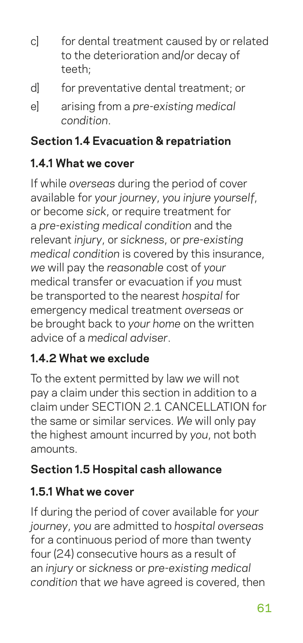- c] for dental treatment caused by or related to the deterioration and/or decay of teeth;
- d] for preventative dental treatment; or
- e] arising from a *pre-existing medical condition*.

#### **Section 1.4 Evacuation & repatriation**

#### **1.4.1 What we cover**

If while *overseas* during the period of cover available for *your journey*, *you injure yourself*, or become *sick*, or require treatment for a *pre-existing medical condition* and the relevant *injury*, or *sickness*, or *pre-existing medical condition* is covered by this insurance, *we* will pay the *reasonable* cost of *your* medical transfer or evacuation if *you* must be transported to the nearest *hospital* for emergency medical treatment *overseas* or be brought back to *your home* on the written advice of a *medical adviser*.

## **1.4.2 What we exclude**

To the extent permitted by law *we* will not pay a claim under this section in addition to a claim under SECTION 2.1 CANCELLATION for the same or similar services. *We* will only pay the highest amount incurred by *you*, not both amounts.

## **Section 1.5 Hospital cash allowance**

## **1.5.1 What we cover**

If during the period of cover available for *your journey*, *you* are admitted to *hospital overseas* for a continuous period of more than twenty four (24) consecutive hours as a result of an *injury* or *sickness* or *pre-existing medical condition* that *we* have agreed is covered, then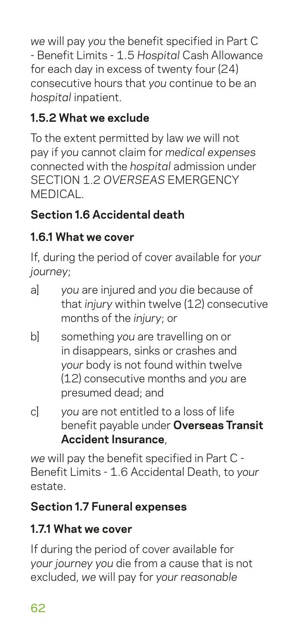*we* will pay *you* the benefit specified in Part C - Benefit Limits - 1.5 *Hospital* Cash Allowance for each day in excess of twenty four (24) consecutive hours that *you* continue to be an *hospital* inpatient.

## **1.5.2 What we exclude**

To the extent permitted by law *we* will not pay if *you* cannot claim for *medical expenses* connected with the *hospital* admission under SECTION 1.2 *OVERSEAS* EMERGENCY **MEDICAL** 

## **Section 1.6 Accidental death**

## **1.6.1 What we cover**

If, during the period of cover available for *your journey*;

- a] *you* are injured and *you* die because of that *injury* within twelve (12) consecutive months of the *injury*; or
- b] something *you* are travelling on or in disappears, sinks or crashes and *your* body is not found within twelve (12) consecutive months and *you* are presumed dead; and
- c] *you* are not entitled to a loss of life benefit payable under **Overseas Transit Accident Insurance**,

*we* will pay the benefit specified in Part C - Benefit Limits - 1.6 Accidental Death, to *your* estate.

## **Section 1.7 Funeral expenses**

## **1.7.1 What we cover**

If during the period of cover available for *your journey you* die from a cause that is not excluded, *we* will pay for *your reasonable*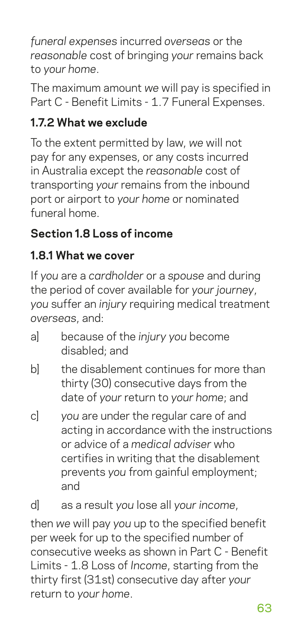*funeral expenses* incurred *overseas* or the *reasonable* cost of bringing *your* remains back to *your home*.

The maximum amount *we* will pay is specified in Part C - Benefit Limits - 1.7 Funeral Expenses.

## **1.7.2 What we exclude**

To the extent permitted by law, *we* will not pay for any expenses, or any costs incurred in Australia except the *reasonable* cost of transporting *your* remains from the inbound port or airport to *your home* or nominated funeral home.

## **Section 1.8 Loss of income**

## **1.8.1 What we cover**

If *you* are a *cardholder* or a *spouse* and during the period of cover available for *your journey*, *you* suffer an *injury* requiring medical treatment *overseas*, and:

- a] because of the *injury you* become disabled; and
- bl the disablement continues for more than thirty (30) consecutive days from the date of *your* return to *your home*; and
- c] *you* are under the regular care of and acting in accordance with the instructions or advice of a *medical adviser* who certifies in writing that the disablement prevents *you* from gainful employment; and

d] as a result *you* lose all *your income*,

then *we* will pay *you* up to the specified benefit per week for up to the specified number of consecutive weeks as shown in Part C - Benefit Limits - 1.8 Loss of *Income*, starting from the thirty first (31st) consecutive day after *your* return to *your home*.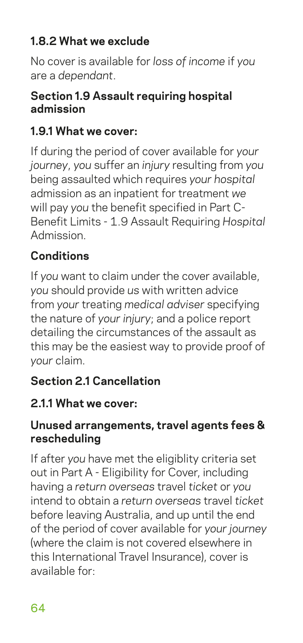#### **1.8.2 What we exclude**

No cover is available for *loss of income* if *you* are a *dependant*.

#### **Section 1.9 Assault requiring hospital admission**

#### **1.9.1 What we cover:**

If during the period of cover available for *your journey*, *you* suffer an *injury* resulting from *you* being assaulted which requires *your hospital* admission as an inpatient for treatment *we* will pay *you* the benefit specified in Part C-Benefit Limits - 1.9 Assault Requiring *Hospital* Admission.

#### **Conditions**

If *you* want to claim under the cover available, *you* should provide *us* with written advice from *your* treating *medical adviser* specifying the nature of *your injury*; and a police report detailing the circumstances of the assault as this may be the easiest way to provide proof of *your* claim.

#### **Section 2.1 Cancellation**

#### **2.1.1 What we cover:**

#### **Unused arrangements, travel agents fees & rescheduling**

If after *you* have met the eligiblity criteria set out in Part A - Eligibility for Cover, including having a *return overseas* travel *ticket* or *you* intend to obtain a *return overseas* travel *ticket* before leaving Australia, and up until the end of the period of cover available for *your journey* (where the claim is not covered elsewhere in this International Travel Insurance), cover is available for: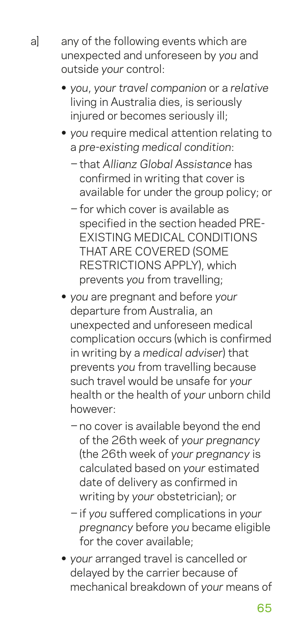a] any of the following events which are unexpected and unforeseen by *you* and outside *your* control:

- **•** *you*, *your travel companion* or a *relative* living in Australia dies, is seriously injured or becomes seriously ill;
- **•** *you* require medical attention relating to a *pre-existing medical condition*:
	- − that *Allianz Global Assistance* has confirmed in writing that cover is available for under the group policy; or
	- − for which cover is available as specified in the section headed PRE-EXISTING MEDICAL CONDITIONS THAT ARE COVERED (SOME RESTRICTIONS APPLY), which prevents *you* from travelling;
- **•** *you* are pregnant and before *your* departure from Australia, an unexpected and unforeseen medical complication occurs (which is confirmed in writing by a *medical adviser*) that prevents *you* from travelling because such travel would be unsafe for *your* health or the health of *your* unborn child however:
	- − no cover is available beyond the end of the 26th week of *your pregnancy* (the 26th week of *your pregnancy* is calculated based on *your* estimated date of delivery as confirmed in writing by *your* obstetrician); or
	- − if *you* suffered complications in *your pregnancy* before *you* became eligible for the cover available;
- **•** *your* arranged travel is cancelled or delayed by the carrier because of mechanical breakdown of *your* means of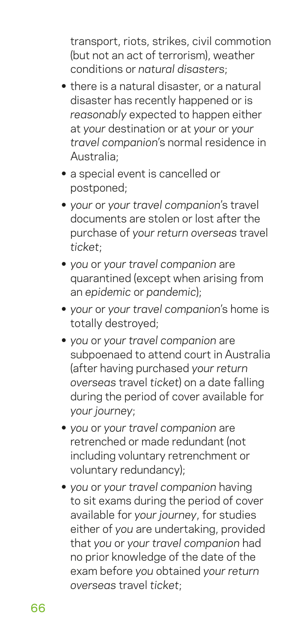transport, riots, strikes, civil commotion (but not an act of terrorism), weather conditions or *natural disasters*;

- **•** there is a natural disaster, or a natural disaster has recently happened or is *reasonably* expected to happen either at *your* destination or at *your* or *your travel companion*'s normal residence in Australia;
- **•** a special event is cancelled or postponed;
- **•** *your* or *your travel companion*'s travel documents are stolen or lost after the purchase of *your return overseas* travel *ticket*;
- **•** *you* or *your travel companion* are quarantined (except when arising from an *epidemic* or *pandemic*);
- **•** *your* or *your travel companion*'s home is totally destroyed;
- **•** *you* or *your travel companion* are subpoenaed to attend court in Australia (after having purchased *your return overseas* travel *ticket*) on a date falling during the period of cover available for *your journey*;
- **•** *you* or *your travel companion* are retrenched or made redundant (not including voluntary retrenchment or voluntary redundancy);
- **•** *you* or *your travel companion* having to sit exams during the period of cover available for *your journey*, for studies either of *you* are undertaking, provided that *you* or *your travel companion* had no prior knowledge of the date of the exam before *you* obtained *your return overseas* travel *ticket*;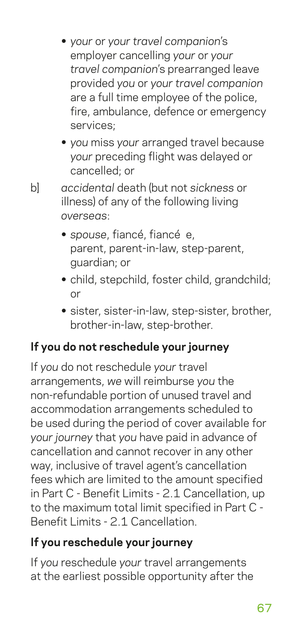- **•** *your* or *your travel companion*'s employer cancelling *your* or *your travel companion*'s prearranged leave provided *you* or *your travel companion* are a full time employee of the police, fire, ambulance, defence or emergency services;
- **•** *you* miss *your* arranged travel because *your* preceding flight was delayed or cancelled; or
- b] *accidental* death (but not *sickness* or illness) of any of the following living *overseas*:
	- **•** *spouse*, fiancé, fiancé e, parent, parent-in-law, step-parent, guardian; or
	- **•** child, stepchild, foster child, grandchild; or
	- **•** sister, sister-in-law, step-sister, brother, brother-in-law, step-brother.

## **If you do not reschedule your journey**

If *you* do not reschedule *your* travel arrangements, *we* will reimburse *you* the non-refundable portion of unused travel and accommodation arrangements scheduled to be used during the period of cover available for *your journey* that *you* have paid in advance of cancellation and cannot recover in any other way, inclusive of travel agent's cancellation fees which are limited to the amount specified in Part C - Benefit Limits - 2.1 Cancellation, up to the maximum total limit specified in Part C - Benefit Limits - 2.1 Cancellation.

## **If you reschedule your journey**

If *you* reschedule *your* travel arrangements at the earliest possible opportunity after the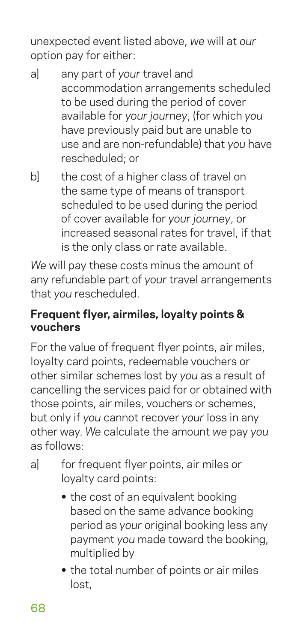unexpected event listed above, *we* will at *our* option pay for either:

- a] any part of *your* travel and accommodation arrangements scheduled to be used during the period of cover available for *your journey*, (for which *you* have previously paid but are unable to use and are non-refundable) that *you* have rescheduled; or
- b] the cost of a higher class of travel on the same type of means of transport scheduled to be used during the period of cover available for *your journey*, or increased seasonal rates for travel, if that is the only class or rate available.

*We* will pay these costs minus the amount of any refundable part of *your* travel arrangements that *you* rescheduled.

#### **Frequent flyer, airmiles, loyalty points & vouchers**

For the value of frequent flyer points, air miles, loyalty card points, redeemable vouchers or other similar schemes lost by *you* as a result of cancelling the services paid for or obtained with those points, air miles, vouchers or schemes, but only if *you* cannot recover *your* loss in any other way. *We* calculate the amount *we* pay *you* as follows:

- a] for frequent flyer points, air miles or loyalty card points:
	- **•** the cost of an equivalent booking based on the same advance booking period as *your* original booking less any payment *you* made toward the booking, multiplied by
	- **•** the total number of points or air miles lost,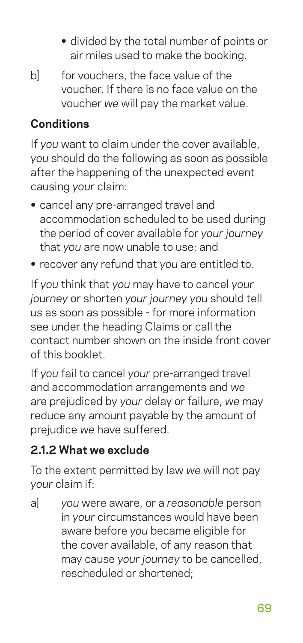- **•** divided by the total number of points or air miles used to make the booking.
- b] for vouchers, the face value of the voucher. If there is no face value on the voucher *we* will pay the market value.

#### **Conditions**

If *you* want to claim under the cover available, *you* should do the following as soon as possible after the happening of the unexpected event causing *your* claim:

- **•** cancel any pre-arranged travel and accommodation scheduled to be used during the period of cover available for *your journey* that *you* are now unable to use; and
- **•** recover any refund that *you* are entitled to.

If *you* think that *you* may have to cancel *your journey* or shorten *your journey you* should tell *us* as soon as possible - for more information see under the heading Claims or call the contact number shown on the inside front cover of this booklet.

If *you* fail to cancel *your* pre-arranged travel and accommodation arrangements and *we* are prejudiced by *your* delay or failure, *we* may reduce any amount payable by the amount of prejudice *we* have suffered.

#### **2.1.2 What we exclude**

To the extent permitted by law *we* will not pay *your* claim if:

a] *you* were aware, or a *reasonable* person in *your* circumstances would have been aware before *you* became eligible for the cover available, of any reason that may cause *your journey* to be cancelled, rescheduled or shortened;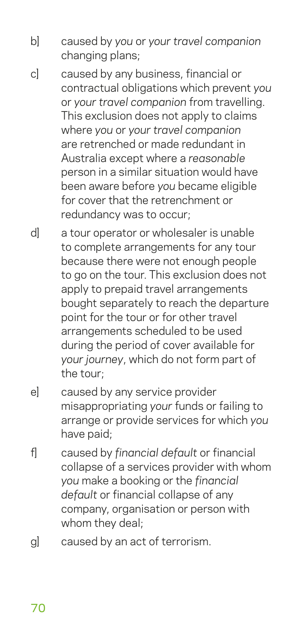- b] caused by *you* or *your travel companion* changing plans;
- c] caused by any business, financial or contractual obligations which prevent *you* or *your travel companion* from travelling. This exclusion does not apply to claims where *you* or *your travel companion* are retrenched or made redundant in Australia except where a *reasonable* person in a similar situation would have been aware before *you* became eligible for cover that the retrenchment or redundancy was to occur;
- d] a tour operator or wholesaler is unable to complete arrangements for any tour because there were not enough people to go on the tour. This exclusion does not apply to prepaid travel arrangements bought separately to reach the departure point for the tour or for other travel arrangements scheduled to be used during the period of cover available for *your journey*, which do not form part of the tour;
- e] caused by any service provider misappropriating *your* funds or failing to arrange or provide services for which *you* have paid;
- f] caused by *financial default* or financial collapse of a services provider with whom *you* make a booking or the *financial default* or financial collapse of any company, organisation or person with whom they deal;
- g] caused by an act of terrorism.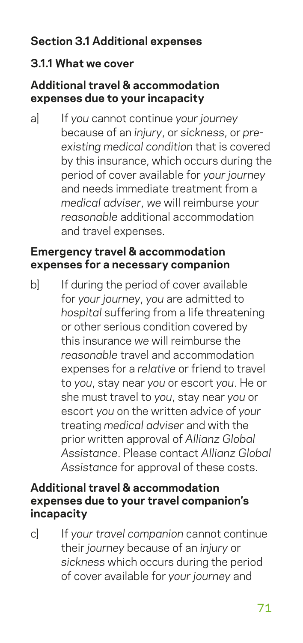#### **Section 3.1 Additional expenses**

#### **3.1.1 What we cover**

#### **Additional travel & accommodation expenses due to your incapacity**

a] If *you* cannot continue *your journey* because of an *injury*, or *sickness*, or *preexisting medical condition* that is covered by this insurance, which occurs during the period of cover available for *your journey* and needs immediate treatment from a *medical adviser*, *we* will reimburse *your reasonable* additional accommodation and travel expenses.

#### **Emergency travel & accommodation expenses for a necessary companion**

b] If during the period of cover available for *your journey*, *you* are admitted to *hospital* suffering from a life threatening or other serious condition covered by this insurance *we* will reimburse the *reasonable* travel and accommodation expenses for a *relative* or friend to travel to *you*, stay near *you* or escort *you*. He or she must travel to *you*, stay near *you* or escort *you* on the written advice of *your* treating *medical adviser* and with the prior written approval of *Allianz Global Assistance*. Please contact *Allianz Global Assistance* for approval of these costs.

#### **Additional travel & accommodation expenses due to your travel companion's incapacity**

c] If *your travel companion* cannot continue their *journey* because of an *injury* or *sickness* which occurs during the period of cover available for *your journey* and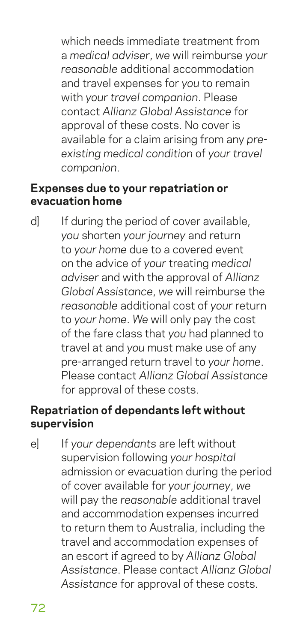which needs immediate treatment from a *medical adviser*, *we* will reimburse *your reasonable* additional accommodation and travel expenses for *you* to remain with *your travel companion*. Please contact *Allianz Global Assistance* for approval of these costs. No cover is available for a claim arising from any *preexisting medical condition* of *your travel companion*.

#### **Expenses due to your repatriation or evacuation home**

d] If during the period of cover available, *you* shorten *your journey* and return to *your home* due to a covered event on the advice of *your* treating *medical adviser* and with the approval of *Allianz Global Assistance*, *we* will reimburse the *reasonable* additional cost of *your* return to *your home*. *We* will only pay the cost of the fare class that *you* had planned to travel at and *you* must make use of any pre-arranged return travel to *your home*. Please contact *Allianz Global Assistance* for approval of these costs.

#### **Repatriation of dependants left without supervision**

e] If *your dependants* are left without supervision following *your hospital* admission or evacuation during the period of cover available for *your journey*, *we* will pay the *reasonable* additional travel and accommodation expenses incurred to return them to Australia, including the travel and accommodation expenses of an escort if agreed to by *Allianz Global Assistance*. Please contact *Allianz Global Assistance* for approval of these costs.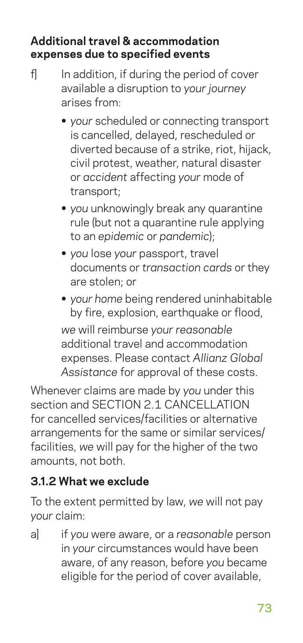#### **Additional travel & accommodation expenses due to specified events**

- f] In addition, if during the period of cover available a disruption to *your journey* arises from:
	- **•** *your* scheduled or connecting transport is cancelled, delayed, rescheduled or diverted because of a strike, riot, hijack, civil protest, weather, natural disaster or *accident* affecting *your* mode of transport;
	- **•** *you* unknowingly break any quarantine rule (but not a quarantine rule applying to an *epidemic* or *pandemic*);
	- **•** *you* lose *your* passport, travel documents or *transaction cards* or they are stolen; or
	- **•** *your home* being rendered uninhabitable by fire, explosion, earthquake or flood, *we* will reimburse *your reasonable* additional travel and accommodation expenses. Please contact *Allianz Global Assistance* for approval of these costs.

Whenever claims are made by *you* under this section and SECTION 2.1 CANCELLATION for cancelled services/facilities or alternative arrangements for the same or similar services/ facilities, *we* will pay for the higher of the two amounts, not both.

#### **3.1.2 What we exclude**

To the extent permitted by law, *we* will not pay *your* claim:

a] if *you* were aware, or a *reasonable* person in *your* circumstances would have been aware, of any reason, before *you* became eligible for the period of cover available,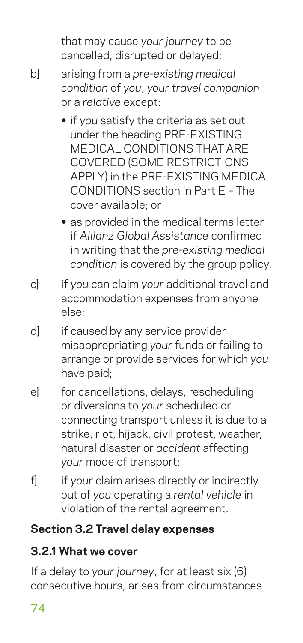that may cause *your journey* to be cancelled, disrupted or delayed;

- b] arising from a *pre-existing medical condition* of *you*, *your travel companion* or a *relative* except:
	- **•** if *you* satisfy the criteria as set out under the heading PRE-EXISTING MEDICAL CONDITIONS THAT ARE COVERED (SOME RESTRICTIONS APPLY) in the PRE-EXISTING MEDICAL CONDITIONS section in Part E – The cover available; or
	- **•** as provided in the medical terms letter if *Allianz Global Assistance* confirmed in writing that the *pre-existing medical condition* is covered by the group policy.
- c] if *you* can claim *your* additional travel and accommodation expenses from anyone else;
- d] if caused by any service provider misappropriating *your* funds or failing to arrange or provide services for which *you* have paid;
- e] for cancellations, delays, rescheduling or diversions to *your* scheduled or connecting transport unless it is due to a strike, riot, hijack, civil protest, weather, natural disaster or *accident* affecting *your* mode of transport;
- f] if *your* claim arises directly or indirectly out of *you* operating a *rental vehicle* in violation of the rental agreement.

#### **Section 3.2 Travel delay expenses**

## **3.2.1 What we cover**

If a delay to *your journey*, for at least six (6) consecutive hours, arises from circumstances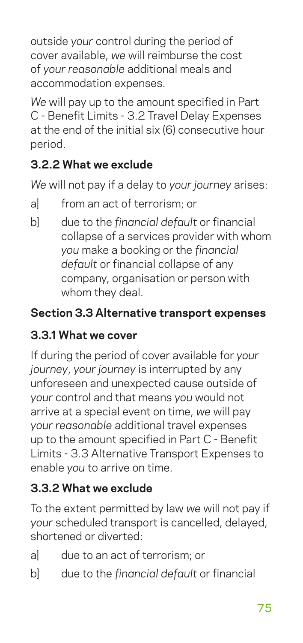outside *your* control during the period of cover available, *we* will reimburse the cost of *your reasonable* additional meals and accommodation expenses.

*We* will pay up to the amount specified in Part C - Benefit Limits - 3.2 Travel Delay Expenses at the end of the initial six (6) consecutive hour period.

## **3.2.2 What we exclude**

*We* will not pay if a delay to *your journey* arises:

- a] from an act of terrorism; or
- b] due to the *financial default* or financial collapse of a services provider with whom *you* make a booking or the *financial default* or financial collapse of any company, organisation or person with whom they deal.

#### **Section 3.3 Alternative transport expenses**

## **3.3.1 What we cover**

If during the period of cover available for *your journey*, *your journey* is interrupted by any unforeseen and unexpected cause outside of *your* control and that means *you* would not arrive at a special event on time, *we* will pay *your reasonable* additional travel expenses up to the amount specified in Part C - Benefit Limits - 3.3 Alternative Transport Expenses to enable *you* to arrive on time.

#### **3.3.2 What we exclude**

To the extent permitted by law *we* will not pay if *your* scheduled transport is cancelled, delayed, shortened or diverted:

- a] due to an act of terrorism; or
- b] due to the *financial default* or financial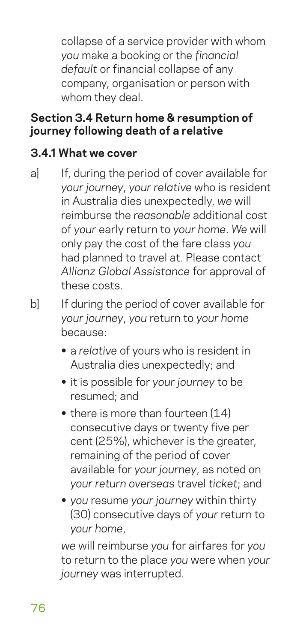collapse of a service provider with whom *you* make a booking or the *financial default* or financial collapse of any company, organisation or person with whom they deal.

#### **Section 3.4 Return home & resumption of journey following death of a relative**

#### **3.4.1 What we cover**

- a] If, during the period of cover available for *your journey*, *your relative* who is resident in Australia dies unexpectedly, *we* will reimburse the *reasonable* additional cost of *your* early return to *your home*. *We* will only pay the cost of the fare class *you* had planned to travel at. Please contact *Allianz Global Assistance* for approval of these costs.
- b] If during the period of cover available for *your journey*, *you* return to *your home* because:
	- **•** a *relative* of yours who is resident in Australia dies unexpectedly; and
	- **•** it is possible for *your journey* to be resumed; and
	- there is more than fourteen (14) consecutive days or twenty five per cent (25%), whichever is the greater, remaining of the period of cover available for *your journey*, as noted on *your return overseas* travel *ticket*; and
	- **•** *you* resume *your journey* within thirty (30) consecutive days of *your* return to *your home*,

*we* will reimburse *you* for airfares for *you* to return to the place *you* were when *your journey* was interrupted.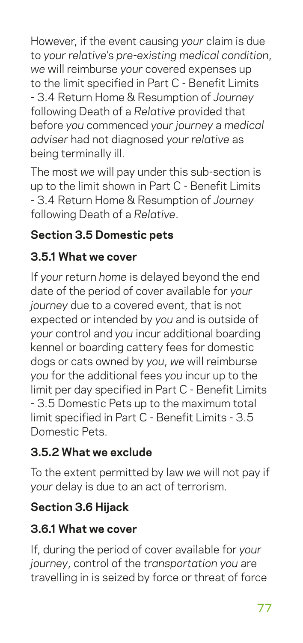However, if the event causing *your* claim is due to *your relative*'s *pre-existing medical condition*, *we* will reimburse *your* covered expenses up to the limit specified in Part C - Benefit Limits - 3.4 Return Home & Resumption of *Journey* following Death of a *Relative* provided that before *you* commenced *your journey* a *medical adviser* had not diagnosed *your relative* as being terminally ill.

The most *we* will pay under this sub-section is up to the limit shown in Part C - Benefit Limits - 3.4 Return Home & Resumption of *Journey* following Death of a *Relative*.

## **Section 3.5 Domestic pets**

## **3.5.1 What we cover**

If *your* return *home* is delayed beyond the end date of the period of cover available for *your journey* due to a covered event, that is not expected or intended by *you* and is outside of *your* control and *you* incur additional boarding kennel or boarding cattery fees for domestic dogs or cats owned by *you*, *we* will reimburse *you* for the additional fees *you* incur up to the limit per day specified in Part C - Benefit Limits - 3.5 Domestic Pets up to the maximum total limit specified in Part C - Benefit Limits - 3.5 Domestic Pets.

## **3.5.2 What we exclude**

To the extent permitted by law *we* will not pay if *your* delay is due to an act of terrorism.

## **Section 3.6 Hijack**

## **3.6.1 What we cover**

If, during the period of cover available for *your journey*, control of the *transportation you* are travelling in is seized by force or threat of force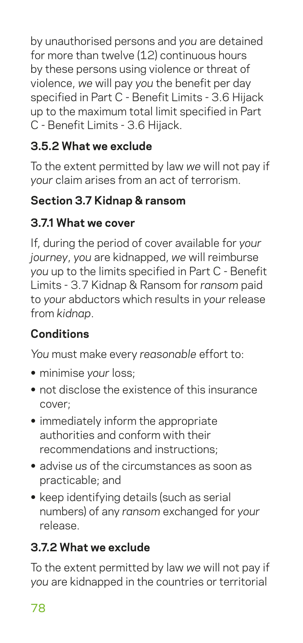by unauthorised persons and *you* are detained for more than twelve (12) continuous hours by these persons using violence or threat of violence, *we* will pay *you* the benefit per day specified in Part C - Benefit Limits - 3.6 Hijack up to the maximum total limit specified in Part C - Benefit Limits - 3.6 Hijack.

## **3.5.2 What we exclude**

To the extent permitted by law *we* will not pay if *your* claim arises from an act of terrorism.

## **Section 3.7 Kidnap & ransom**

#### **3.7.1 What we cover**

If, during the period of cover available for *your journey*, *you* are kidnapped, *we* will reimburse *you* up to the limits specified in Part C - Benefit Limits - 3.7 Kidnap & Ransom for *ransom* paid to *your* abductors which results in *your* release from *kidnap*.

## **Conditions**

*You* must make every *reasonable* effort to:

- **•** minimise *your* loss;
- **•** not disclose the existence of this insurance cover;
- **•** immediately inform the appropriate authorities and conform with their recommendations and instructions;
- **•** advise *us* of the circumstances as soon as practicable; and
- **•** keep identifying details (such as serial numbers) of any *ransom* exchanged for *your* release.

## **3.7.2 What we exclude**

To the extent permitted by law *we* will not pay if *you* are kidnapped in the countries or territorial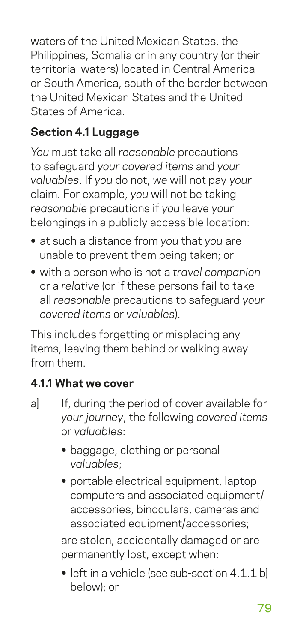waters of the United Mexican States, the Philippines, Somalia or in any country (or their territorial waters) located in Central America or South America, south of the border between the United Mexican States and the United States of America.

## **Section 4.1 Luggage**

*You* must take all *reasonable* precautions to safeguard *your covered items* and *your valuables*. If *you* do not, *we* will not pay *your* claim. For example, *you* will not be taking *reasonable* precautions if *you* leave *your* belongings in a publicly accessible location:

- **•** at such a distance from *you* that *you* are unable to prevent them being taken; or
- **•** with a person who is not a *travel companion* or a *relative* (or if these persons fail to take all *reasonable* precautions to safeguard *your covered items* or *valuables*).

This includes forgetting or misplacing any items, leaving them behind or walking away from them.

#### **4.1.1 What we cover**

- a] If, during the period of cover available for *your journey*, the following *covered items* or *valuables*:
	- **•** baggage, clothing or personal *valuables*;
	- **•** portable electrical equipment, laptop computers and associated equipment/ accessories, binoculars, cameras and associated equipment/accessories;

are stolen, accidentally damaged or are permanently lost, except when:

**•** left in a vehicle (see sub-section 4.1.1 b] below); or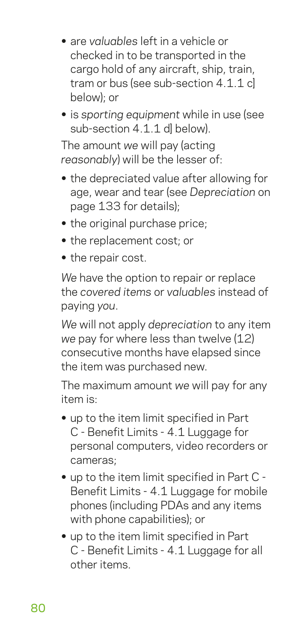- **•** are *valuables* left in a vehicle or checked in to be transported in the cargo hold of any aircraft, ship, train, tram or bus (see sub-section 4.1.1 cl below); or
- **•** is *sporting equipment* while in use (see sub-section 4.1.1 dl below).

The amount *we* will pay (acting *reasonably*) will be the lesser of:

- **•** the depreciated value after allowing for age, wear and tear (see *Depreciation* on page 133 for details);
- **•** the original purchase price;
- **•** the replacement cost; or
- **•** the repair cost.

*We* have the option to repair or replace the *covered items* or *valuables* instead of paying *you*.

*We* will not apply *depreciation* to any item *we* pay for where less than twelve (12) consecutive months have elapsed since the item was purchased new.

The maximum amount *we* will pay for any item is:

- **•** up to the item limit specified in Part C - Benefit Limits - 4.1 Luggage for personal computers, video recorders or cameras;
- **•** up to the item limit specified in Part C Benefit Limits - 4.1 Luggage for mobile phones (including PDAs and any items with phone capabilities); or
- **•** up to the item limit specified in Part C - Benefit Limits - 4.1 Luggage for all other items.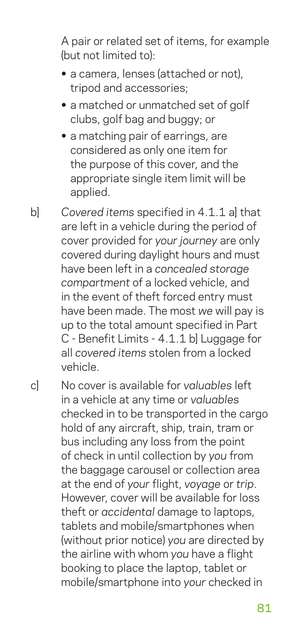A pair or related set of items, for example (but not limited to):

- **•** a camera, lenses (attached or not), tripod and accessories;
- **•** a matched or unmatched set of golf clubs, golf bag and buggy; or
- **•** a matching pair of earrings, are considered as only one item for the purpose of this cover, and the appropriate single item limit will be applied.
- b] *Covered items* specified in 4.1.1 a] that are left in a vehicle during the period of cover provided for *your journey* are only covered during daylight hours and must have been left in a *concealed storage compartment* of a locked vehicle, and in the event of theft forced entry must have been made. The most *we* will pay is up to the total amount specified in Part C - Benefit Limits - 4.1.1 b] Luggage for all *covered items* stolen from a locked vehicle.
- c] No cover is available for *valuables* left in a vehicle at any time or *valuables* checked in to be transported in the cargo hold of any aircraft, ship, train, tram or bus including any loss from the point of check in until collection by *you* from the baggage carousel or collection area at the end of *your* flight, *voyage* or *trip*. However, cover will be available for loss theft or *accidental* damage to laptops, tablets and mobile/smartphones when (without prior notice) *you* are directed by the airline with whom *you* have a flight booking to place the laptop, tablet or mobile/smartphone into *your* checked in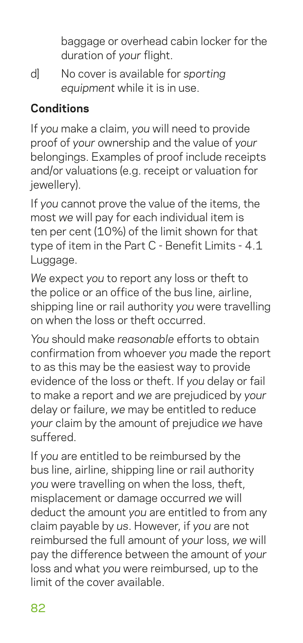baggage or overhead cabin locker for the duration of *your* flight.

d] No cover is available for *sporting equipment* while it is in use.

## **Conditions**

If *you* make a claim, *you* will need to provide proof of *your* ownership and the value of *your* belongings. Examples of proof include receipts and/or valuations (e.g. receipt or valuation for jewellery).

If *you* cannot prove the value of the items, the most *we* will pay for each individual item is ten per cent (10%) of the limit shown for that type of item in the Part C - Benefit Limits - 4.1 Luggage.

*We* expect *you* to report any loss or theft to the police or an office of the bus line, airline, shipping line or rail authority *you* were travelling on when the loss or theft occurred.

*You* should make *reasonable* efforts to obtain confirmation from whoever *you* made the report to as this may be the easiest way to provide evidence of the loss or theft. If *you* delay or fail to make a report and *we* are prejudiced by *your* delay or failure, *we* may be entitled to reduce *your* claim by the amount of prejudice *we* have suffered.

If *you* are entitled to be reimbursed by the bus line, airline, shipping line or rail authority *you* were travelling on when the loss, theft, misplacement or damage occurred *we* will deduct the amount *you* are entitled to from any claim payable by *us*. However, if *you* are not reimbursed the full amount of *your* loss, *we* will pay the difference between the amount of *your* loss and what *you* were reimbursed, up to the limit of the cover available.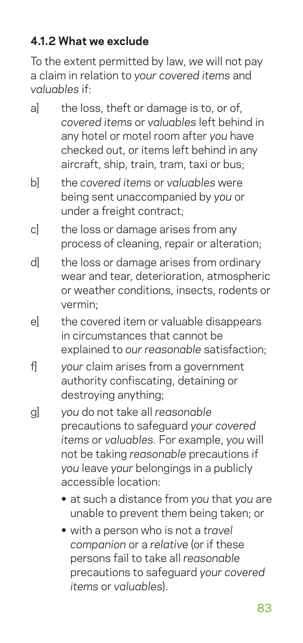## **4.1.2 What we exclude**

To the extent permitted by law, *we* will not pay a claim in relation to *your covered items* and *valuables* if:

- al the loss, theft or damage is to, or of. *covered items* or *valuables* left behind in any hotel or motel room after *you* have checked out, or items left behind in any aircraft, ship, train, tram, taxi or bus;
- b] the *covered items* or *valuables* were being sent unaccompanied by *you* or under a freight contract:
- c] the loss or damage arises from any process of cleaning, repair or alteration;
- d] the loss or damage arises from ordinary wear and tear, deterioration, atmospheric or weather conditions, insects, rodents or vermin;
- e] the covered item or valuable disappears in circumstances that cannot be explained to *our reasonable* satisfaction;
- f] *your* claim arises from a government authority confiscating, detaining or destroying anything;
- g] *you* do not take all *reasonable* precautions to safeguard *your covered items* or *valuables*. For example, *you* will not be taking *reasonable* precautions if *you* leave *your* belongings in a publicly accessible location:
	- **•** at such a distance from *you* that *you* are unable to prevent them being taken; or
	- **•** with a person who is not a *travel companion* or a *relative* (or if these persons fail to take all *reasonable* precautions to safeguard *your covered items* or *valuables*).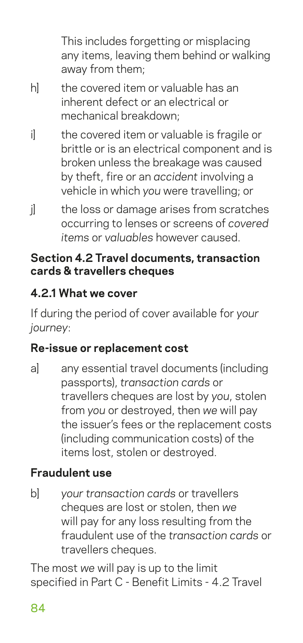This includes forgetting or misplacing any items, leaving them behind or walking away from them;

- h] the covered item or valuable has an inherent defect or an electrical or mechanical breakdown;
- i ithe covered item or valuable is fragile or brittle or is an electrical component and is broken unless the breakage was caused by theft, fire or an *accident* involving a vehicle in which *you* were travelling; or
- j ithe loss or damage arises from scratches occurring to lenses or screens of *covered items* or *valuables* however caused.

#### **Section 4.2 Travel documents, transaction cards & travellers cheques**

## **4.2.1 What we cover**

If during the period of cover available for *your journey*:

## **Re-issue or replacement cost**

a] any essential travel documents (including passports), *transaction cards* or travellers cheques are lost by *you*, stolen from *you* or destroyed, then *we* will pay the issuer's fees or the replacement costs (including communication costs) of the items lost, stolen or destroyed.

## **Fraudulent use**

b] *your transaction cards* or travellers cheques are lost or stolen, then *we* will pay for any loss resulting from the fraudulent use of the *transaction cards* or travellers cheques.

The most *we* will pay is up to the limit specified in Part C - Benefit Limits - 4.2 Travel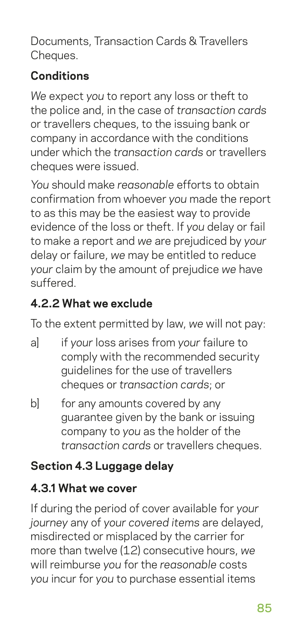Documents, Transaction Cards & Travellers Cheques.

#### **Conditions**

*We* expect *you* to report any loss or theft to the police and, in the case of *transaction cards* or travellers cheques, to the issuing bank or company in accordance with the conditions under which the *transaction cards* or travellers cheques were issued.

*You* should make *reasonable* efforts to obtain confirmation from whoever *you* made the report to as this may be the easiest way to provide evidence of the loss or theft. If *you* delay or fail to make a report and *we* are prejudiced by *your* delay or failure, *we* may be entitled to reduce *your* claim by the amount of prejudice *we* have suffered.

#### **4.2.2 What we exclude**

To the extent permitted by law, *we* will not pay:

- a] if *your* loss arises from *your* failure to comply with the recommended security guidelines for the use of travellers cheques or *transaction cards*; or
- b] for any amounts covered by any guarantee given by the bank or issuing company to *you* as the holder of the *transaction cards* or travellers cheques.

## **Section 4.3 Luggage delay**

## **4.3.1 What we cover**

If during the period of cover available for *your journey* any of *your covered items* are delayed, misdirected or misplaced by the carrier for more than twelve (12) consecutive hours, *we* will reimburse *you* for the *reasonable* costs *you* incur for *you* to purchase essential items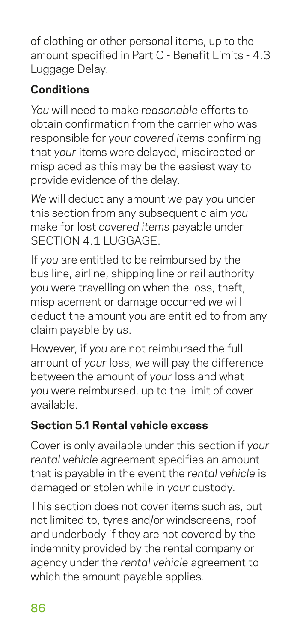of clothing or other personal items, up to the amount specified in Part C - Benefit Limits - 4.3 Luggage Delay.

## **Conditions**

*You* will need to make *reasonable* efforts to obtain confirmation from the carrier who was responsible for *your covered items* confirming that *your* items were delayed, misdirected or misplaced as this may be the easiest way to provide evidence of the delay.

*We* will deduct any amount *we* pay *you* under this section from any subsequent claim *you* make for lost *covered items* payable under SECTION 4.1 LUGGAGE.

If *you* are entitled to be reimbursed by the bus line, airline, shipping line or rail authority *you* were travelling on when the loss, theft, misplacement or damage occurred *we* will deduct the amount *you* are entitled to from any claim payable by *us*.

However, if *you* are not reimbursed the full amount of *your* loss, *we* will pay the difference between the amount of *your* loss and what *you* were reimbursed, up to the limit of cover available.

## **Section 5.1 Rental vehicle excess**

Cover is only available under this section if *your rental vehicle* agreement specifies an amount that is payable in the event the *rental vehicle* is damaged or stolen while in *your* custody.

This section does not cover items such as, but not limited to, tyres and/or windscreens, roof and underbody if they are not covered by the indemnity provided by the rental company or agency under the *rental vehicle* agreement to which the amount payable applies.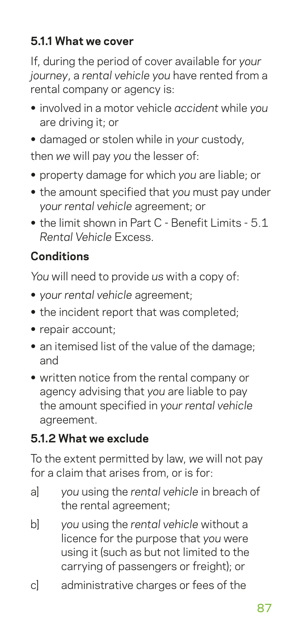## **5.1.1 What we cover**

If, during the period of cover available for *your journey*, a *rental vehicle you* have rented from a rental company or agency is:

- **•** involved in a motor vehicle *accident* while *you* are driving it; or
- **•** damaged or stolen while in *your* custody,

then *we* will pay *you* the lesser of:

- **•** property damage for which *you* are liable; or
- **•** the amount specified that *you* must pay under *your rental vehicle* agreement; or
- **•** the limit shown in Part C Benefit Limits 5.1 *Rental Vehicle* Excess.

## **Conditions**

*You* will need to provide *us* with a copy of:

- **•** *your rental vehicle* agreement;
- **•** the incident report that was completed;
- **•** repair account;
- **•** an itemised list of the value of the damage; and
- **•** written notice from the rental company or agency advising that *you* are liable to pay the amount specified in *your rental vehicle* agreement.

## **5.1.2 What we exclude**

To the extent permitted by law, *we* will not pay for a claim that arises from, or is for:

- a] *you* using the *rental vehicle* in breach of the rental agreement;
- b] *you* using the *rental vehicle* without a licence for the purpose that *you* were using it (such as but not limited to the carrying of passengers or freight); or
- c] administrative charges or fees of the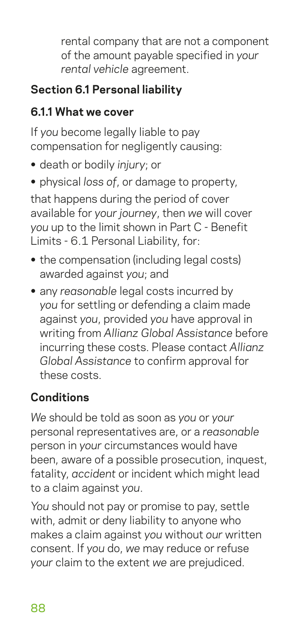rental company that are not a component of the amount payable specified in *your rental vehicle* agreement.

## **Section 6.1 Personal liability**

## **6.1.1 What we cover**

If *you* become legally liable to pay compensation for negligently causing:

- **•** death or bodily *injury*; or
- **•** physical *loss of*, or damage to property,

that happens during the period of cover available for *your journey*, then *we* will cover *you* up to the limit shown in Part C - Benefit Limits - 6.1 Personal Liability, for:

- **•** the compensation (including legal costs) awarded against *you*; and
- **•** any *reasonable* legal costs incurred by *you* for settling or defending a claim made against *you*, provided *you* have approval in writing from *Allianz Global Assistance* before incurring these costs. Please contact *Allianz Global Assistance* to confirm approval for these costs.

## **Conditions**

*We* should be told as soon as *you* or *your* personal representatives are, or a *reasonable* person in *your* circumstances would have been, aware of a possible prosecution, inquest, fatality, *accident* or incident which might lead to a claim against *you*.

*You* should not pay or promise to pay, settle with, admit or deny liability to anyone who makes a claim against *you* without *our* written consent. If *you* do, *we* may reduce or refuse *your* claim to the extent *we* are prejudiced.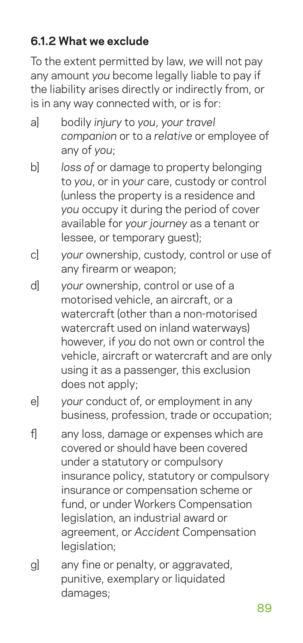## **6.1.2 What we exclude**

To the extent permitted by law, *we* will not pay any amount *you* become legally liable to pay if the liability arises directly or indirectly from, or is in any way connected with, or is for:

- a] bodily *injury* to *you*, *your travel companion* or to a *relative* or employee of any of *you*;
- b] *loss of* or damage to property belonging to *you*, or in *your* care, custody or control (unless the property is a residence and *you* occupy it during the period of cover available for *your journey* as a tenant or lessee, or temporary guest);
- c] *your* ownership, custody, control or use of any firearm or weapon;
- d] *your* ownership, control or use of a motorised vehicle, an aircraft, or a watercraft (other than a non-motorised watercraft used on inland waterways) however, if *you* do not own or control the vehicle, aircraft or watercraft and are only using it as a passenger, this exclusion does not apply;
- e] *your* conduct of, or employment in any business, profession, trade or occupation;
- f] any loss, damage or expenses which are covered or should have been covered under a statutory or compulsory insurance policy, statutory or compulsory insurance or compensation scheme or fund, or under Workers Compensation legislation, an industrial award or agreement, or *Accident* Compensation legislation:
- g] any fine or penalty, or aggravated, punitive, exemplary or liquidated damages;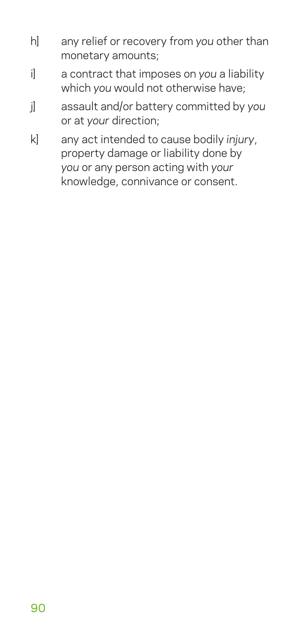- h] any relief or recovery from *you* other than monetary amounts;
- i] a contract that imposes on *you* a liability which *you* would not otherwise have;
- j] assault and/or battery committed by *you* or at *your* direction;
- k] any act intended to cause bodily *injury*, property damage or liability done by *you* or any person acting with *your* knowledge, connivance or consent.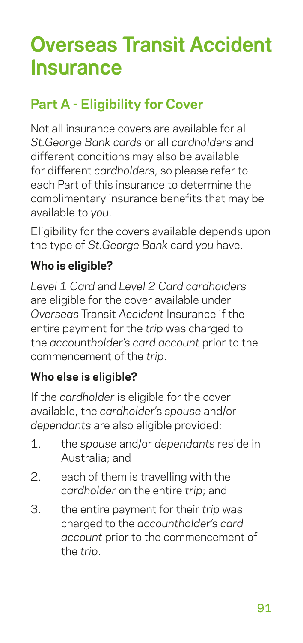# **Overseas Transit Accident Insurance**

# **Part A - Eligibility for Cover**

Not all insurance covers are available for all *St.George Bank cards* or all *cardholders* and different conditions may also be available for different *cardholders*, so please refer to each Part of this insurance to determine the complimentary insurance benefits that may be available to *you*.

Eligibility for the covers available depends upon the type of *St.George Bank* card *you* have.

#### **Who is eligible?**

*Level 1 Card* and *Level 2 Card cardholders* are eligible for the cover available under *Overseas* Transit *Accident* Insurance if the entire payment for the *trip* was charged to the *accountholder's card account* prior to the commencement of the *trip*.

#### **Who else is eligible?**

If the *cardholder* is eligible for the cover available, the *cardholder*'s *spouse* and/or *dependants* are also eligible provided:

- 1. the *spouse* and/or *dependants* reside in Australia; and
- 2. each of them is travelling with the *cardholder* on the entire *trip*; and
- 3. the entire payment for their *trip* was charged to the *accountholder's card account* prior to the commencement of the *trip*.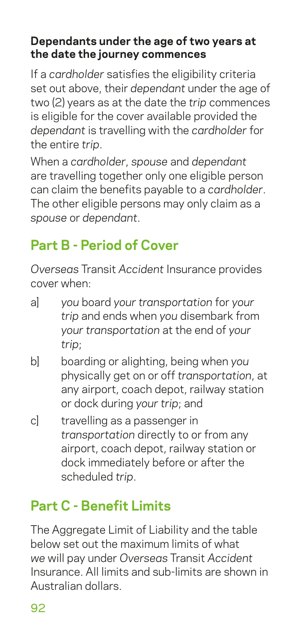#### **Dependants under the age of two years at the date the journey commences**

If a *cardholder* satisfies the eligibility criteria set out above, their *dependant* under the age of two (2) years as at the date the *trip* commences is eligible for the cover available provided the *dependant* is travelling with the *cardholder* for the entire *trip*.

When a *cardholder*, *spouse* and *dependant* are travelling together only one eligible person can claim the benefits payable to a *cardholder*. The other eligible persons may only claim as a *spouse* or *dependant*.

# **Part B - Period of Cover**

*Overseas* Transit *Accident* Insurance provides cover when:

- a] *you* board *your transportation* for *your trip* and ends when *you* disembark from *your transportation* at the end of *your trip*;
- b] boarding or alighting, being when *you* physically get on or off *transportation*, at any airport, coach depot, railway station or dock during *your trip*; and
- c] travelling as a passenger in *transportation* directly to or from any airport, coach depot, railway station or dock immediately before or after the scheduled *trip*.

# **Part C - Benefit Limits**

The Aggregate Limit of Liability and the table below set out the maximum limits of what *we* will pay under *Overseas* Transit *Accident* Insurance. All limits and sub-limits are shown in Australian dollars.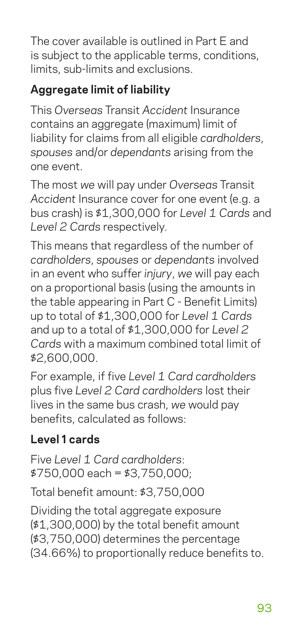The cover available is outlined in Part E and is subject to the applicable terms, conditions, limits, sub-limits and exclusions.

## **Aggregate limit of liability**

This *Overseas* Transit *Accident* Insurance contains an aggregate (maximum) limit of liability for claims from all eligible *cardholders*, *spouses* and/or *dependants* arising from the one event.

The most *we* will pay under *Overseas* Transit *Accident* Insurance cover for one event (e.g. a bus crash) is \$1,300,000 for *Level 1 Cards* and *Level 2 Cards* respectively.

This means that regardless of the number of *cardholders*, *spouses* or *dependants* involved in an event who suffer *injury*, *we* will pay each on a proportional basis (using the amounts in the table appearing in Part C - Benefit Limits) up to total of \$1,300,000 for *Level 1 Cards* and up to a total of \$1,300,000 for *Level 2 Cards* with a maximum combined total limit of \$2,600,000.

For example, if five *Level 1 Card cardholders* plus five *Level 2 Card cardholders* lost their lives in the same bus crash, *we* would pay benefits, calculated as follows:

## **Level 1 cards**

Five *Level 1 Card cardholders*: \$750,000 each = \$3,750,000;

Total benefit amount: \$3,750,000

Dividing the total aggregate exposure (\$1,300,000) by the total benefit amount (\$3,750,000) determines the percentage (34.66%) to proportionally reduce benefits to.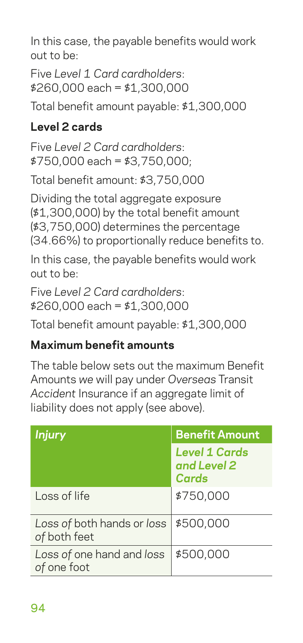In this case, the payable benefits would work out to be:

Five *Level 1 Card cardholders*: \$260,000 each = \$1,300,000

Total benefit amount payable: \$1,300,000

## **Level 2 cards**

Five *Level 2 Card cardholders*: \$750,000 each = \$3,750,000;

Total benefit amount: \$3,750,000

Dividing the total aggregate exposure (\$1,300,000) by the total benefit amount (\$3,750,000) determines the percentage (34.66%) to proportionally reduce benefits to.

In this case, the payable benefits would work out to be:

Five *Level 2 Card cardholders*: \$260,000 each = \$1,300,000

Total benefit amount payable: \$1,300,000

#### **Maximum benefit amounts**

The table below sets out the maximum Benefit Amounts *we* will pay under *Overseas* Transit *Accident* Insurance if an aggregate limit of liability does not apply (see above).

| <b>Injury</b>                              | <b>Benefit Amount</b>                        |
|--------------------------------------------|----------------------------------------------|
|                                            | <b>Level 1 Cards</b><br>and Level 2<br>Cards |
| Loss of life                               | \$750,000                                    |
| Loss of both hands or loss<br>of both feet | \$500,000                                    |
| Loss of one hand and loss<br>of one foot   | \$500,000                                    |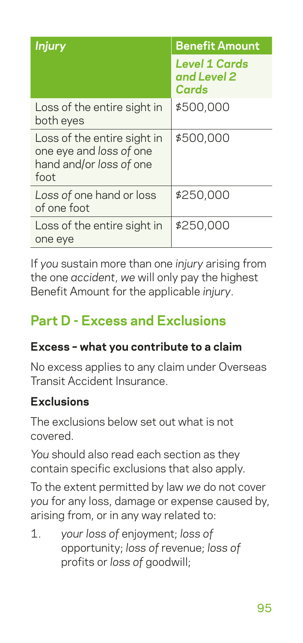| <b>Injury</b>                                                                             | <b>Benefit Amount</b>                        |
|-------------------------------------------------------------------------------------------|----------------------------------------------|
|                                                                                           | <b>Level 1 Cards</b><br>and Level 2<br>Cards |
| Loss of the entire sight in<br>both eyes                                                  | \$500,000                                    |
| Loss of the entire sight in<br>one eye and loss of one<br>hand and/or loss of one<br>foot | \$500,000                                    |
| Loss of one hand or loss<br>of one foot                                                   | \$250,000                                    |
| Loss of the entire sight in<br>one eye                                                    | \$250,000                                    |

If *you* sustain more than one *injury* arising from the one *accident*, *we* will only pay the highest Benefit Amount for the applicable *injury*.

# **Part D - Excess and Exclusions**

#### **Excess – what you contribute to a claim**

No excess applies to any claim under Overseas Transit Accident Insurance.

#### **Exclusions**

The exclusions below set out what is not covered.

*You* should also read each section as they contain specific exclusions that also apply.

To the extent permitted by law *we* do not cover *you* for any loss, damage or expense caused by, arising from, or in any way related to:

1. *your loss of* enjoyment; *loss of* opportunity; *loss of* revenue; *loss of* profits or *loss of* goodwill;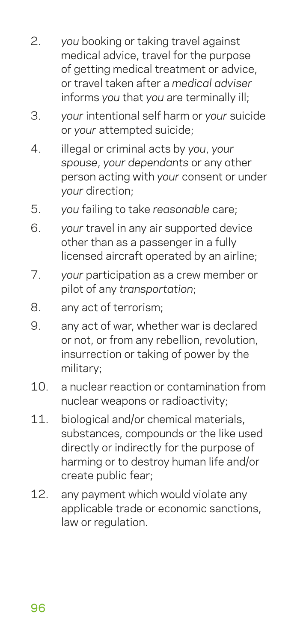- 2. *you* booking or taking travel against medical advice, travel for the purpose of getting medical treatment or advice, or travel taken after a *medical adviser* informs *you* that *you* are terminally ill;
- 3. *your* intentional self harm or *your* suicide or *your* attempted suicide;
- 4. illegal or criminal acts by *you*, *your spouse*, *your dependants* or any other person acting with *your* consent or under *your* direction;
- 5. *you* failing to take *reasonable* care;
- 6. *your* travel in any air supported device other than as a passenger in a fully licensed aircraft operated by an airline;
- 7. *your* participation as a crew member or pilot of any *transportation*;
- 8. any act of terrorism;
- 9. any act of war, whether war is declared or not, or from any rebellion, revolution, insurrection or taking of power by the military;
- 10. a nuclear reaction or contamination from nuclear weapons or radioactivity;
- 11. biological and/or chemical materials. substances, compounds or the like used directly or indirectly for the purpose of harming or to destroy human life and/or create public fear;
- 12. any payment which would violate any applicable trade or economic sanctions, law or regulation.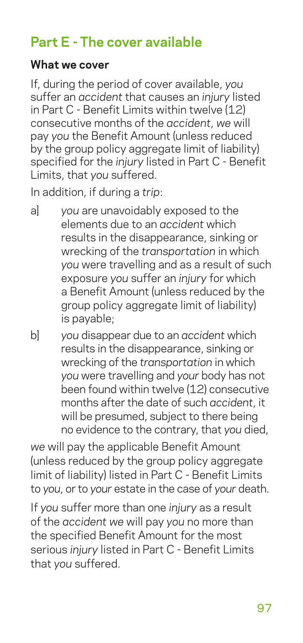## **Part E - The cover available**

#### **What we cover**

If, during the period of cover available, *you* suffer an *accident* that causes an *injury* listed in Part C - Benefit Limits within twelve (12) consecutive months of the *accident*, *we* will pay *you* the Benefit Amount (unless reduced by the group policy aggregate limit of liability) specified for the *injury* listed in Part C - Benefit Limits, that *you* suffered.

In addition, if during a *trip*:

- a] *you* are unavoidably exposed to the elements due to an *accident* which results in the disappearance, sinking or wrecking of the *transportation* in which *you* were travelling and as a result of such exposure *you* suffer an *injury* for which a Benefit Amount (unless reduced by the group policy aggregate limit of liability) is payable;
- b] *you* disappear due to an *accident* which results in the disappearance, sinking or wrecking of the *transportation* in which *you* were travelling and *your* body has not been found within twelve (12) consecutive months after the date of such *accident*, it will be presumed, subject to there being no evidence to the contrary, that *you* died,

*we* will pay the applicable Benefit Amount (unless reduced by the group policy aggregate limit of liability) listed in Part C - Benefit Limits to *you*, or to *your* estate in the case of *your* death.

If *you* suffer more than one *injury* as a result of the *accident we* will pay *you* no more than the specified Benefit Amount for the most serious *injury* listed in Part C - Benefit Limits that *you* suffered.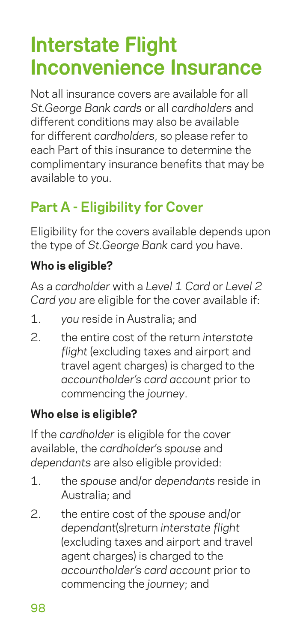# **Interstate Flight Inconvenience Insurance**

Not all insurance covers are available for all *St.George Bank cards* or all *cardholders* and different conditions may also be available for different *cardholders*, so please refer to each Part of this insurance to determine the complimentary insurance benefits that may be available to *you*.

# **Part A - Eligibility for Cover**

Eligibility for the covers available depends upon the type of *St.George Bank* card *you* have.

#### **Who is eligible?**

As a *cardholder* with a *Level 1 Card* or *Level 2 Card you* are eligible for the cover available if:

- 1. *you* reside in Australia; and
- 2. the entire cost of the return *interstate flight* (excluding taxes and airport and travel agent charges) is charged to the *accountholder's card account* prior to commencing the *journey*.

#### **Who else is eligible?**

If the *cardholder* is eligible for the cover available, the *cardholder*'s *spouse* and *dependants* are also eligible provided:

- 1. the *spouse* and/or *dependants* reside in Australia; and
- 2. the entire cost of the *spouse* and/or *dependant*(s)return *interstate flight* (excluding taxes and airport and travel agent charges) is charged to the *accountholder's card account* prior to commencing the *journey*; and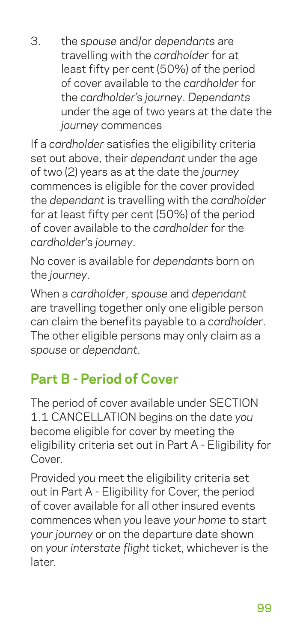3. the *spouse* and/or *dependants* are travelling with the *cardholder* for at least fifty per cent (50%) of the period of cover available to the *cardholder* for the *cardholder*'s *journey*. *Dependants* under the age of two years at the date the *journey* commences

If a *cardholder* satisfies the eligibility criteria set out above, their *dependant* under the age of two (2) years as at the date the *journey* commences is eligible for the cover provided the *dependant* is travelling with the *cardholder* for at least fifty per cent (50%) of the period of cover available to the *cardholder* for the *cardholder*'s *journey*.

No cover is available for *dependants* born on the *journey*.

When a *cardholder*, *spouse* and *dependant* are travelling together only one eligible person can claim the benefits payable to a *cardholder*. The other eligible persons may only claim as a *spouse* or *dependant*.

# **Part B - Period of Cover**

The period of cover available under SECTION 1.1 CANCELLATION begins on the date *you* become eligible for cover by meeting the eligibility criteria set out in Part A - Eligibility for Cover

Provided *you* meet the eligibility criteria set out in Part A - Eligibility for Cover, the period of cover available for all other insured events commences when *you* leave *your home* to start *your journey* or on the departure date shown on *your interstate flight* ticket, whichever is the later.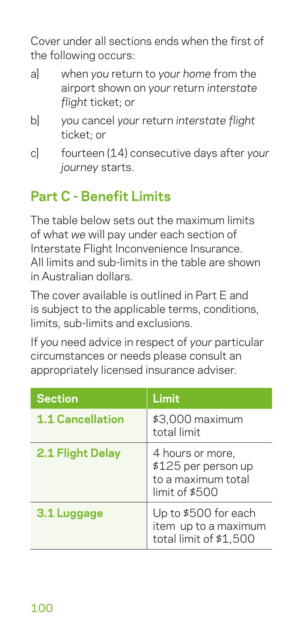Cover under all sections ends when the first of the following occurs:

- a] when *you* return to *your home* from the airport shown on *your* return *interstate flight* ticket; or
- b] *you* cancel *your* return *interstate flight* ticket; or
- c] fourteen (14) consecutive days after *your journey* starts.

# **Part C - Benefit Limits**

The table below sets out the maximum limits of what *we* will pay under each section of Interstate Flight Inconvenience Insurance. All limits and sub-limits in the table are shown in Australian dollars.

The cover available is outlined in Part E and is subject to the applicable terms, conditions, limits, sub-limits and exclusions.

If *you* need advice in respect of *your* particular circumstances or needs please consult an appropriately licensed insurance adviser.

| <b>Section</b>          | Limit                                                                           |
|-------------------------|---------------------------------------------------------------------------------|
| <b>1.1 Cancellation</b> | \$3,000 maximum<br>total limit                                                  |
| 2.1 Flight Delay        | 4 hours or more,<br>\$125 per person up<br>to a maximum total<br>limit of \$500 |
| 3.1 Luggage             | Up to \$500 for each<br>item up to a maximum<br>total limit of \$1,500          |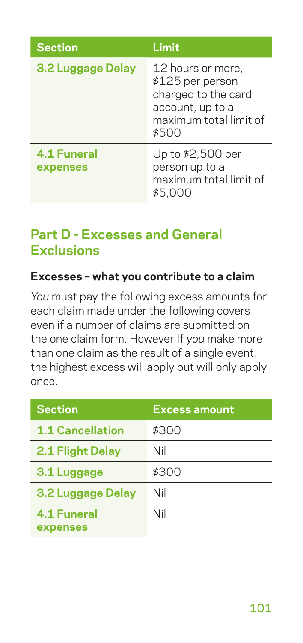| <b>Section</b>                 | Limit                                                                                                               |
|--------------------------------|---------------------------------------------------------------------------------------------------------------------|
| 3.2 Luggage Delay              | 12 hours or more,<br>\$125 per person<br>charged to the card<br>account, up to a<br>maximum total limit of<br>\$500 |
| <b>4.1 Funeral</b><br>expenses | Up to \$2,500 per<br>person up to a<br>maximum total limit of<br>\$5.000                                            |

## **Part D - Excesses and General Exclusions**

#### **Excesses – what you contribute to a claim**

*You* must pay the following excess amounts for each claim made under the following covers even if a number of claims are submitted on the one claim form. However If *you* make more than one claim as the result of a single event, the highest excess will apply but will only apply once.

| <b>Section</b>                 | <b>Excess amount</b> |
|--------------------------------|----------------------|
| <b>1.1 Cancellation</b>        | \$300                |
| 2.1 Flight Delay               | Nil                  |
| 3.1 Luggage                    | \$300                |
| 3.2 Luggage Delay              | Nil                  |
| <b>4.1 Funeral</b><br>expenses | Nil                  |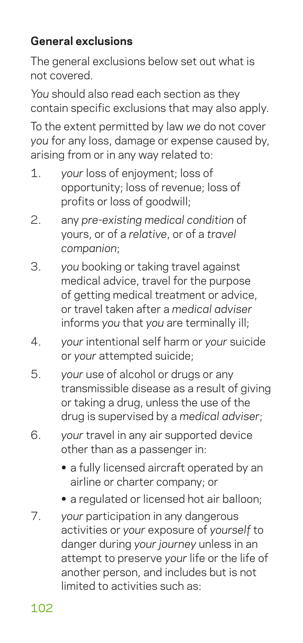## **General exclusions**

The general exclusions below set out what is not covered.

*You* should also read each section as they contain specific exclusions that may also apply.

To the extent permitted by law *we* do not cover *you* for any loss, damage or expense caused by, arising from or in any way related to:

- 1. *your* loss of enjoyment; loss of opportunity; loss of revenue; loss of profits or loss of goodwill;
- 2. any *pre-existing medical condition* of yours, or of a *relative*, or of a *travel companion*;
- 3. *you* booking or taking travel against medical advice, travel for the purpose of getting medical treatment or advice, or travel taken after a *medical adviser* informs *you* that *you* are terminally ill;
- 4. *your* intentional self harm or *your* suicide or *your* attempted suicide;
- 5. *your* use of alcohol or drugs or any transmissible disease as a result of giving or taking a drug, unless the use of the drug is supervised by a *medical adviser*;
- 6. *your* travel in any air supported device other than as a passenger in:
	- **•** a fully licensed aircraft operated by an airline or charter company; or
	- **•** a regulated or licensed hot air balloon;
- 7. *your* participation in any dangerous activities or *your* exposure of *yourself* to danger during *your journey* unless in an attempt to preserve *your* life or the life of another person, and includes but is not limited to activities such as:

102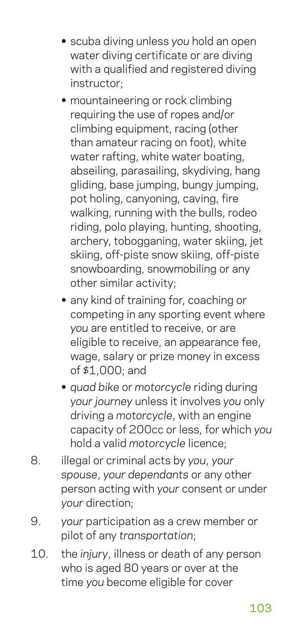- **•** scuba diving unless *you* hold an open water diving certificate or are diving with a qualified and registered diving instructor;
- **•** mountaineering or rock climbing requiring the use of ropes and/or climbing equipment, racing (other than amateur racing on foot), white water rafting, white water boating, abseiling, parasailing, skydiving, hang gliding, base jumping, bungy jumping, pot holing, canyoning, caving, fire walking, running with the bulls, rodeo riding, polo playing, hunting, shooting, archery, tobogganing, water skiing, jet skiing, off-piste snow skiing, off-piste snowboarding, snowmobiling or any other similar activity;
- **•** any kind of training for, coaching or competing in any sporting event where *you* are entitled to receive, or are eligible to receive, an appearance fee, wage, salary or prize money in excess of \$1,000; and
- **•** *quad bike* or *motorcycle* riding during *your journey* unless it involves *you* only driving a *motorcycle*, with an engine capacity of 200cc or less, for which *you* hold a valid *motorcycle* licence;
- 8. illegal or criminal acts by *you*, *your spouse*, *your dependants* or any other person acting with *your* consent or under *your* direction;
- 9. *your* participation as a crew member or pilot of any *transportation*;
- 10. the *injury*, illness or death of any person who is aged 80 years or over at the time *you* become eligible for cover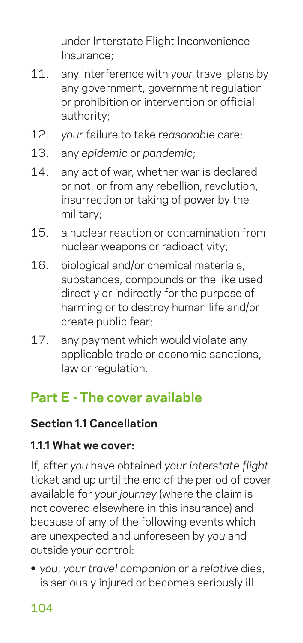under Interstate Flight Inconvenience Insurance;

- 11. any interference with *your* travel plans by any government, government regulation or prohibition or intervention or official authority;
- 12. *your* failure to take *reasonable* care;
- 13. any *epidemic* or *pandemic*;
- 14. any act of war, whether war is declared or not, or from any rebellion, revolution, insurrection or taking of power by the military;
- 15. a nuclear reaction or contamination from nuclear weapons or radioactivity;
- 16. biological and/or chemical materials, substances, compounds or the like used directly or indirectly for the purpose of harming or to destroy human life and/or create public fear;
- 17. any payment which would violate any applicable trade or economic sanctions, law or regulation.

## **Part E - The cover available**

### **Section 1.1 Cancellation**

#### **1.1.1 What we cover:**

If, after *you* have obtained *your interstate flight* ticket and up until the end of the period of cover available for *your journey* (where the claim is not covered elsewhere in this insurance) and because of any of the following events which are unexpected and unforeseen by *you* and outside *your* control:

**•** *you*, *your travel companion* or a *relative* dies, is seriously injured or becomes seriously ill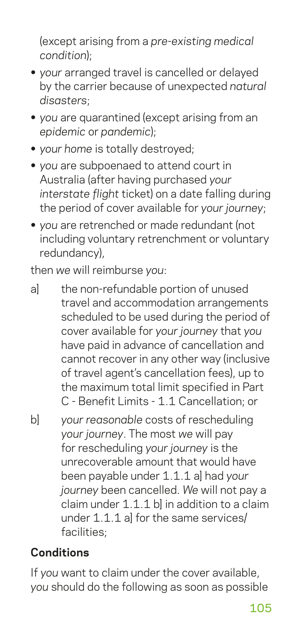(except arising from a *pre-existing medical condition*);

- **•** *your* arranged travel is cancelled or delayed by the carrier because of unexpected *natural disasters*;
- **•** *you* are quarantined (except arising from an *epidemic* or *pandemic*);
- **•** *your home* is totally destroyed;
- **•** *you* are subpoenaed to attend court in Australia (after having purchased *your interstate flight* ticket) on a date falling during the period of cover available for *your journey*;
- **•** *you* are retrenched or made redundant (not including voluntary retrenchment or voluntary redundancy),

then *we* will reimburse *you*:

- a] the non-refundable portion of unused travel and accommodation arrangements scheduled to be used during the period of cover available for *your journey* that *you* have paid in advance of cancellation and cannot recover in any other way (inclusive of travel agent's cancellation fees), up to the maximum total limit specified in Part C - Benefit Limits - 1.1 Cancellation; or
- b] *your reasonable* costs of rescheduling *your journey*. The most *we* will pay for rescheduling *your journey* is the unrecoverable amount that would have been payable under 1.1.1 a] had *your journey* been cancelled. *We* will not pay a claim under 1.1.1 bl in addition to a claim under 1.1.1 a] for the same services/ facilities;

## **Conditions**

If *you* want to claim under the cover available, *you* should do the following as soon as possible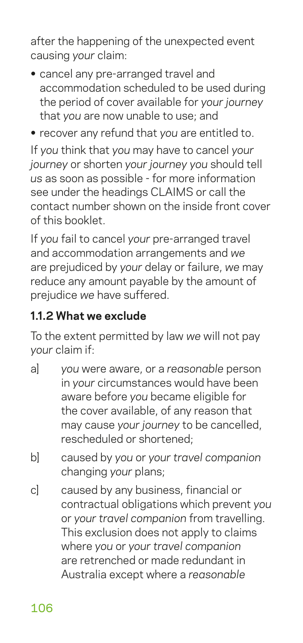after the happening of the unexpected event causing *your* claim:

- **•** cancel any pre-arranged travel and accommodation scheduled to be used during the period of cover available for *your journey* that *you* are now unable to use; and
- **•** recover any refund that *you* are entitled to.

If *you* think that *you* may have to cancel *your journey* or shorten *your journey you* should tell *us* as soon as possible - for more information see under the headings CLAIMS or call the contact number shown on the inside front cover of this booklet.

If *you* fail to cancel *your* pre-arranged travel and accommodation arrangements and *we* are prejudiced by *your* delay or failure, *we* may reduce any amount payable by the amount of prejudice *we* have suffered.

#### **1.1.2 What we exclude**

To the extent permitted by law *we* will not pay *your* claim if:

- a] *you* were aware, or a *reasonable* person in *your* circumstances would have been aware before *you* became eligible for the cover available, of any reason that may cause *your journey* to be cancelled, rescheduled or shortened;
- b] caused by *you* or *your travel companion* changing *your* plans;
- c] caused by any business, financial or contractual obligations which prevent *you* or *your travel companion* from travelling. This exclusion does not apply to claims where *you* or *your travel companion* are retrenched or made redundant in Australia except where a *reasonable*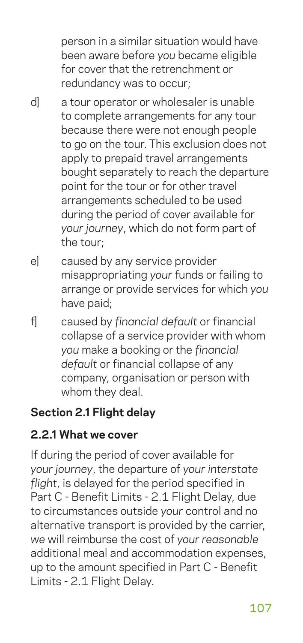person in a similar situation would have been aware before *you* became eligible for cover that the retrenchment or redundancy was to occur;

- d] a tour operator or wholesaler is unable to complete arrangements for any tour because there were not enough people to go on the tour. This exclusion does not apply to prepaid travel arrangements bought separately to reach the departure point for the tour or for other travel arrangements scheduled to be used during the period of cover available for *your journey*, which do not form part of the tour;
- e] caused by any service provider misappropriating *your* funds or failing to arrange or provide services for which *you* have paid;
- f] caused by *financial default* or financial collapse of a service provider with whom *you* make a booking or the *financial default* or financial collapse of any company, organisation or person with whom they deal.

### **Section 2.1 Flight delay**

#### **2.2.1 What we cover**

If during the period of cover available for *your journey*, the departure of *your interstate flight*, is delayed for the period specified in Part C - Benefit Limits - 2.1 Flight Delay, due to circumstances outside *your* control and no alternative transport is provided by the carrier, *we* will reimburse the cost of *your reasonable* additional meal and accommodation expenses, up to the amount specified in Part C - Benefit Limits - 2.1 Flight Delay.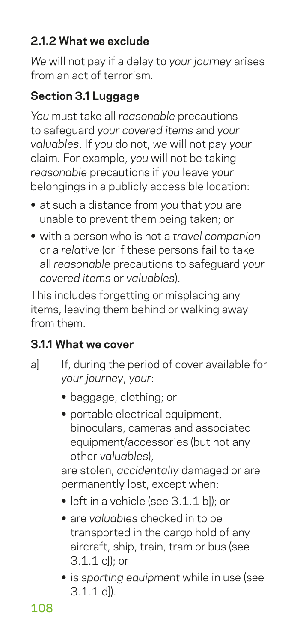## **2.1.2 What we exclude**

*We* will not pay if a delay to *your journey* arises from an act of terrorism.

### **Section 3.1 Luggage**

*You* must take all *reasonable* precautions to safeguard *your covered items* and *your valuables*. If *you* do not, *we* will not pay *your* claim. For example, *you* will not be taking *reasonable* precautions if *you* leave *your* belongings in a publicly accessible location:

- **•** at such a distance from *you* that *you* are unable to prevent them being taken; or
- **•** with a person who is not a *travel companion* or a *relative* (or if these persons fail to take all *reasonable* precautions to safeguard *your covered items* or *valuables*).

This includes forgetting or misplacing any items, leaving them behind or walking away from them.

### **3.1.1 What we cover**

- a al If, during the period of cover available for *your journey*, *your*:
	- **•** baggage, clothing; or
	- **•** portable electrical equipment, binoculars, cameras and associated equipment/accessories (but not any other *valuables*),

are stolen, *accidentally* damaged or are permanently lost, except when:

- left in a vehicle (see 3.1.1 bl); or
- **•** are *valuables* checked in to be transported in the cargo hold of any aircraft, ship, train, tram or bus (see 3.1.1 c]); or
- **•** is *sporting equipment* while in use (see  $3.1.1$  dl).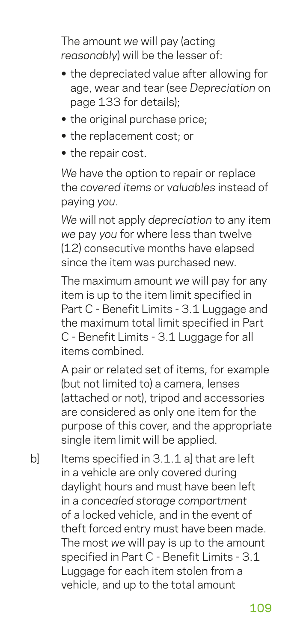The amount *we* will pay (acting *reasonably*) will be the lesser of:

- **•** the depreciated value after allowing for age, wear and tear (see *Depreciation* on page 133 for details);
- **•** the original purchase price;
- **•** the replacement cost; or
- **•** the repair cost.

*We* have the option to repair or replace the *covered items* or *valuables* instead of paying *you*.

*We* will not apply *depreciation* to any item *we* pay *you* for where less than twelve (12) consecutive months have elapsed since the item was purchased new.

The maximum amount *we* will pay for any item is up to the item limit specified in Part C - Benefit Limits - 3.1 Luggage and the maximum total limit specified in Part C - Benefit Limits - 3.1 Luggage for all items combined.

A pair or related set of items, for example (but not limited to) a camera, lenses (attached or not), tripod and accessories are considered as only one item for the purpose of this cover, and the appropriate single item limit will be applied.

b] Items specified in 3.1.1 al that are left in a vehicle are only covered during daylight hours and must have been left in a *concealed storage compartment* of a locked vehicle, and in the event of theft forced entry must have been made. The most *we* will pay is up to the amount specified in Part C - Benefit Limits - 3.1 Luggage for each item stolen from a vehicle, and up to the total amount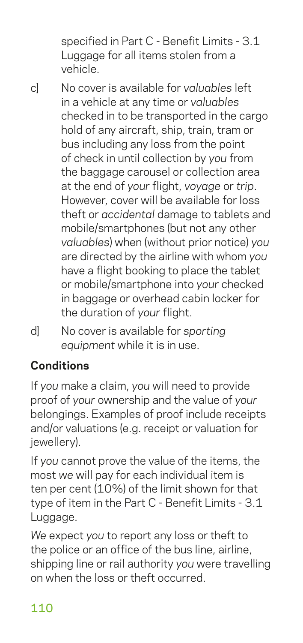specified in Part C - Benefit Limits - 3.1 Luggage for all items stolen from a vehicle.

c] No cover is available for *valuables* left in a vehicle at any time or *valuables* checked in to be transported in the cargo hold of any aircraft, ship, train, tram or bus including any loss from the point of check in until collection by *you* from the baggage carousel or collection area at the end of *your* flight, *voyage* or *trip*. However, cover will be available for loss theft or *accidental* damage to tablets and mobile/smartphones (but not any other *valuables*) when (without prior notice) *you* are directed by the airline with whom *you* have a flight booking to place the tablet or mobile/smartphone into *your* checked in baggage or overhead cabin locker for the duration of *your* flight.

d] No cover is available for *sporting equipment* while it is in use.

## **Conditions**

If *you* make a claim, *you* will need to provide proof of *your* ownership and the value of *your* belongings. Examples of proof include receipts and/or valuations (e.g. receipt or valuation for jewellery).

If *you* cannot prove the value of the items, the most *we* will pay for each individual item is ten per cent (10%) of the limit shown for that type of item in the Part C - Benefit Limits - 3.1 Luggage.

*We* expect *you* to report any loss or theft to the police or an office of the bus line, airline, shipping line or rail authority *you* were travelling on when the loss or theft occurred.

## 110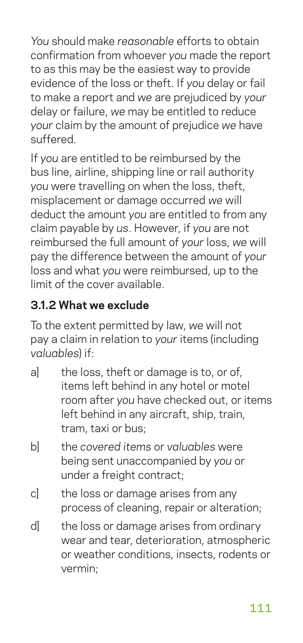*You* should make *reasonable* efforts to obtain confirmation from whoever *you* made the report to as this may be the easiest way to provide evidence of the loss or theft. If *you* delay or fail to make a report and *we* are prejudiced by *your* delay or failure, *we* may be entitled to reduce *your* claim by the amount of prejudice *we* have suffered.

If *you* are entitled to be reimbursed by the bus line, airline, shipping line or rail authority *you* were travelling on when the loss, theft, misplacement or damage occurred *we* will deduct the amount *you* are entitled to from any claim payable by *us*. However, if *you* are not reimbursed the full amount of *your* loss, *we* will pay the difference between the amount of *your* loss and what *you* were reimbursed, up to the limit of the cover available.

## **3.1.2 What we exclude**

To the extent permitted by law, *we* will not pay a claim in relation to *your* items (including *valuables*) if:

- a] the loss, theft or damage is to, or of, items left behind in any hotel or motel room after *you* have checked out, or items left behind in any aircraft, ship, train, tram, taxi or bus;
- b] the *covered items* or *valuables* were being sent unaccompanied by *you* or under a freight contract:
- c] the loss or damage arises from any process of cleaning, repair or alteration;
- d] the loss or damage arises from ordinary wear and tear, deterioration, atmospheric or weather conditions, insects, rodents or vermin;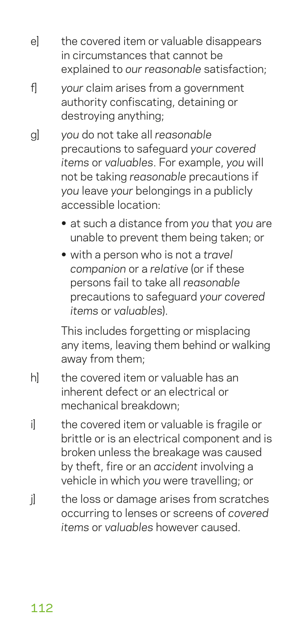- e] the covered item or valuable disappears in circumstances that cannot be explained to *our reasonable* satisfaction;
- f] *your* claim arises from a government authority confiscating, detaining or destroying anything;
- g] *you* do not take all *reasonable* precautions to safeguard *your covered items* or *valuables*. For example, *you* will not be taking *reasonable* precautions if *you* leave *your* belongings in a publicly accessible location:
	- **•** at such a distance from *you* that *you* are unable to prevent them being taken; or
	- **•** with a person who is not a *travel companion* or a *relative* (or if these persons fail to take all *reasonable* precautions to safeguard *your covered items* or *valuables*).

This includes forgetting or misplacing any items, leaving them behind or walking away from them;

- h] the covered item or valuable has an inherent defect or an electrical or mechanical breakdown;
- i i the covered item or valuable is fragile or brittle or is an electrical component and is broken unless the breakage was caused by theft, fire or an *accident* involving a vehicle in which *you* were travelling; or
- il the loss or damage arises from scratches occurring to lenses or screens of *covered items* or *valuables* however caused.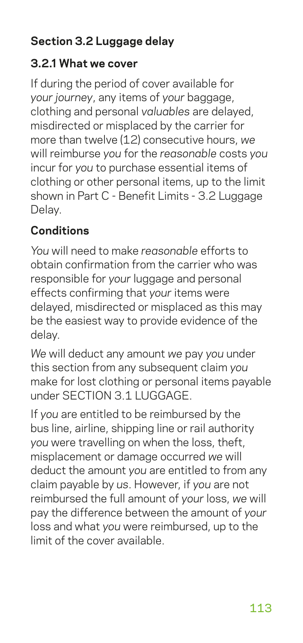## **Section 3.2 Luggage delay**

#### **3.2.1 What we cover**

If during the period of cover available for *your journey*, any items of *your* baggage, clothing and personal *valuables* are delayed, misdirected or misplaced by the carrier for more than twelve (12) consecutive hours, *we* will reimburse *you* for the *reasonable* costs *you* incur for *you* to purchase essential items of clothing or other personal items, up to the limit shown in Part C - Benefit Limits - 3.2 Luggage Delay.

#### **Conditions**

*You* will need to make *reasonable* efforts to obtain confirmation from the carrier who was responsible for *your* luggage and personal effects confirming that *your* items were delayed, misdirected or misplaced as this may be the easiest way to provide evidence of the delay.

*We* will deduct any amount *we* pay *you* under this section from any subsequent claim *you* make for lost clothing or personal items payable under SECTION 3.1 LUGGAGE.

If *you* are entitled to be reimbursed by the bus line, airline, shipping line or rail authority *you* were travelling on when the loss, theft, misplacement or damage occurred *we* will deduct the amount *you* are entitled to from any claim payable by *us*. However, if *you* are not reimbursed the full amount of *your* loss, *we* will pay the difference between the amount of *your* loss and what *you* were reimbursed, up to the limit of the cover available.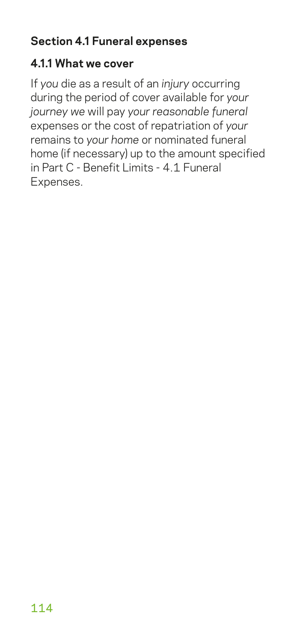## **Section 4.1 Funeral expenses**

#### **4.1.1 What we cover**

If *you* die as a result of an *injury* occurring during the period of cover available for *your journey we* will pay *your reasonable funeral* expenses or the cost of repatriation of *your* remains to *your home* or nominated funeral home (if necessary) up to the amount specified in Part C - Benefit Limits - 4.1 Funeral Expenses.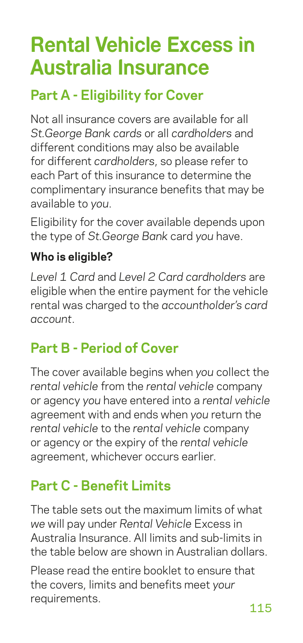# **Rental Vehicle Excess in Australia Insurance**

## **Part A - Eligibility for Cover**

Not all insurance covers are available for all *St.George Bank cards* or all *cardholders* and different conditions may also be available for different *cardholders*, so please refer to each Part of this insurance to determine the complimentary insurance benefits that may be available to *you*.

Eligibility for the cover available depends upon the type of *St.George Bank* card *you* have.

## **Who is eligible?**

*Level 1 Card* and *Level 2 Card cardholders* are eligible when the entire payment for the vehicle rental was charged to the *accountholder's card account*.

## **Part B - Period of Cover**

The cover available begins when *you* collect the *rental vehicle* from the *rental vehicle* company or agency *you* have entered into a *rental vehicle* agreement with and ends when *you* return the *rental vehicle* to the *rental vehicle* company or agency or the expiry of the *rental vehicle* agreement, whichever occurs earlier.

## **Part C - Benefit Limits**

The table sets out the maximum limits of what *we* will pay under *Rental Vehicle* Excess in Australia Insurance. All limits and sub-limits in the table below are shown in Australian dollars.

Please read the entire booklet to ensure that the covers, limits and benefits meet *your* requirements.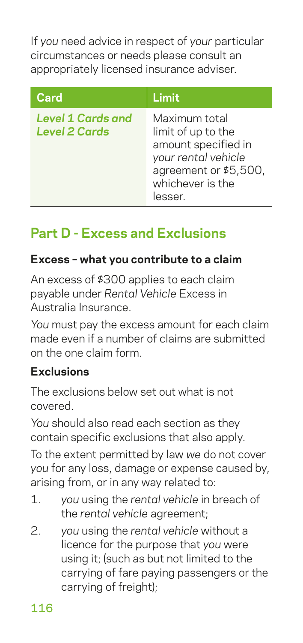If *you* need advice in respect of *your* particular circumstances or needs please consult an appropriately licensed insurance adviser.

| Card                                             | Limit                                                                                                                                    |
|--------------------------------------------------|------------------------------------------------------------------------------------------------------------------------------------------|
| <b>Level 1 Cards and</b><br><b>Level 2 Cards</b> | Maximum total<br>limit of up to the<br>amount specified in<br>your rental vehicle<br>agreement or \$5,500,<br>whichever is the<br>lesser |

## **Part D - Excess and Exclusions**

### **Excess – what you contribute to a claim**

An excess of \$300 applies to each claim payable under *Rental Vehicle* Excess in Australia Insurance.

*You* must pay the excess amount for each claim made even if a number of claims are submitted on the one claim form.

#### **Exclusions**

The exclusions below set out what is not covered.

*You* should also read each section as they contain specific exclusions that also apply.

To the extent permitted by law *we* do not cover *you* for any loss, damage or expense caused by, arising from, or in any way related to:

- 1. *you* using the *rental vehicle* in breach of the *rental vehicle* agreement;
- 2. *you* using the *rental vehicle* without a licence for the purpose that *you* were using it; (such as but not limited to the carrying of fare paying passengers or the carrying of freight);

116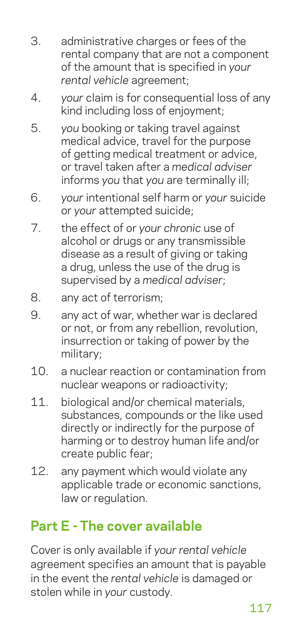- 3. administrative charges or fees of the rental company that are not a component of the amount that is specified in *your rental vehicle* agreement;
- 4. *your* claim is for consequential loss of any kind including loss of enjoyment;
- 5. *you* booking or taking travel against medical advice, travel for the purpose of getting medical treatment or advice, or travel taken after a *medical adviser* informs *you* that *you* are terminally ill;
- 6. *your* intentional self harm or *your* suicide or *your* attempted suicide;
- 7. the effect of or *your chronic* use of alcohol or drugs or any transmissible disease as a result of giving or taking a drug, unless the use of the drug is supervised by a *medical adviser*;
- 8. any act of terrorism;
- 9. any act of war, whether war is declared or not, or from any rebellion, revolution, insurrection or taking of power by the military;
- 10. a nuclear reaction or contamination from nuclear weapons or radioactivity;
- 11. biological and/or chemical materials. substances, compounds or the like used directly or indirectly for the purpose of harming or to destroy human life and/or create public fear;
- 12. any payment which would violate any applicable trade or economic sanctions, law or regulation.

## **Part E - The cover available**

Cover is only available if *your rental vehicle* agreement specifies an amount that is payable in the event the *rental vehicle* is damaged or stolen while in *your* custody.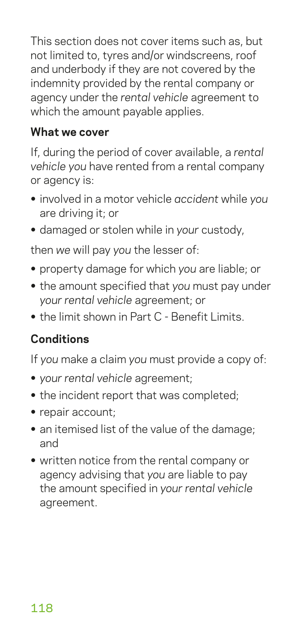This section does not cover items such as, but not limited to, tyres and/or windscreens, roof and underbody if they are not covered by the indemnity provided by the rental company or agency under the *rental vehicle* agreement to which the amount payable applies.

#### **What we cover**

If, during the period of cover available, a *rental vehicle you* have rented from a rental company or agency is:

- **•** involved in a motor vehicle *accident* while *you* are driving it; or
- **•** damaged or stolen while in *your* custody,

then *we* will pay *you* the lesser of:

- **•** property damage for which *you* are liable; or
- **•** the amount specified that *you* must pay under *your rental vehicle* agreement; or
- **•** the limit shown in Part C Benefit Limits.

## **Conditions**

If *you* make a claim *you* must provide a copy of:

- **•** *your rental vehicle* agreement;
- **•** the incident report that was completed;
- **•** repair account;
- **•** an itemised list of the value of the damage; and
- **•** written notice from the rental company or agency advising that *you* are liable to pay the amount specified in *your rental vehicle* agreement.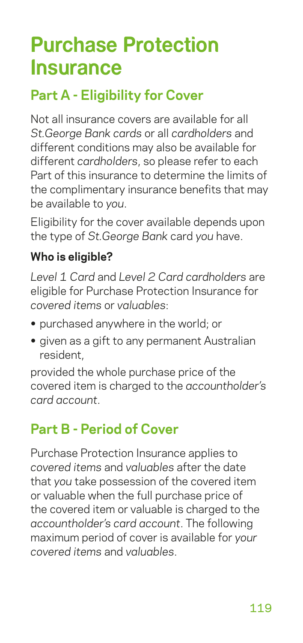# **Purchase Protection Insurance**

## **Part A - Eligibility for Cover**

Not all insurance covers are available for all *St.George Bank cards* or all *cardholders* and different conditions may also be available for different *cardholders*, so please refer to each Part of this insurance to determine the limits of the complimentary insurance benefits that may be available to *you*.

Eligibility for the cover available depends upon the type of *St.George Bank* card *you* have.

## **Who is eligible?**

*Level 1 Card* and *Level 2 Card cardholders* are eligible for Purchase Protection Insurance for *covered items* or *valuables*:

- **•** purchased anywhere in the world; or
- **•** given as a gift to any permanent Australian resident,

provided the whole purchase price of the covered item is charged to the *accountholder's card account*.

## **Part B - Period of Cover**

Purchase Protection Insurance applies to *covered items* and *valuables* after the date that *you* take possession of the covered item or valuable when the full purchase price of the covered item or valuable is charged to the *accountholder's card account*. The following maximum period of cover is available for *your covered items* and *valuables*.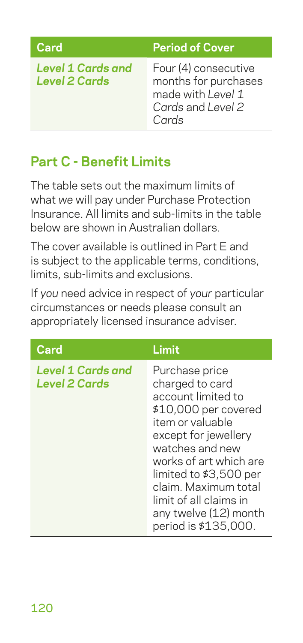| Card                                             | <b>Period of Cover</b>                                                                          |
|--------------------------------------------------|-------------------------------------------------------------------------------------------------|
| <b>Level 1 Cards and</b><br><b>Level 2 Cards</b> | Four (4) consecutive<br>months for purchases<br>made with Level 1<br>Cards and Level 2<br>Cards |

## **Part C - Benefit Limits**

The table sets out the maximum limits of what *we* will pay under Purchase Protection Insurance. All limits and sub-limits in the table below are shown in Australian dollars.

The cover available is outlined in Part E and is subject to the applicable terms, conditions, limits, sub-limits and exclusions.

If *you* need advice in respect of *your* particular circumstances or needs please consult an appropriately licensed insurance adviser.

| Card                                      | Limit                                                                                                                                                                                                                                                                                                 |
|-------------------------------------------|-------------------------------------------------------------------------------------------------------------------------------------------------------------------------------------------------------------------------------------------------------------------------------------------------------|
| <b>Level 1 Cards and</b><br>Level 2 Cards | Purchase price<br>charged to card<br>account limited to<br>\$10,000 per covered<br>item or valuable<br>except for jewellery<br>watches and new<br>works of art which are<br>limited to \$3,500 per<br>claim. Maximum total<br>limit of all claims in<br>any twelve (12) month<br>period is \$135,000. |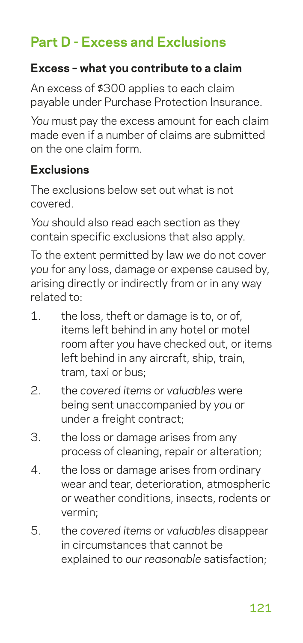## **Part D - Excess and Exclusions**

#### **Excess – what you contribute to a claim**

An excess of \$300 applies to each claim payable under Purchase Protection Insurance.

*You* must pay the excess amount for each claim made even if a number of claims are submitted on the one claim form.

#### **Exclusions**

The exclusions below set out what is not covered.

*You* should also read each section as they contain specific exclusions that also apply.

To the extent permitted by law *we* do not cover *you* for any loss, damage or expense caused by, arising directly or indirectly from or in any way related to:

- 1. the loss, theft or damage is to, or of, items left behind in any hotel or motel room after *you* have checked out, or items left behind in any aircraft, ship, train, tram, taxi or bus;
- 2. the *covered items* or *valuables* were being sent unaccompanied by *you* or under a freight contract:
- 3. the loss or damage arises from any process of cleaning, repair or alteration;
- 4. the loss or damage arises from ordinary wear and tear, deterioration, atmospheric or weather conditions, insects, rodents or vermin;
- 5. the *covered items* or *valuables* disappear in circumstances that cannot be explained to *our reasonable* satisfaction;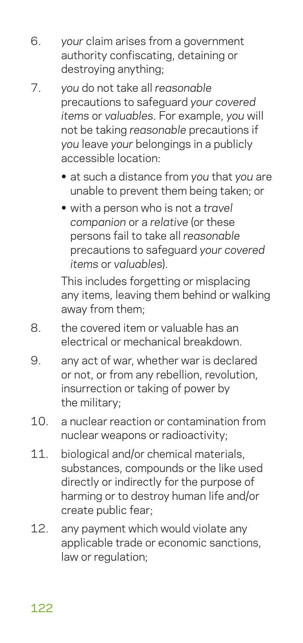- 6. *your* claim arises from a government authority confiscating, detaining or destroying anything;
- 7. *you* do not take all *reasonable* precautions to safeguard *your covered items* or *valuables*. For example, *you* will not be taking *reasonable* precautions if *you* leave *your* belongings in a publicly accessible location:
	- **•** at such a distance from *you* that *you* are unable to prevent them being taken; or
	- **•** with a person who is not a *travel companion* or a *relative* (or these persons fail to take all *reasonable* precautions to safeguard *your covered items* or *valuables*).

This includes forgetting or misplacing any items, leaving them behind or walking away from them;

- 8. the covered item or valuable has an electrical or mechanical breakdown.
- 9. any act of war, whether war is declared or not, or from any rebellion, revolution, insurrection or taking of power by the military;
- 10. a nuclear reaction or contamination from nuclear weapons or radioactivity;
- 11. biological and/or chemical materials, substances, compounds or the like used directly or indirectly for the purpose of harming or to destroy human life and/or create public fear;
- 12. any payment which would violate any applicable trade or economic sanctions, law or regulation;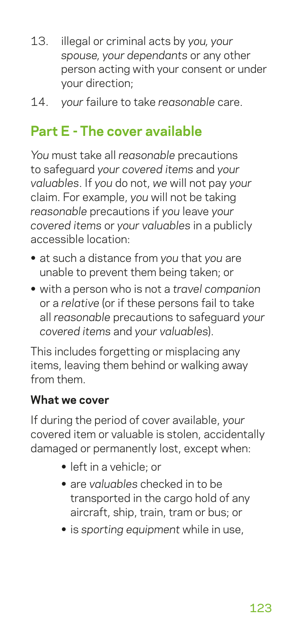- 13. illegal or criminal acts by *you, your spouse, your dependants* or any other person acting with your consent or under your direction;
- 14. *your* failure to take *reasonable* care.

## **Part E - The cover available**

*You* must take all *reasonable* precautions to safeguard *your covered items* and *your valuables*. If *you* do not, *we* will not pay *your* claim. For example, *you* will not be taking *reasonable* precautions if *you* leave *your covered items* or *your valuables* in a publicly accessible location:

- **•** at such a distance from *you* that *you* are unable to prevent them being taken; or
- **•** with a person who is not a *travel companion* or a *relative* (or if these persons fail to take all *reasonable* precautions to safeguard *your covered items* and *your valuables*).

This includes forgetting or misplacing any items, leaving them behind or walking away from them.

#### **What we cover**

If during the period of cover available, *your* covered item or valuable is stolen, accidentally damaged or permanently lost, except when:

- **•** left in a vehicle; or
- **•** are *valuables* checked in to be transported in the cargo hold of any aircraft, ship, train, tram or bus; or
- **•** is *sporting equipment* while in use,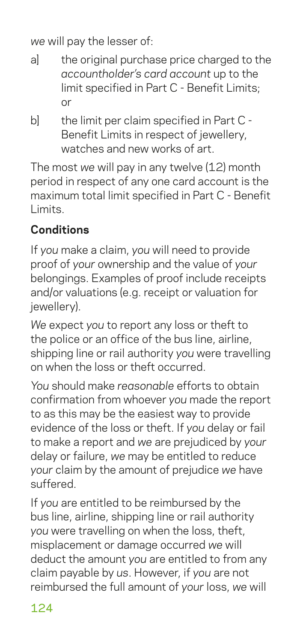*we* will pay the lesser of:

- a] the original purchase price charged to the *accountholder's card account* up to the limit specified in Part C - Benefit Limits; or
- bl the limit per claim specified in Part C -Benefit Limits in respect of jewellery, watches and new works of art

The most *we* will pay in any twelve (12) month period in respect of any one card account is the maximum total limit specified in Part C - Benefit Limits.

## **Conditions**

If *you* make a claim, *you* will need to provide proof of *your* ownership and the value of *your* belongings. Examples of proof include receipts and/or valuations (e.g. receipt or valuation for jewellery).

*We* expect *you* to report any loss or theft to the police or an office of the bus line, airline, shipping line or rail authority *you* were travelling on when the loss or theft occurred.

*You* should make *reasonable* efforts to obtain confirmation from whoever *you* made the report to as this may be the easiest way to provide evidence of the loss or theft. If *you* delay or fail to make a report and *we* are prejudiced by *your* delay or failure, *we* may be entitled to reduce *your* claim by the amount of prejudice *we* have suffered.

If *you* are entitled to be reimbursed by the bus line, airline, shipping line or rail authority *you* were travelling on when the loss, theft, misplacement or damage occurred *we* will deduct the amount *you* are entitled to from any claim payable by *us*. However, if *you* are not reimbursed the full amount of *your* loss, *we* will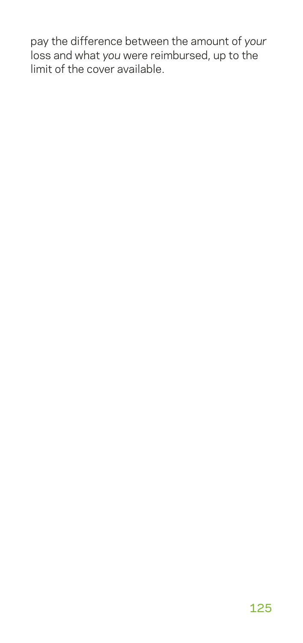pay the difference between the amount of *your* loss and what *you* were reimbursed, up to the limit of the cover available.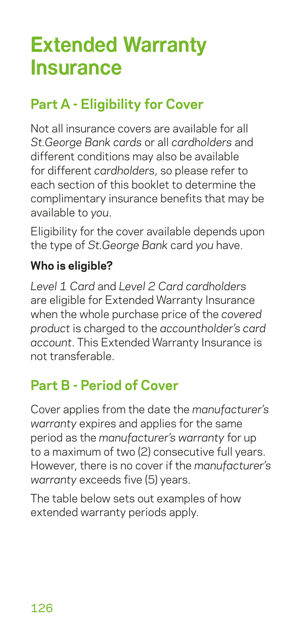# **Extended Warranty Insurance**

## **Part A - Eligibility for Cover**

Not all insurance covers are available for all *St.George Bank cards* or all *cardholders* and different conditions may also be available for different *cardholders*, so please refer to each section of this booklet to determine the complimentary insurance benefits that may be available to *you*.

Eligibility for the cover available depends upon the type of *St.George Bank* card *you* have.

#### **Who is eligible?**

*Level 1 Card* and *Level 2 Card cardholders* are eligible for Extended Warranty Insurance when the whole purchase price of the *covered product* is charged to the *accountholder's card account*. This Extended Warranty Insurance is not transferable.

## **Part B - Period of Cover**

Cover applies from the date the *manufacturer's warranty* expires and applies for the same period as the *manufacturer's warranty* for up to a maximum of two (2) consecutive full years. However, there is no cover if the *manufacturer's warranty* exceeds five (5) years.

The table below sets out examples of how extended warranty periods apply.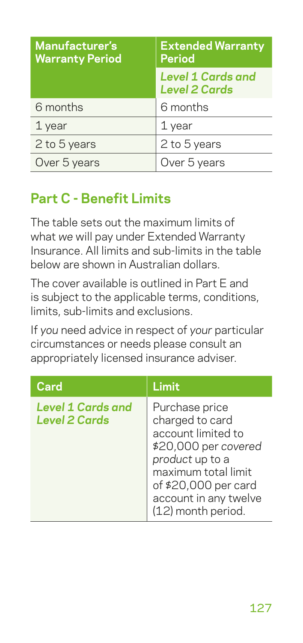| Manufacturer's<br><b>Warranty Period</b> | <b>Extended Warranty</b><br><b>Period</b>        |
|------------------------------------------|--------------------------------------------------|
|                                          | <b>Level 1 Cards and</b><br><b>Level 2 Cards</b> |
| 6 months                                 | 6 months                                         |
| 1 year                                   | 1 year                                           |
| 2 to 5 years                             | 2 to 5 years                                     |
| Over 5 years                             | Over 5 years                                     |

## **Part C - Benefit Limits**

The table sets out the maximum limits of what *we* will pay under Extended Warranty Insurance. All limits and sub-limits in the table below are shown in Australian dollars.

The cover available is outlined in Part E and is subject to the applicable terms, conditions, limits, sub-limits and exclusions.

If *you* need advice in respect of *your* particular circumstances or needs please consult an appropriately licensed insurance adviser.

| Card                                             | Limit                                                                                                                                                                                            |
|--------------------------------------------------|--------------------------------------------------------------------------------------------------------------------------------------------------------------------------------------------------|
| <b>Level 1 Cards and</b><br><b>Level 2 Cards</b> | Purchase price<br>charged to card<br>account limited to<br>\$20,000 per covered<br>product up to a<br>maximum total limit<br>of \$20,000 per card<br>account in any twelve<br>(12) month period. |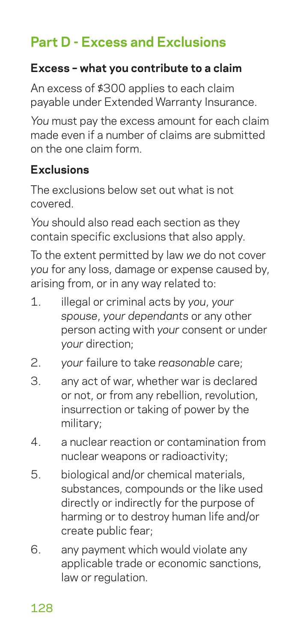## **Part D - Excess and Exclusions**

#### **Excess – what you contribute to a claim**

An excess of \$300 applies to each claim payable under Extended Warranty Insurance.

*You* must pay the excess amount for each claim made even if a number of claims are submitted on the one claim form.

#### **Exclusions**

The exclusions below set out what is not covered.

*You* should also read each section as they contain specific exclusions that also apply.

To the extent permitted by law *we* do not cover *you* for any loss, damage or expense caused by, arising from, or in any way related to:

- 1. illegal or criminal acts by *you*, *your spouse*, *your dependants* or any other person acting with *your* consent or under *your* direction;
- 2. *your* failure to take *reasonable* care;
- 3. any act of war, whether war is declared or not, or from any rebellion, revolution, insurrection or taking of power by the military;
- 4. a nuclear reaction or contamination from nuclear weapons or radioactivity;
- 5. biological and/or chemical materials, substances, compounds or the like used directly or indirectly for the purpose of harming or to destroy human life and/or create public fear;
- 6. any payment which would violate any applicable trade or economic sanctions, law or regulation.

128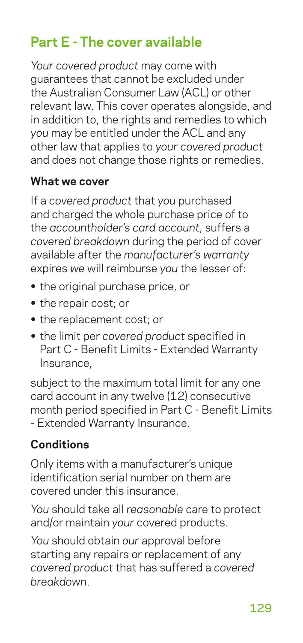## **Part E - The cover available**

*Your covered product* may come with guarantees that cannot be excluded under the Australian Consumer Law (ACL) or other relevant law. This cover operates alongside, and in addition to, the rights and remedies to which *you* may be entitled under the ACL and any other law that applies to *your covered product* and does not change those rights or remedies.

#### **What we cover**

If a *covered product* that *you* purchased and charged the whole purchase price of to the *accountholder's card account*, suffers a *covered breakdown* during the period of cover available after the *manufacturer's warranty* expires *we* will reimburse *you* the lesser of:

- **•** the original purchase price, or
- **•** the repair cost; or
- **•** the replacement cost; or
- **•** the limit per *covered product* specified in Part C - Benefit Limits - Extended Warranty Insurance,

subject to the maximum total limit for any one card account in any twelve (12) consecutive month period specified in Part C - Benefit Limits - Extended Warranty Insurance.

### **Conditions**

Only items with a manufacturer's unique identification serial number on them are covered under this insurance.

*You* should take all *reasonable* care to protect and/or maintain *your* covered products.

*You* should obtain *our* approval before starting any repairs or replacement of any *covered product* that has suffered a *covered breakdown*.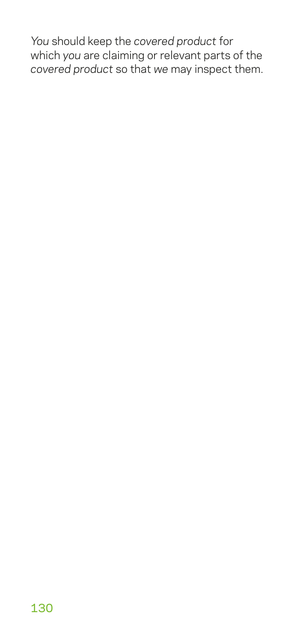*You* should keep the *covered product* for which *you* are claiming or relevant parts of the *covered product* so that *we* may inspect them.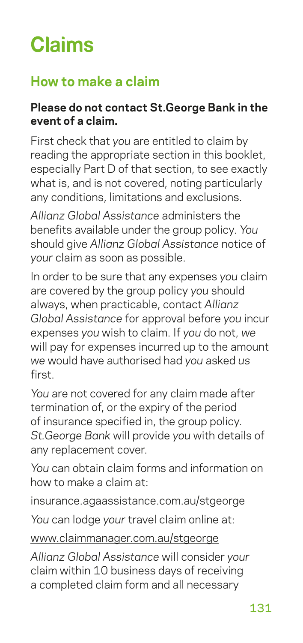# **Claims**

## **How to make a claim**

#### **Please do not contact St.George Bank in the event of a claim.**

First check that *you* are entitled to claim by reading the appropriate section in this booklet, especially Part D of that section, to see exactly what is, and is not covered, noting particularly any conditions, limitations and exclusions.

*Allianz Global Assistance* administers the benefits available under the group policy. *You* should give *Allianz Global Assistance* notice of *your* claim as soon as possible.

In order to be sure that any expenses *you* claim are covered by the group policy *you* should always, when practicable, contact *Allianz Global Assistance* for approval before *you* incur expenses *you* wish to claim. If *you* do not, *we* will pay for expenses incurred up to the amount *we* would have authorised had *you* asked *us* first.

*You* are not covered for any claim made after termination of, or the expiry of the period of insurance specified in, the group policy. *St.George Bank* will provide *you* with details of any replacement cover.

*You* can obtain claim forms and information on how to make a claim at:

[insurance.agaassistance.com.au/stgeorge](http://insurance.agaassistance.com.au/stgeorge)

*You* can lodge *your* travel claim online at:

[www.claimmanager.com.au/stgeorge](http://www.claimmanager.com.au/stgeorge)

*Allianz Global Assistance* will consider *your* claim within 10 business days of receiving a completed claim form and all necessary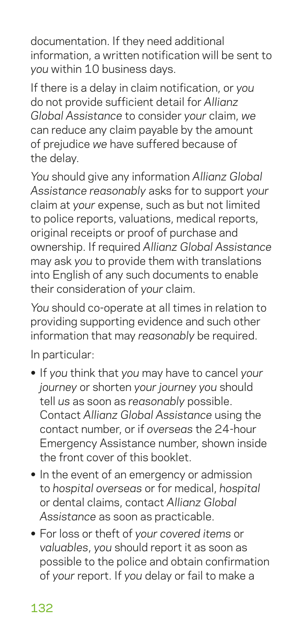documentation. If they need additional information, a written notification will be sent to *you* within 10 business days.

If there is a delay in claim notification, or *you* do not provide sufficient detail for *Allianz Global Assistance* to consider *your* claim, *we* can reduce any claim payable by the amount of prejudice *we* have suffered because of the delay.

*You* should give any information *Allianz Global Assistance reasonably* asks for to support *your* claim at *your* expense, such as but not limited to police reports, valuations, medical reports, original receipts or proof of purchase and ownership. If required *Allianz Global Assistance* may ask *you* to provide them with translations into English of any such documents to enable their consideration of *your* claim.

*You* should co-operate at all times in relation to providing supporting evidence and such other information that may *reasonably* be required.

In particular:

- **•** If *you* think that *you* may have to cancel *your journey* or shorten *your journey you* should tell *us* as soon as *reasonably* possible. Contact *Allianz Global Assistance* using the contact number, or if *overseas* the 24-hour Emergency Assistance number, shown inside the front cover of this booklet.
- **•** In the event of an emergency or admission to *hospital overseas* or for medical, *hospital* or dental claims, contact *Allianz Global Assistance* as soon as practicable.
- **•** For loss or theft of *your covered items* or *valuables*, *you* should report it as soon as possible to the police and obtain confirmation of *your* report. If *you* delay or fail to make a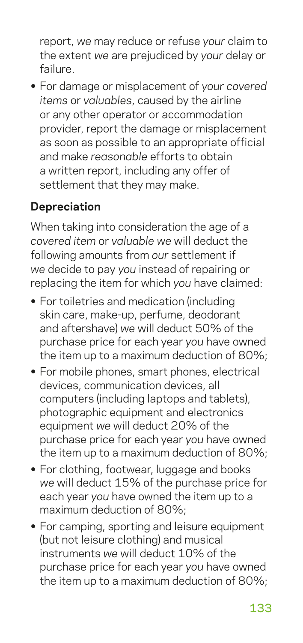report, *we* may reduce or refuse *your* claim to the extent *we* are prejudiced by *your* delay or failure.

**•** For damage or misplacement of *your covered items* or *valuables*, caused by the airline or any other operator or accommodation provider, report the damage or misplacement as soon as possible to an appropriate official and make *reasonable* efforts to obtain a written report, including any offer of settlement that they may make.

#### **Depreciation**

When taking into consideration the age of a *covered item* or *valuable we* will deduct the following amounts from *our* settlement if *we* decide to pay *you* instead of repairing or replacing the item for which *you* have claimed:

- **•** For toiletries and medication (including skin care, make-up, perfume, deodorant and aftershave) *we* will deduct 50% of the purchase price for each year *you* have owned the item up to a maximum deduction of 80%;
- **•** For mobile phones, smart phones, electrical devices, communication devices, all computers (including laptops and tablets), photographic equipment and electronics equipment *we* will deduct 20% of the purchase price for each year *you* have owned the item up to a maximum deduction of 80%;
- **•** For clothing, footwear, luggage and books *we* will deduct 15% of the purchase price for each year *you* have owned the item up to a maximum deduction of 80%;
- **•** For camping, sporting and leisure equipment (but not leisure clothing) and musical instruments *we* will deduct 10% of the purchase price for each year *you* have owned the item up to a maximum deduction of 80%;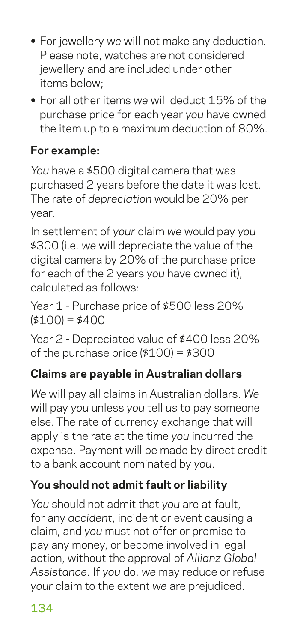- **•** For jewellery *we* will not make any deduction. Please note, watches are not considered jewellery and are included under other items below;
- **•** For all other items *we* will deduct 15% of the purchase price for each year *you* have owned the item up to a maximum deduction of 80%.

## **For example:**

*You* have a \$500 digital camera that was purchased 2 years before the date it was lost. The rate of *depreciation* would be 20% per year.

In settlement of *your* claim *we* would pay *you* \$300 (i.e. *we* will depreciate the value of the digital camera by 20% of the purchase price for each of the 2 years *you* have owned it), calculated as follows:

Year 1 - Purchase price of \$500 less 20%  $( $100 = $400$ 

Year 2 - Depreciated value of \$400 less 20% of the purchase price  $( $100 = $300$ 

## **Claims are payable in Australian dollars**

*We* will pay all claims in Australian dollars. *We* will pay *you* unless *you* tell *us* to pay someone else. The rate of currency exchange that will apply is the rate at the time *you* incurred the expense. Payment will be made by direct credit to a bank account nominated by *you*.

## **You should not admit fault or liability**

*You* should not admit that *you* are at fault, for any *accident*, incident or event causing a claim, and *you* must not offer or promise to pay any money, or become involved in legal action, without the approval of *Allianz Global Assistance*. If *you* do, *we* may reduce or refuse *your* claim to the extent *we* are prejudiced.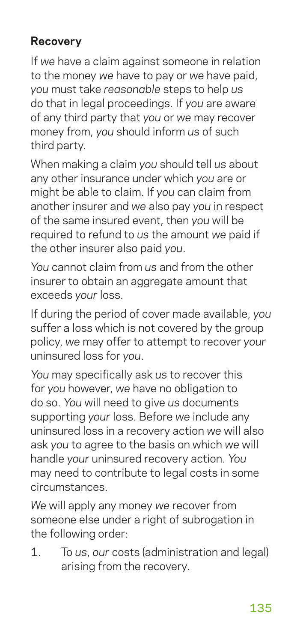## **Recovery**

If *we* have a claim against someone in relation to the money *we* have to pay or *we* have paid, *you* must take *reasonable* steps to help *us* do that in legal proceedings. If *you* are aware of any third party that *you* or *we* may recover money from, *you* should inform *us* of such third party.

When making a claim *you* should tell *us* about any other insurance under which *you* are or might be able to claim. If *you* can claim from another insurer and *we* also pay *you* in respect of the same insured event, then *you* will be required to refund to *us* the amount *we* paid if the other insurer also paid *you*.

*You* cannot claim from *us* and from the other insurer to obtain an aggregate amount that exceeds *your* loss.

If during the period of cover made available, *you* suffer a loss which is not covered by the group policy, *we* may offer to attempt to recover *your* uninsured loss for *you*.

*You* may specifically ask *us* to recover this for *you* however, *we* have no obligation to do so. *You* will need to give *us* documents supporting *your* loss. Before *we* include any uninsured loss in a recovery action *we* will also ask *you* to agree to the basis on which *we* will handle *your* uninsured recovery action. *You* may need to contribute to legal costs in some circumstances.

*We* will apply any money *we* recover from someone else under a right of subrogation in the following order:

1. To *us*, *our* costs (administration and legal) arising from the recovery.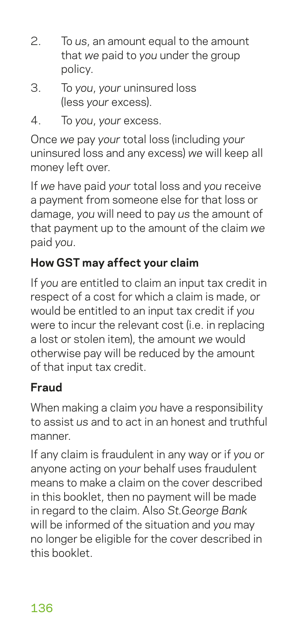- 2. To *us*, an amount equal to the amount that *we* paid to *you* under the group policy.
- 3. To *you*, *your* uninsured loss (less *your* excess).
- 4. To *you*, *your* excess.

Once *we* pay *your* total loss (including *your* uninsured loss and any excess) *we* will keep all money left over.

If *we* have paid *your* total loss and *you* receive a payment from someone else for that loss or damage, *you* will need to pay *us* the amount of that payment up to the amount of the claim *we* paid *you*.

## **How GST may affect your claim**

If *you* are entitled to claim an input tax credit in respect of a cost for which a claim is made, or would be entitled to an input tax credit if *you* were to incur the relevant cost (i.e. in replacing a lost or stolen item), the amount *we* would otherwise pay will be reduced by the amount of that input tax credit.

## **Fraud**

When making a claim *you* have a responsibility to assist *us* and to act in an honest and truthful manner.

If any claim is fraudulent in any way or if *you* or anyone acting on *your* behalf uses fraudulent means to make a claim on the cover described in this booklet, then no payment will be made in regard to the claim. Also *St.George Bank* will be informed of the situation and *you* may no longer be eligible for the cover described in this booklet.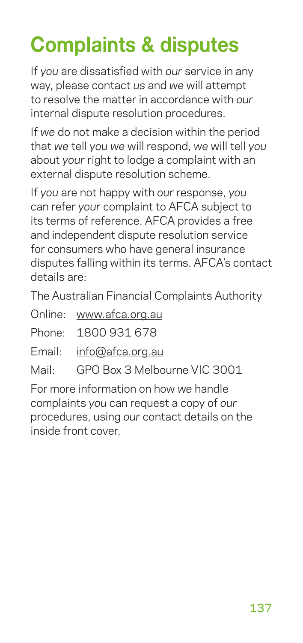# **Complaints & disputes**

If *you* are dissatisfied with *our* service in any way, please contact *us* and *we* will attempt to resolve the matter in accordance with *our* internal dispute resolution procedures.

If *we* do not make a decision within the period that *we* tell *you we* will respond, *we* will tell *you* about *your* right to lodge a complaint with an external dispute resolution scheme.

If *you* are not happy with *our* response, *you* can refer *your* complaint to AFCA subject to its terms of reference. AFCA provides a free and independent dispute resolution service for consumers who have general insurance disputes falling within its terms. AFCA's contact details are:

The Australian Financial Complaints Authority

- Online: [www.afca.org.au](http://www.afca.org.au)
- Phone: 1800 931 678
- Email: [info@afca.org.au](mailto:info%40afca.org.au?subject=)
- Mail: GPO Box 3 Melbourne VIC 3001

For more information on how *we* handle complaints *you* can request a copy of *our* procedures, using *our* contact details on the inside front cover.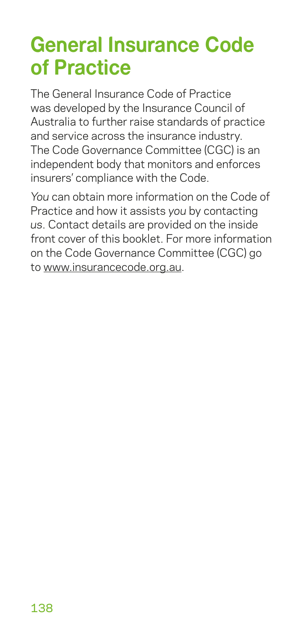## **General Insurance Code of Practice**

The General Insurance Code of Practice was developed by the Insurance Council of Australia to further raise standards of practice and service across the insurance industry. The Code Governance Committee (CGC) is an independent body that monitors and enforces insurers' compliance with the Code.

*You* can obtain more information on the Code of Practice and how it assists *you* by contacting *us*. Contact details are provided on the inside front cover of this booklet. For more information on the Code Governance Committee (CGC) go to www.insurancecode.org.au.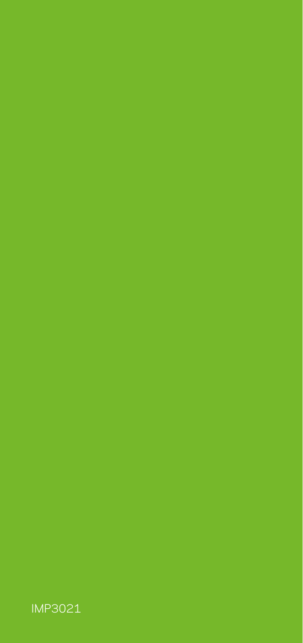